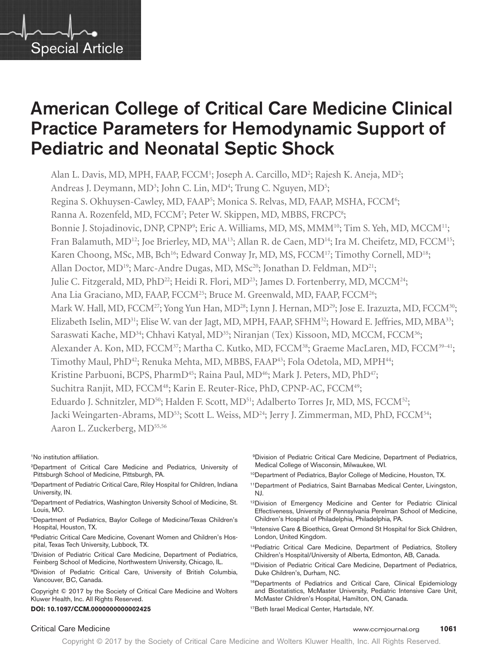

# American College of Critical Care Medicine Clinical Practice Parameters for Hemodynamic Support of Pediatric and Neonatal Septic Shock

Alan L. Davis, MD, MPH, FAAP, FCCM<sup>1</sup>; Joseph A. Carcillo, MD<sup>2</sup>; Rajesh K. Aneja, MD<sup>2</sup>; Andreas J. Deymann, MD<sup>3</sup>; John C. Lin, MD<sup>4</sup>; Trung C. Nguyen, MD<sup>5</sup>; Regina S. Okhuysen-Cawley, MD, FAAP<sup>5</sup>; Monica S. Relvas, MD, FAAP, MSHA, FCCM<sup>6</sup>; Ranna A. Rozenfeld, MD, FCCM<sup>7</sup>; Peter W. Skippen, MD, MBBS, FRCPC<sup>8</sup>; Bonnie J. Stojadinovic, DNP, CPNP<sup>9</sup>; Eric A. Williams, MD, MS, MMM<sup>10</sup>; Tim S. Yeh, MD, MCCM<sup>11</sup>; Fran Balamuth, MD<sup>12</sup>; Joe Brierley, MD, MA<sup>13</sup>; Allan R. de Caen, MD<sup>14</sup>; Ira M. Cheifetz, MD, FCCM<sup>15</sup>; Karen Choong, MSc, MB, Bch<sup>16</sup>; Edward Conway Jr, MD, MS, FCCM<sup>17</sup>; Timothy Cornell, MD<sup>18</sup>; Allan Doctor, MD<sup>19</sup>; Marc-Andre Dugas, MD, MSc<sup>20</sup>; Jonathan D. Feldman, MD<sup>21</sup>; Julie C. Fitzgerald, MD, PhD<sup>22</sup>; Heidi R. Flori, MD<sup>23</sup>; James D. Fortenberry, MD, MCCM<sup>24</sup>; Ana Lia Graciano, MD, FAAP, FCCM<sup>25</sup>; Bruce M. Greenwald, MD, FAAP, FCCM<sup>26</sup>; Mark W. Hall, MD, FCCM<sup>27</sup>; Yong Yun Han, MD<sup>28</sup>; Lynn J. Hernan, MD<sup>29</sup>; Jose E. Irazuzta, MD, FCCM<sup>30</sup>; Elizabeth Iselin, MD<sup>31</sup>; Elise W. van der Jagt, MD, MPH, FAAP, SFHM<sup>32</sup>; Howard E. Jeffries, MD, MBA<sup>33</sup>; Saraswati Kache, MD<sup>34</sup>; Chhavi Katyal, MD<sup>35</sup>; Niranjan (Tex) Kissoon, MD, MCCM, FCCM<sup>36</sup>; Alexander A. Kon, MD, FCCM<sup>37</sup>; Martha C. Kutko, MD, FCCM<sup>38</sup>; Graeme MacLaren, MD, FCCM<sup>39-41</sup>; Timothy Maul, PhD<sup>42</sup>; Renuka Mehta, MD, MBBS, FAAP<sup>43</sup>; Fola Odetola, MD, MPH<sup>44</sup>; Kristine Parbuoni, BCPS, PharmD<sup>45</sup>; Raina Paul, MD<sup>46</sup>; Mark J. Peters, MD, PhD<sup>47</sup>; Suchitra Ranjit, MD, FCCM<sup>48</sup>; Karin E. Reuter-Rice, PhD, CPNP-AC, FCCM<sup>49</sup>; Eduardo J. Schnitzler, MD<sup>50</sup>; Halden F. Scott, MD<sup>51</sup>; Adalberto Torres Jr, MD, MS, FCCM<sup>52</sup>; Jacki Weingarten-Abrams, MD<sup>53</sup>; Scott L. Weiss, MD<sup>24</sup>; Jerry J. Zimmerman, MD, PhD, FCCM<sup>54</sup>; Aaron L. Zuckerberg, MD<sup>55,56</sup>

1No institution affiliation.

- 2Department of Critical Care Medicine and Pediatrics, University of Pittsburgh School of Medicine, Pittsburgh, PA.
- 3Department of Pediatric Critical Care, Riley Hospital for Children, Indiana University, IN.
- 4Department of Pediatrics, Washington University School of Medicine, St. Louis, MO.
- 5Department of Pediatrics, Baylor College of Medicine/Texas Children's Hospital, Houston, TX.
- <sup>6</sup>Pediatric Critical Care Medicine, Covenant Women and Children's Hospital, Texas Tech University, Lubbock, TX.
- 7Division of Pediatric Critical Care Medicine, Department of Pediatrics, Feinberg School of Medicine, Northwestern University, Chicago, IL.
- 8Division of Pediatric Critical Care, University of British Columbia, Vancouver, BC, Canada.

Copyright © 2017 by the Society of Critical Care Medicine and Wolters Kluwer Health, Inc. All Rights Reserved.

### **DOI: 10.1097/CCM.0000000000002425**

- 9Division of Pediatric Critical Care Medicine, Department of Pediatrics, Medical College of Wisconsin, Milwaukee, WI.
- 10Department of Pediatrics, Baylor College of Medicine, Houston, TX.
- 11Department of Pediatrics, Saint Barnabas Medical Center, Livingston, NJ.
- <sup>12</sup>Division of Emergency Medicine and Center for Pediatric Clinical Effectiveness, University of Pennsylvania Perelman School of Medicine, Children's Hospital of Philadelphia, Philadelphia, PA.
- 13Intensive Care & Bioethics, Great Ormond St Hospital for Sick Children, London, United Kingdom.
- <sup>14</sup>Pediatric Critical Care Medicine, Department of Pediatrics, Stollery Children's Hospital/University of Alberta, Edmonton, AB, Canada.
- <sup>15</sup>Division of Pediatric Critical Care Medicine, Department of Pediatrics, Duke Children's, Durham, NC.
- <sup>16</sup>Departments of Pediatrics and Critical Care, Clinical Epidemiology and Biostatistics, McMaster University, Pediatric Intensive Care Unit, McMaster Children's Hospital, Hamilton, ON, Canada.
- 17Beth Israel Medical Center, Hartsdale, NY.

## Critical Care Medicine www.ccmjournal.org **1061**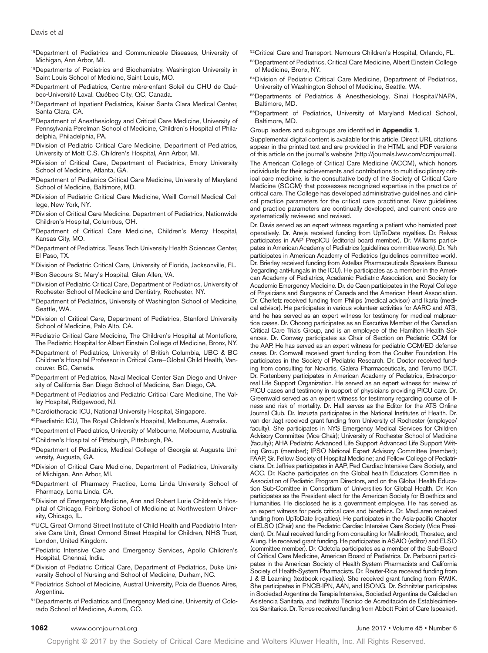- 18Department of Pediatrics and Communicable Diseases, University of Michigan, Ann Arbor, MI.
- 19Departments of Pediatrics and Biochemistry, Washington University in Saint Louis School of Medicine, Saint Louis, MO.
- <sup>20</sup>Department of Pediatrics, Centre mère-enfant Soleil du CHU de Québec-Université Laval, Québec City, QC, Canada.
- 21Department of Inpatient Pediatrics, Kaiser Santa Clara Medical Center, Santa Clara, CA.
- <sup>22</sup>Department of Anesthesiology and Critical Care Medicine, University of Pennsylvania Perelman School of Medicine, Children's Hospital of Philadelphia, Philadelphia, PA.
- <sup>23</sup>Division of Pediatric Critical Care Medicine, Department of Pediatrics, University of Mott C.S. Children's Hospital, Ann Arbor, MI.
- <sup>24</sup>Division of Critical Care, Department of Pediatrics, Emory University School of Medicine, Atlanta, GA.
- <sup>25</sup>Department of Pediatrics-Critical Care Medicine, University of Maryland School of Medicine, Baltimore, MD.
- 26Division of Pediatric Critical Care Medicine, Weill Cornell Medical College, New York, NY.
- <sup>27</sup>Division of Critical Care Medicine, Department of Pediatrics, Nationwide Children's Hospital, Columbus, OH.
- <sup>28</sup>Department of Critical Care Medicine, Children's Mercy Hospital, Kansas City, MO.
- <sup>29</sup>Department of Pediatrics, Texas Tech University Health Sciences Center, El Paso, TX.
- 30 Division of Pediatric Critical Care, University of Florida, Jacksonville, FL.
- 31Bon Secours St. Mary's Hospital, Glen Allen, VA.
- 32 Division of Pediatric Critical Care, Department of Pediatrics, University of Rochester School of Medicine and Dentistry, Rochester, NY.
- 33Department of Pediatrics, University of Washington School of Medicine, Seattle, WA.
- 34 Division of Critical Care, Department of Pediatrics, Stanford University School of Medicine, Palo Alto, CA.
- <sup>35</sup>Pediatric Critical Care Medicine, The Children's Hospital at Montefiore, The Pediatric Hospital for Albert Einstein College of Medicine, Bronx, NY.
- 36Department of Pediatrics, University of British Columbia, UBC & BC Children's Hospital Professor in Critical Care—Global Child Health, Vancouver, BC, Canada.
- <sup>37</sup>Department of Pediatrics, Naval Medical Center San Diego and University of California San Diego School of Medicine, San Diego, CA.
- <sup>38</sup>Department of Pediatrics and Pediatric Critical Care Medicine, The Valley Hospital, Ridgewood, NJ.
- 39 Cardiothoracic ICU, National University Hospital, Singapore.
- 40Paediatric ICU, The Royal Children's Hospital, Melbourne, Australia.
- 41Department of Paediatrics, University of Melbourne, Melbourne, Australia.
- 42Children's Hospital of Pittsburgh, Pittsburgh, PA.
- 43Department of Pediatrics, Medical College of Georgia at Augusta University, Augusta, GA.
- 44Division of Critical Care Medicine, Department of Pediatrics, University of Michigan, Ann Arbor, MI.
- 45Department of Pharmacy Practice, Loma Linda University School of Pharmacy, Loma Linda, CA.
- 46Division of Emergency Medicine, Ann and Robert Lurie Children's Hospital of Chicago, Feinberg School of Medicine at Northwestern University, Chicago, IL.
- 47UCL Great Ormond Street Institute of Child Health and Paediatric Intensive Care Unit, Great Ormond Street Hospital for Children, NHS Trust, London, United Kingdom.
- 48Pediatric Intensive Care and Emergency Services, Apollo Children's Hospital, Chennai, India.
- 49Division of Pediatric Critical Care, Department of Pediatrics, Duke University School of Nursing and School of Medicine, Durham, NC.
- 50Pediatrics School of Medicine, Austral University, Pcia de Buenos Aires, Argentina.
- 51Departments of Pediatrics and Emergency Medicine, University of Colorado School of Medicine, Aurora, CO.
- <sup>52</sup>Critical Care and Transport, Nemours Children's Hospital, Orlando, FL.
- 53 Department of Pediatrics, Critical Care Medicine, Albert Einstein College of Medicine, Bronx, NY.
- <sup>54</sup>Division of Pediatric Critical Care Medicine, Department of Pediatrics, University of Washington School of Medicine, Seattle, WA.
- 55Departments of Pediatrics & Anesthesiology, Sinai Hospital/NAPA, Baltimore, MD.
- 56Department of Pediatrics, University of Maryland Medical School, Baltimore, MD.

Group leaders and subgroups are identified in **Appendix 1**.

Supplemental digital content is available for this article. Direct URL citations appear in the printed text and are provided in the HTML and PDF versions of this article on the journal's website [\(http://journals.lww.com/ccmjournal\)](http://journals.lww.com/ccmjournal).

The American College of Critical Care Medicine (ACCM), which honors individuals for their achievements and contributions to multidisciplinary critical care medicine, is the consultative body of the Society of Critical Care Medicine (SCCM) that possesses recognized expertise in the practice of critical care. The College has developed administrative guidelines and clinical practice parameters for the critical care practitioner. New guidelines and practice parameters are continually developed, and current ones are systematically reviewed and revised.

Dr. Davis served as an expert witness regarding a patient who herniated post operatively. Dr. Aneja received funding from UpToDate royalties. Dr. Relvas participates in AAP PrepICU (editorial board member). Dr. Williams participates in American Academy of Pediatrics (guidelines committee work). Dr. Yeh participates in American Academy of Pediatrics (guidelines committee work). Dr. Brierley received funding from Astellas Pharmaceuticals Speakers Bureau (regarding anti-fungals in the ICU). He participates as a member in the American Academy of Pediatrics, Academic Pediatric Association, and Society for Academic Emergency Medicine. Dr. de Caen participates in the Royal College of Physicians and Surgeons of Canada and the American Heart Association. Dr. Cheifetz received funding from Philips (medical advisor) and Ikaria (medical advisor). He participates in various volunteer activities for AARC and ATS, and he has served as an expert witness for testimony for medical malpractice cases. Dr. Choong participates as an Executive Member of the Canadian Critical Care Trials Group, and is an employee of the Hamilton Health Sciences. Dr. Conway participates as Chair of Section on Pediatric CCM for the AAP. He has served as an expert witness for pediatric CCM/ED defense cases. Dr. Cornwell received grant funding from the Coulter Foundation. He participates in the Society of Pediatric Research. Dr. Doctor received funding from consulting for Novartis, Galera Pharmaceuticals, and Terumo BCT. Dr. Fortenberry participates in American Academy of Pediatrics, Extracorporeal Life Support Organization. He served as an expert witness for review of PICU cases and testimony in support of physicians providing PICU care. Dr. Greenwald served as an expert witness for testimony regarding course of illness and risk of mortality. Dr. Hall serves as the Editor for the ATS Online Journal Club. Dr. Irazuzta participates in the National Institutes of Health. Dr. van der Jagt received grant funding from University of Rochester (employee/ faculty). She participates in NYS Emergency Medical Services for Children Advisory Committee (Vice-Chair); University of Rochester School of Medicine (faculty); AHA Pediatric Advanced Life Support Advanced Life Support Writing Group (member); IPSO National Expert Advisory Committee (member); FAAP, Sr. Fellow Society of Hospital Medicine; and Fellow College of Pediatricians. Dr. Jeffries participates in AAP, Ped Cardiac Intensive Care Society, and ACC. Dr. Kache participates on the Global health Educators Committee in Association of Pediatric Program Directors, and on the Global Health Education Sub-Comittee in Consortium of Universities for Global Health. Dr. Kon participates as the President-elect for the American Society for Bioethics and Humanities. He disclosed he is a government employee. He has served as an expert witness for peds critical care and bioethics. Dr. MacLaren received funding from UpToDate (royalties). He participates in the Asia-pacific Chapter of ELSO (Chair) and the Pediatric Cardiac Intensive Care Society (Vice President). Dr. Maul received funding from consulting for Mallinkrodt, Thoratec, and Alung. He received grant funding. He participates in ASAIO (editor) and ELSO (committee member). Dr. Odetola participates as a member of the Sub-Board of Critical Care Medicine, American Board of Pediatrics. Dr. Parbuoni participates in the American Society of Health-System Pharmacists and California Society of Health-System Pharmacists. Dr. Reuter-Rice received funding from J & B Learning (textbook royalties). She received grant funding from RWJK. She participates in PNCB-IPN, AAN, and ISONG. Dr. Schnitzler participates in Sociedad Argentina de Terapia Intensiva, Sociedad Argentina de Calidad en Asistencia Sanitaria, and Instituto Técnico de Acreditación de Establecimientos Sanitarios. Dr. Torres received funding from Abbott Point of Care (speaker).

## **1062** www.ccmjournal.org **June 2017 • Volume 45 • Number 6**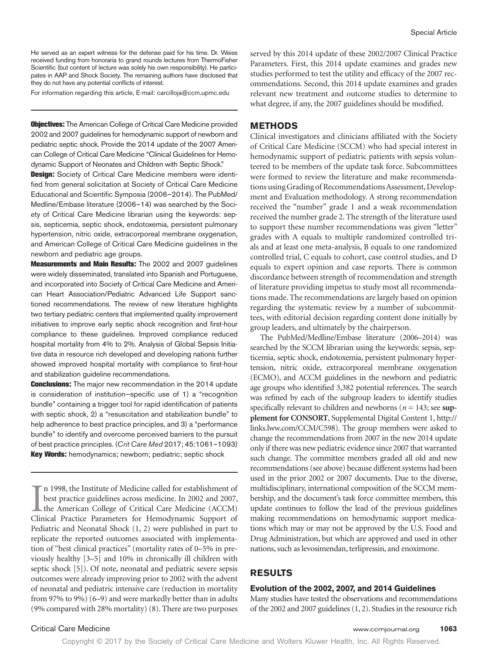He served as an expert witness for the defense paid for his time. Dr. Weiss received funding from honoraria to grand rounds lectures from ThermoFisher Scientific (but content of lecture was solely his own responsibility). He participates in AAP and Shock Society. The remaining authors have disclosed that they do not have any potential conflicts of interest.

For information regarding this article, E-mail: carcilloja@ccm.upmc.edu

**Objectives:** The American College of Critical Care Medicine provided 2002 and 2007 guidelines for hemodynamic support of newborn and pediatric septic shock. Provide the 2014 update of the 2007 American College of Critical Care Medicine "Clinical Guidelines for Hemodynamic Support of Neonates and Children with Septic Shock."

**Design:** Society of Critical Care Medicine members were identified from general solicitation at Society of Critical Care Medicine Educational and Scientific Symposia (2006–2014). The PubMed/ Medline/Embase literature (2006–14) was searched by the Society of Critical Care Medicine librarian using the keywords: sepsis, septicemia, septic shock, endotoxemia, persistent pulmonary hypertension, nitric oxide, extracorporeal membrane oxygenation, and American College of Critical Care Medicine guidelines in the newborn and pediatric age groups.

Measurements and Main Results: The 2002 and 2007 guidelines were widely disseminated, translated into Spanish and Portuguese, and incorporated into Society of Critical Care Medicine and American Heart Association/Pediatric Advanced Life Support sanctioned recommendations. The review of new literature highlights two tertiary pediatric centers that implemented quality improvement initiatives to improve early septic shock recognition and first-hour compliance to these guidelines. Improved compliance reduced hospital mortality from 4% to 2%. Analysis of Global Sepsis Initiative data in resource rich developed and developing nations further showed improved hospital mortality with compliance to first-hour and stabilization guideline recommendations.

**Conclusions:** The major new recommendation in the 2014 update is consideration of institution—specific use of 1) a "recognition bundle" containing a trigger tool for rapid identification of patients with septic shock, 2) a "resuscitation and stabilization bundle" to help adherence to best practice principles, and 3) a "performance bundle" to identify and overcome perceived barriers to the pursuit of best practice principles. (*Crit Care Med* 2017; 45:1061–1093) Key Words: hemodynamics; newborn; pediatric; septic shock

In 1998, the Institute of Medicine called for establishment of best practice guidelines across medicine. In 2002 and 2007, the American College of Critical Care Medicine (ACCM) Clinical Practice Parameters for Hemodynamic n 1998, the Institute of Medicine called for establishment of best practice guidelines across medicine. In 2002 and 2007, the American College of Critical Care Medicine (ACCM) Pediatric and Neonatal Shock (1, 2) were published in part to replicate the reported outcomes associated with implementation of "best clinical practices" (mortality rates of 0–5% in previously healthy [3–5] and 10% in chronically ill children with septic shock [5]). Of note, neonatal and pediatric severe sepsis outcomes were already improving prior to 2002 with the advent of neonatal and pediatric intensive care (reduction in mortality from 97% to 9%) (6–9) and were markedly better than in adults (9% compared with 28% mortality) (8). There are two purposes

served by this 2014 update of these 2002/2007 Clinical Practice Parameters. First, this 2014 update examines and grades new studies performed to test the utility and efficacy of the 2007 recommendations. Second, this 2014 update examines and grades relevant new treatment and outcome studies to determine to what degree, if any, the 2007 guidelines should be modified.

### **METHODS**

Clinical investigators and clinicians affiliated with the Society of Critical Care Medicine (SCCM) who had special interest in hemodynamic support of pediatric patients with sepsis volunteered to be members of the update task force. Subcommittees were formed to review the literature and make recommendations using Grading of Recommendations Assessment, Development and Evaluation methodology. A strong recommendation received the "number" grade 1 and a weak recommendation received the number grade 2. The strength of the literature used to support these number recommendations was given "letter" grades with A equals to multiple randomized controlled trials and at least one meta-analysis, B equals to one randomized controlled trial, C equals to cohort, case control studies, and D equals to expert opinion and case reports. There is common discordance between strength of recommendation and strength of literature providing impetus to study most all recommendations made. The recommendations are largely based on opinion regarding the systematic review by a number of subcommittees, with editorial decision regarding content done initially by group leaders, and ultimately by the chairperson.

The PubMed/Medline/Embase literature (2006–2014) was searched by the SCCM librarian using the keywords: sepsis, septicemia, septic shock, endotoxemia, persistent pulmonary hypertension, nitric oxide, extracorporeal membrane oxygenation (ECMO), and ACCM guidelines in the newborn and pediatric age groups who identified 3,382 potential references. The search was refined by each of the subgroup leaders to identify studies specifically relevant to children and newborns (*n* = 143; see **supplement for CONSORT**, Supplemental Digital Content 1, [http://](http://links.lww.com/CCM/C598) [links.lww.com/CCM/C598\)](http://links.lww.com/CCM/C598). The group members were asked to change the recommendations from 2007 in the new 2014 update only if there was new pediatric evidence since 2007 that warranted such change. The committee members graded all old and new recommendations (see above) because different systems had been used in the prior 2002 or 2007 documents. Due to the diverse, multidisciplinary, international composition of the SCCM membership, and the document's task force committee members, this update continues to follow the lead of the previous guidelines making recommendations on hemodynamic support medications which may or may not be approved by the U.S. Food and Drug Administration, but which are approved and used in other nations, such as levosimendan, terlipressin, and enoximone.

## **RESULTS**

### **Evolution of the 2002, 2007, and 2014 Guidelines**

Many studies have tested the observations and recommendations of the 2002 and 2007 guidelines (1, 2). Studies in the resource rich

### Critical Care Medicine www.ccmjournal.org **1063**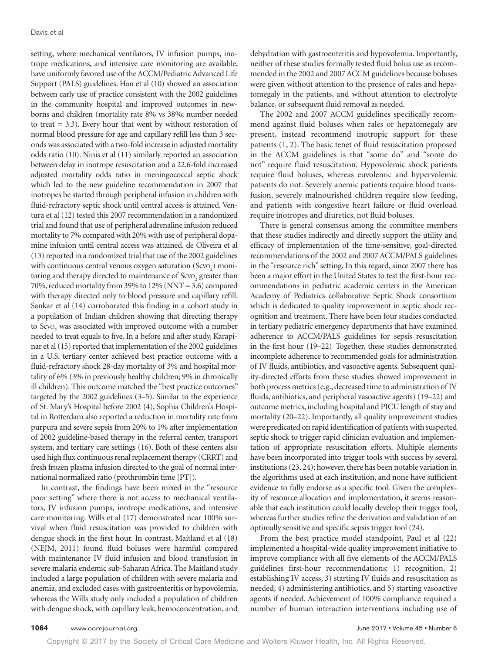setting, where mechanical ventilators, IV infusion pumps, inotrope medications, and intensive care monitoring are available, have uniformly favored use of the ACCM/Pediatric Advanced Life Support (PALS) guidelines. Han et al (10) showed an association between early use of practice consistent with the 2002 guidelines in the community hospital and improved outcomes in newborns and children (mortality rate 8% vs 38%; number needed to treat  $= 3.3$ ). Every hour that went by without restoration of normal blood pressure for age and capillary refill less than 3 seconds was associated with a two-fold increase in adjusted mortality odds ratio (10). Ninis et al (11) similarly reported an association between delay in inotrope resuscitation and a 22.6-fold increased adjusted mortality odds ratio in meningococcal septic shock which led to the new guideline recommendation in 2007 that inotropes be started through peripheral infusion in children with fluid-refractory septic shock until central access is attained. Ventura et al (12) tested this 2007 recommendation in a randomized trial and found that use of peripheral adrenaline infusion reduced mortality to 7% compared with 20% with use of peripheral dopamine infusion until central access was attained. de Oliveira et al (13) reported in a randomized trial that use of the 2002 guidelines with continuous central venous oxygen saturation  $(Scvo<sub>2</sub>)$  monitoring and therapy directed to maintenance of  $\rm Scvo_{2}$  greater than 70%, reduced mortality from 39% to 12% (NNT=3.6) compared with therapy directed only to blood pressure and capillary refill. Sankar et al (14) corroborated this finding in a cohort study in a population of Indian children showing that directing therapy to  $\text{Scvo}_2$  was associated with improved outcome with a number needed to treat equals to five. In a before and after study, Karapinar et al (15) reported that implementation of the 2002 guidelines in a U.S. tertiary center achieved best practice outcome with a fluid-refractory shock 28-day mortality of 3% and hospital mortality of 6% (3% in previously healthy children; 9% in chronically ill children). This outcome matched the "best practice outcomes" targeted by the 2002 guidelines (3–5). Similar to the experience of St. Mary's Hospital before 2002 (4), Sophia Children's Hospital in Rotterdam also reported a reduction in mortality rate from purpura and severe sepsis from 20% to 1% after implementation of 2002 guideline-based therapy in the referral center, transport system, and tertiary care settings (16). Both of these centers also used high flux continuous renal replacement therapy (CRRT) and fresh frozen plasma infusion directed to the goal of normal international normalized ratio (prothrombin time [PT]).

In contrast, the findings have been mixed in the "resource poor setting" where there is not access to mechanical ventilators, IV infusion pumps, inotrope medications, and intensive care monitoring. Wills et al (17) demonstrated near 100% survival when fluid resuscitation was provided to children with dengue shock in the first hour. In contrast, Maitland et al (18) (NEJM, 2011) found fluid boluses were harmful compared with maintenance IV fluid infusion and blood transfusion in severe malaria endemic sub-Saharan Africa. The Maitland study included a large population of children with severe malaria and anemia, and excluded cases with gastroenteritis or hypovolemia, whereas the Wills study only included a population of children with dengue shock, with capillary leak, hemoconcentration, and

dehydration with gastroenteritis and hypovolemia. Importantly, neither of these studies formally tested fluid bolus use as recommended in the 2002 and 2007 ACCM guidelines because boluses were given without attention to the presence of rales and hepatomegaly in the patients, and without attention to electrolyte balance, or subsequent fluid removal as needed.

The 2002 and 2007 ACCM guidelines specifically recommend against fluid boluses when rales or hepatomegaly are present, instead recommend inotropic support for these patients (1, 2). The basic tenet of fluid resuscitation proposed in the ACCM guidelines is that "some do" and "some do not" require fluid resuscitation. Hypovolemic shock patients require fluid boluses, whereas euvolemic and hypervolemic patients do not. Severely anemic patients require blood transfusion, severely malnourished children require slow feeding, and patients with congestive heart failure or fluid overload require inotropes and diuretics, not fluid boluses.

There is general consensus among the committee members that these studies indirectly and directly support the utility and efficacy of implementation of the time-sensitive, goal-directed recommendations of the 2002 and 2007 ACCM/PALS guidelines in the "resource rich" setting. In this regard, since 2007 there has been a major effort in the United States to test the first-hour recommendations in pediatric academic centers in the American Academy of Pediatrics collaborative Septic Shock consortium which is dedicated to quality improvement in septic shock recognition and treatment. There have been four studies conducted in tertiary pediatric emergency departments that have examined adherence to ACCM/PALS guidelines for sepsis resuscitation in the first hour (19–22). Together, these studies demonstrated incomplete adherence to recommended goals for administration of IV fluids, antibiotics, and vasoactive agents. Subsequent quality-directed efforts from these studies showed improvement in both process metrics (e.g., decreased time to administration of IV fluids, antibiotics, and peripheral vasoactive agents) (19–22) and outcome metrics, including hospital and PICU length of stay and mortality (20–22). Importantly, all quality improvement studies were predicated on rapid identification of patients with suspected septic shock to trigger rapid clinician evaluation and implementation of appropriate resuscitation efforts. Multiple elements have been incorporated into trigger tools with success by several institutions (23, 24); however, there has been notable variation in the algorithms used at each institution, and none have sufficient evidence to fully endorse as a specific tool. Given the complexity of resource allocation and implementation, it seems reasonable that each institution could locally develop their trigger tool, whereas further studies refine the derivation and validation of an optimally sensitive and specific sepsis trigger tool (24).

From the best practice model standpoint, Paul et al (22) implemented a hospital-wide quality improvement initiative to improve compliance with all five elements of the ACCM/PALS guidelines first-hour recommendations: 1) recognition, 2) establishing IV access, 3) starting IV fluids and resuscitation as needed, 4) administering antibiotics, and 5) starting vasoactive agents if needed. Achievement of 100% compliance required a number of human interaction interventions including use of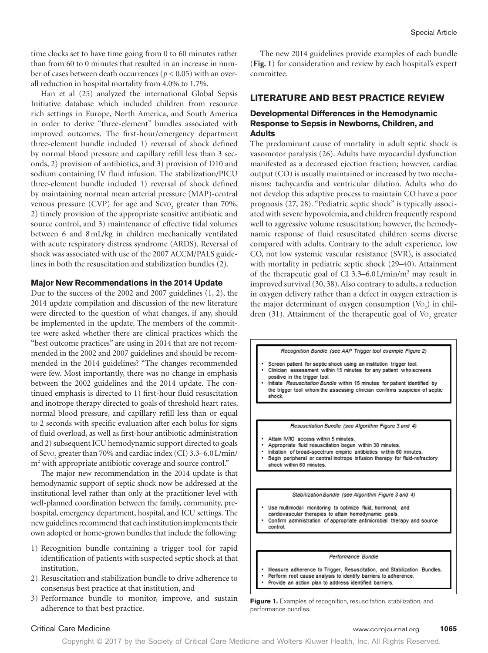time clocks set to have time going from 0 to 60 minutes rather than from 60 to 0 minutes that resulted in an increase in number of cases between death occurrences (*p* < 0.05) with an overall reduction in hospital mortality from 4.0% to 1.7%.

Han et al (25) analyzed the international Global Sepsis Initiative database which included children from resource rich settings in Europe, North America, and South America in order to derive "three-element" bundles associated with improved outcomes. The first-hour/emergency department three-element bundle included 1) reversal of shock defined by normal blood pressure and capillary refill less than 3 seconds, 2) provision of antibiotics, and 3) provision of D10 and sodium containing IV fluid infusion. The stabilization/PICU three-element bundle included 1) reversal of shock defined by maintaining normal mean arterial pressure (MAP)-central venous pressure (CVP) for age and  $Scvo_2$  greater than 70%, 2) timely provision of the appropriate sensitive antibiotic and source control, and 3) maintenance of effective tidal volumes between 6 and 8mL/kg in children mechanically ventilated with acute respiratory distress syndrome (ARDS). Reversal of shock was associated with use of the 2007 ACCM/PALS guidelines in both the resuscitation and stabilization bundles (2).

### **Major New Recommendations in the 2014 Update**

Due to the success of the 2002 and 2007 guidelines (1, 2), the 2014 update compilation and discussion of the new literature were directed to the question of what changes, if any, should be implemented in the update. The members of the committee were asked whether there are clinical practices which the "best outcome practices" are using in 2014 that are not recommended in the 2002 and 2007 guidelines and should be recommended in the 2014 guidelines? "The changes recommended were few. Most importantly, there was no change in emphasis between the 2002 guidelines and the 2014 update. The continued emphasis is directed to 1) first-hour fluid resuscitation and inotrope therapy directed to goals of threshold heart rates, normal blood pressure, and capillary refill less than or equal to 2 seconds with specific evaluation after each bolus for signs of fluid overload, as well as first-hour antibiotic administration and 2) subsequent ICU hemodynamic support directed to goals of  $\rm Scov_2$  greater than 70% and cardiac index (CI) 3.3–6.0 L/min/ m2 with appropriate antibiotic coverage and source control."

The major new recommendation in the 2014 update is that hemodynamic support of septic shock now be addressed at the institutional level rather than only at the practitioner level with well-planned coordination between the family, community, prehospital, emergency department, hospital, and ICU settings. The new guidelines recommend that each institution implements their own adopted or home-grown bundles that include the following:

- 1) Recognition bundle containing a trigger tool for rapid identification of patients with suspected septic shock at that institution,
- 2) Resuscitation and stabilization bundle to drive adherence to consensus best practice at that institution, and
- 3) Performance bundle to monitor, improve, and sustain adherence to that best practice.

The new 2014 guidelines provide examples of each bundle (**Fig. 1**) for consideration and review by each hospital's expert committee.

## **LITERATURE AND BEST PRACTICE REVIEW**

## **Developmental Differences in the Hemodynamic Response to Sepsis in Newborns, Children, and Adults**

The predominant cause of mortality in adult septic shock is vasomotor paralysis (26). Adults have myocardial dysfunction manifested as a decreased ejection fraction; however, cardiac output (CO) is usually maintained or increased by two mechanisms: tachycardia and ventricular dilation. Adults who do not develop this adaptive process to maintain CO have a poor prognosis (27, 28). "Pediatric septic shock" is typically associated with severe hypovolemia, and children frequently respond well to aggressive volume resuscitation; however, the hemodynamic response of fluid resuscitated children seems diverse compared with adults. Contrary to the adult experience, low CO, not low systemic vascular resistance (SVR), is associated with mortality in pediatric septic shock (29–40). Attainment of the therapeutic goal of CI 3.3–6.0L/min/m2 may result in improved survival (30, 38). Also contrary to adults, a reduction in oxygen delivery rather than a defect in oxygen extraction is the major determinant of oxygen consumption  $(\mathrm{Vo}_2)$  in children (31). Attainment of the therapeutic goal of  $\mathrm{Vo}_2$  greater



Stabilization Bundle (see Algorithm Figure 3 and 4)

- Use multimodal monitoring to optimize fluid, hormonal, and
- cardiovascular therapies to attain hemodynamic goals. Confirm administration of appropriate antimicrobial therapy and source control.

### Performance Bundle

- Measure adherence to Trigger, Resuscitation, and Stabilization Bundles.
- Perform root cause analysis to identify barriers to adherence.
- Provide an action plan to address identified barriers.

**Figure 1.** Examples of recognition, resuscitation, stabilization, and performance bundles.

### Critical Care Medicine www.ccmjournal.org **1065**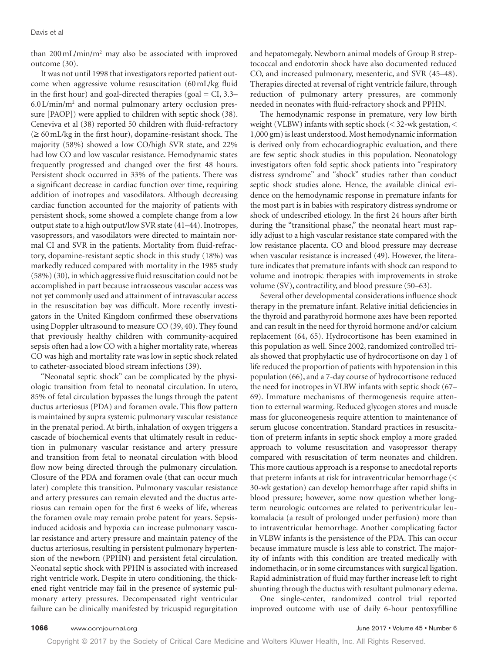than 200mL/min/m2 may also be associated with improved outcome (30).

It was not until 1998 that investigators reported patient outcome when aggressive volume resuscitation (60mL/kg fluid in the first hour) and goal-directed therapies (goal  $= CI, 3.3–$ 6.0L/min/m2 and normal pulmonary artery occlusion pressure [PAOP]) were applied to children with septic shock (38). Ceneviva et al (38) reported 50 children with fluid-refractory  $(\geq 60 \text{ mL/kg}$  in the first hour), dopamine-resistant shock. The majority (58%) showed a low CO/high SVR state, and 22% had low CO and low vascular resistance. Hemodynamic states frequently progressed and changed over the first 48 hours. Persistent shock occurred in 33% of the patients. There was a significant decrease in cardiac function over time, requiring addition of inotropes and vasodilators. Although decreasing cardiac function accounted for the majority of patients with persistent shock, some showed a complete change from a low output state to a high output/low SVR state (41–44). Inotropes, vasopressors, and vasodilators were directed to maintain normal CI and SVR in the patients. Mortality from fluid-refractory, dopamine-resistant septic shock in this study (18%) was markedly reduced compared with mortality in the 1985 study (58%) (30), in which aggressive fluid resuscitation could not be accomplished in part because intraosseous vascular access was not yet commonly used and attainment of intravascular access in the resuscitation bay was difficult. More recently investigators in the United Kingdom confirmed these observations using Doppler ultrasound to measure CO (39, 40). They found that previously healthy children with community-acquired sepsis often had a low CO with a higher mortality rate, whereas CO was high and mortality rate was low in septic shock related to catheter-associated blood stream infections (39).

"Neonatal septic shock" can be complicated by the physiologic transition from fetal to neonatal circulation. In utero, 85% of fetal circulation bypasses the lungs through the patent ductus arteriosus (PDA) and foramen ovale. This flow pattern is maintained by supra systemic pulmonary vascular resistance in the prenatal period. At birth, inhalation of oxygen triggers a cascade of biochemical events that ultimately result in reduction in pulmonary vascular resistance and artery pressure and transition from fetal to neonatal circulation with blood flow now being directed through the pulmonary circulation. Closure of the PDA and foramen ovale (that can occur much later) complete this transition. Pulmonary vascular resistance and artery pressures can remain elevated and the ductus arteriosus can remain open for the first 6 weeks of life, whereas the foramen ovale may remain probe patent for years. Sepsisinduced acidosis and hypoxia can increase pulmonary vascular resistance and artery pressure and maintain patency of the ductus arteriosus, resulting in persistent pulmonary hypertension of the newborn (PPHN) and persistent fetal circulation. Neonatal septic shock with PPHN is associated with increased right ventricle work. Despite in utero conditioning, the thickened right ventricle may fail in the presence of systemic pulmonary artery pressures. Decompensated right ventricular failure can be clinically manifested by tricuspid regurgitation

and hepatomegaly. Newborn animal models of Group B streptococcal and endotoxin shock have also documented reduced CO, and increased pulmonary, mesenteric, and SVR (45–48). Therapies directed at reversal of right ventricle failure, through reduction of pulmonary artery pressures, are commonly needed in neonates with fluid-refractory shock and PPHN.

The hemodynamic response in premature, very low birth weight (VLBW) infants with septic shock (< 32-wk gestation, < 1,000 gm) is least understood. Most hemodynamic information is derived only from echocardiographic evaluation, and there are few septic shock studies in this population. Neonatology investigators often fold septic shock patients into "respiratory distress syndrome" and "shock" studies rather than conduct septic shock studies alone. Hence, the available clinical evidence on the hemodynamic response in premature infants for the most part is in babies with respiratory distress syndrome or shock of undescribed etiology. In the first 24 hours after birth during the "transitional phase," the neonatal heart must rapidly adjust to a high vascular resistance state compared with the low resistance placenta. CO and blood pressure may decrease when vascular resistance is increased (49). However, the literature indicates that premature infants with shock can respond to volume and inotropic therapies with improvements in stroke volume (SV), contractility, and blood pressure (50–63).

Several other developmental considerations influence shock therapy in the premature infant. Relative initial deficiencies in the thyroid and parathyroid hormone axes have been reported and can result in the need for thyroid hormone and/or calcium replacement (64, 65). Hydrocortisone has been examined in this population as well. Since 2002, randomized controlled trials showed that prophylactic use of hydrocortisone on day 1 of life reduced the proportion of patients with hypotension in this population (66), and a 7-day course of hydrocortisone reduced the need for inotropes in VLBW infants with septic shock (67– 69). Immature mechanisms of thermogenesis require attention to external warming. Reduced glycogen stores and muscle mass for gluconeogenesis require attention to maintenance of serum glucose concentration. Standard practices in resuscitation of preterm infants in septic shock employ a more graded approach to volume resuscitation and vasopressor therapy compared with resuscitation of term neonates and children. This more cautious approach is a response to anecdotal reports that preterm infants at risk for intraventricular hemorrhage (< 30-wk gestation) can develop hemorrhage after rapid shifts in blood pressure; however, some now question whether longterm neurologic outcomes are related to periventricular leukomalacia (a result of prolonged under perfusion) more than to intraventricular hemorrhage. Another complicating factor in VLBW infants is the persistence of the PDA. This can occur because immature muscle is less able to constrict. The majority of infants with this condition are treated medically with indomethacin, or in some circumstances with surgical ligation. Rapid administration of fluid may further increase left to right shunting through the ductus with resultant pulmonary edema.

One single-center, randomized control trial reported improved outcome with use of daily 6-hour pentoxyfilline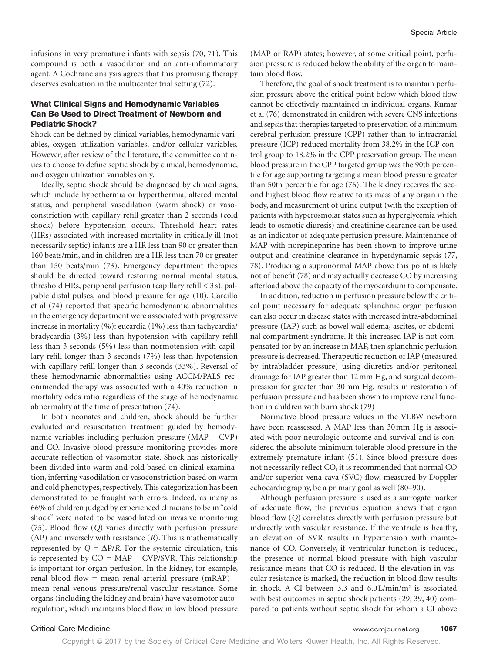infusions in very premature infants with sepsis (70, 71). This compound is both a vasodilator and an anti-inflammatory agent. A Cochrane analysis agrees that this promising therapy deserves evaluation in the multicenter trial setting (72).

## **What Clinical Signs and Hemodynamic Variables Can Be Used to Direct Treatment of Newborn and Pediatric Shock?**

Shock can be defined by clinical variables, hemodynamic variables, oxygen utilization variables, and/or cellular variables. However, after review of the literature, the committee continues to choose to define septic shock by clinical, hemodynamic, and oxygen utilization variables only.

Ideally, septic shock should be diagnosed by clinical signs, which include hypothermia or hyperthermia, altered mental status, and peripheral vasodilation (warm shock) or vasoconstriction with capillary refill greater than 2 seconds (cold shock) before hypotension occurs. Threshold heart rates (HRs) associated with increased mortality in critically ill (not necessarily septic) infants are a HR less than 90 or greater than 160 beats/min, and in children are a HR less than 70 or greater than 150 beats/min (73). Emergency department therapies should be directed toward restoring normal mental status, threshold HRs, peripheral perfusion (capillary refill < 3 s), palpable distal pulses, and blood pressure for age (10). Carcillo et al (74) reported that specific hemodynamic abnormalities in the emergency department were associated with progressive increase in mortality (%): eucardia (1%) less than tachycardia/ bradycardia (3%) less than hypotension with capillary refill less than 3 seconds (5%) less than normotension with capillary refill longer than 3 seconds (7%) less than hypotension with capillary refill longer than 3 seconds (33%). Reversal of these hemodynamic abnormalities using ACCM/PALS recommended therapy was associated with a 40% reduction in mortality odds ratio regardless of the stage of hemodynamic abnormality at the time of presentation (74).

In both neonates and children, shock should be further evaluated and resuscitation treatment guided by hemodynamic variables including perfusion pressure (MAP – CVP) and CO. Invasive blood pressure monitoring provides more accurate reflection of vasomotor state. Shock has historically been divided into warm and cold based on clinical examination, inferring vasodilation or vasoconstriction based on warm and cold phenotypes, respectively. This categorization has been demonstrated to be fraught with errors. Indeed, as many as 66% of children judged by experienced clinicians to be in "cold shock" were noted to be vasodilated on invasive monitoring (75). Blood flow (*Q*) varies directly with perfusion pressure  $(\Delta P)$  and inversely with resistance  $(R)$ . This is mathematically represented by  $Q = \Delta P/R$ . For the systemic circulation, this is represented by  $CO = MAP - CVP/SVR$ . This relationship is important for organ perfusion. In the kidney, for example, renal blood flow = mean renal arterial pressure (mRAP) – mean renal venous pressure/renal vascular resistance. Some organs (including the kidney and brain) have vasomotor autoregulation, which maintains blood flow in low blood pressure

(MAP or RAP) states; however, at some critical point, perfusion pressure is reduced below the ability of the organ to maintain blood flow.

Therefore, the goal of shock treatment is to maintain perfusion pressure above the critical point below which blood flow cannot be effectively maintained in individual organs. Kumar et al (76) demonstrated in children with severe CNS infections and sepsis that therapies targeted to preservation of a minimum cerebral perfusion pressure (CPP) rather than to intracranial pressure (ICP) reduced mortality from 38.2% in the ICP control group to 18.2% in the CPP preservation group. The mean blood pressure in the CPP targeted group was the 90th percentile for age supporting targeting a mean blood pressure greater than 50th percentile for age (76). The kidney receives the second highest blood flow relative to its mass of any organ in the body, and measurement of urine output (with the exception of patients with hyperosmolar states such as hyperglycemia which leads to osmotic diuresis) and creatinine clearance can be used as an indicator of adequate perfusion pressure. Maintenance of MAP with norepinephrine has been shown to improve urine output and creatinine clearance in hyperdynamic sepsis (77, 78). Producing a supranormal MAP above this point is likely not of benefit (78) and may actually decrease CO by increasing afterload above the capacity of the myocardium to compensate.

In addition, reduction in perfusion pressure below the critical point necessary for adequate splanchnic organ perfusion can also occur in disease states with increased intra-abdominal pressure (IAP) such as bowel wall edema, ascites, or abdominal compartment syndrome. If this increased IAP is not compensated for by an increase in MAP, then splanchnic perfusion pressure is decreased. Therapeutic reduction of IAP (measured by intrabladder pressure) using diuretics and/or peritoneal drainage for IAP greater than 12mm Hg, and surgical decompression for greater than 30mm Hg, results in restoration of perfusion pressure and has been shown to improve renal function in children with burn shock (79).

Normative blood pressure values in the VLBW newborn have been reassessed. A MAP less than 30mm Hg is associated with poor neurologic outcome and survival and is considered the absolute minimum tolerable blood pressure in the extremely premature infant (51). Since blood pressure does not necessarily reflect CO, it is recommended that normal CO and/or superior vena cava (SVC) flow, measured by Doppler echocardiography, be a primary goal as well (80–90).

Although perfusion pressure is used as a surrogate marker of adequate flow, the previous equation shows that organ blood flow (*Q*) correlates directly with perfusion pressure but indirectly with vascular resistance. If the ventricle is healthy, an elevation of SVR results in hypertension with maintenance of CO. Conversely, if ventricular function is reduced, the presence of normal blood pressure with high vascular resistance means that CO is reduced. If the elevation in vascular resistance is marked, the reduction in blood flow results in shock. A CI between 3.3 and 6.0L/min/m2 is associated with best outcomes in septic shock patients (29, 39, 40) compared to patients without septic shock for whom a CI above

## Critical Care Medicine www.ccmjournal.org **1067**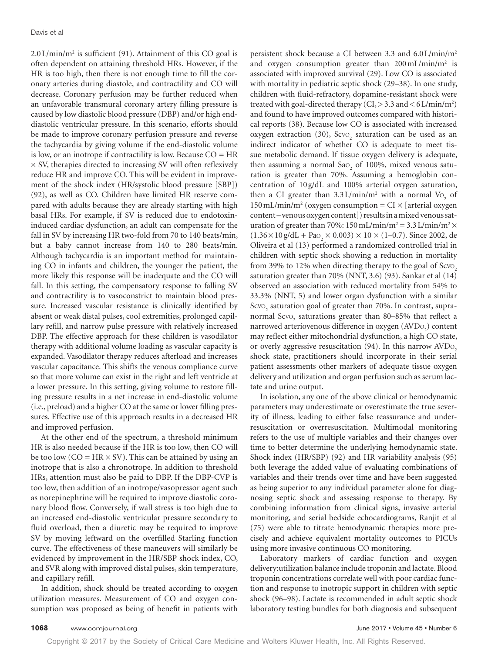2.0L/min/m2 is sufficient (91). Attainment of this CO goal is often dependent on attaining threshold HRs. However, if the HR is too high, then there is not enough time to fill the coronary arteries during diastole, and contractility and CO will decrease. Coronary perfusion may be further reduced when an unfavorable transmural coronary artery filling pressure is caused by low diastolic blood pressure (DBP) and/or high enddiastolic ventricular pressure. In this scenario, efforts should be made to improve coronary perfusion pressure and reverse the tachycardia by giving volume if the end-diastolic volume is low, or an inotrope if contractility is low. Because CO = HR  $\times$  SV, therapies directed to increasing SV will often reflexively reduce HR and improve CO. This will be evident in improvement of the shock index (HR/systolic blood pressure [SBP]) (92), as well as CO. Children have limited HR reserve compared with adults because they are already starting with high basal HRs. For example, if SV is reduced due to endotoxininduced cardiac dysfunction, an adult can compensate for the fall in SV by increasing HR two-fold from 70 to 140 beats/min, but a baby cannot increase from 140 to 280 beats/min. Although tachycardia is an important method for maintaining CO in infants and children, the younger the patient, the more likely this response will be inadequate and the CO will fall. In this setting, the compensatory response to falling SV and contractility is to vasoconstrict to maintain blood pressure. Increased vascular resistance is clinically identified by absent or weak distal pulses, cool extremities, prolonged capillary refill, and narrow pulse pressure with relatively increased DBP. The effective approach for these children is vasodilator therapy with additional volume loading as vascular capacity is expanded. Vasodilator therapy reduces afterload and increases vascular capacitance. This shifts the venous compliance curve so that more volume can exist in the right and left ventricle at a lower pressure. In this setting, giving volume to restore filling pressure results in a net increase in end-diastolic volume (i.e., preload) and a higher CO at the same or lower filling pressures. Effective use of this approach results in a decreased HR and improved perfusion.

At the other end of the spectrum, a threshold minimum HR is also needed because if the HR is too low, then CO will be too low ( $CO = HR \times SV$ ). This can be attained by using an inotrope that is also a chronotrope. In addition to threshold HRs, attention must also be paid to DBP. If the DBP-CVP is too low, then addition of an inotrope/vasopressor agent such as norepinephrine will be required to improve diastolic coronary blood flow. Conversely, if wall stress is too high due to an increased end-diastolic ventricular pressure secondary to fluid overload, then a diuretic may be required to improve SV by moving leftward on the overfilled Starling function curve. The effectiveness of these maneuvers will similarly be evidenced by improvement in the HR/SBP shock index, CO, and SVR along with improved distal pulses, skin temperature, and capillary refill.

In addition, shock should be treated according to oxygen utilization measures. Measurement of CO and oxygen consumption was proposed as being of benefit in patients with persistent shock because a CI between 3.3 and 6.0L/min/m2 and oxygen consumption greater than 200 mL/min/m<sup>2</sup> is associated with improved survival (29). Low CO is associated with mortality in pediatric septic shock (29–38). In one study, children with fluid-refractory, dopamine-resistant shock were treated with goal-directed therapy  $(CI, > 3.3$  and  $< 6 L/min/m<sup>2</sup>)$ and found to have improved outcomes compared with historical reports (38). Because low CO is associated with increased oxygen extraction (30),  $S\text{cvo}_2$  saturation can be used as an indirect indicator of whether CO is adequate to meet tissue metabolic demand. If tissue oxygen delivery is adequate, then assuming a normal  $Sao_2$  of 100%, mixed venous saturation is greater than 70%. Assuming a hemoglobin concentration of 10 g/dL and 100% arterial oxygen saturation, then a CI greater than  $3.3 \text{ L/min/m}^2$  with a normal Vo<sub>2</sub> of 150 mL/min/m<sup>2</sup> (oxygen consumption =  $CI \times$  [arterial oxygen content – venous oxygen content]) results in a mixed venous saturation of greater than 70%: 150 mL/min/m<sup>2</sup> = 3.3 L/min/m<sup>2</sup>  $\times$  $(1.36 \times 10 \text{ g/dL} + \text{PaO}_2 \times 0.003) \times 10 \times (1 - 0.7)$ . Since 2002, de Oliveira et al (13) performed a randomized controlled trial in children with septic shock showing a reduction in mortality from 39% to  $12\%$  when directing therapy to the goal of Scvo. saturation greater than 70% (NNT, 3.6) (93). Sankar et al (14) observed an association with reduced mortality from 54% to 33.3% (NNT, 5) and lower organ dysfunction with a similar  $\rm Scvo_{2}$  saturation goal of greater than 70%. In contrast, supranormal  $\text{Scvo}_2$  saturations greater than 80–85% that reflect a narrowed arteriovenous difference in oxygen  $\rm{(AVDo}_2)$  content may reflect either mitochondrial dysfunction, a high CO state, or overly aggressive resuscitation (94). In this narrow AVDo<sub>2</sub> shock state, practitioners should incorporate in their serial patient assessments other markers of adequate tissue oxygen delivery and utilization and organ perfusion such as serum lactate and urine output.

In isolation, any one of the above clinical or hemodynamic parameters may underestimate or overestimate the true severity of illness, leading to either false reassurance and underresuscitation or overresuscitation. Multimodal monitoring refers to the use of multiple variables and their changes over time to better determine the underlying hemodynamic state. Shock index (HR/SBP) (92) and HR variability analysis (95) both leverage the added value of evaluating combinations of variables and their trends over time and have been suggested as being superior to any individual parameter alone for diagnosing septic shock and assessing response to therapy. By combining information from clinical signs, invasive arterial monitoring, and serial bedside echocardiograms, Ranjit et al (75) were able to titrate hemodynamic therapies more precisely and achieve equivalent mortality outcomes to PICUs using more invasive continuous CO monitoring.

Laboratory markers of cardiac function and oxygen delivery:utilization balance include troponin and lactate. Blood troponin concentrations correlate well with poor cardiac function and response to inotropic support in children with septic shock (96–98). Lactate is recommended in adult septic shock laboratory testing bundles for both diagnosis and subsequent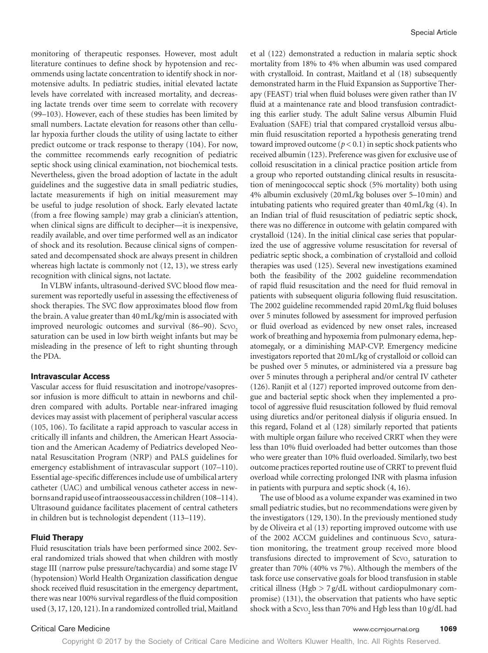monitoring of therapeutic responses. However, most adult literature continues to define shock by hypotension and recommends using lactate concentration to identify shock in normotensive adults. In pediatric studies, initial elevated lactate levels have correlated with increased mortality, and decreasing lactate trends over time seem to correlate with recovery (99–103). However, each of these studies has been limited by small numbers. Lactate elevation for reasons other than cellular hypoxia further clouds the utility of using lactate to either predict outcome or track response to therapy (104). For now, the committee recommends early recognition of pediatric septic shock using clinical examination, not biochemical tests. Nevertheless, given the broad adoption of lactate in the adult guidelines and the suggestive data in small pediatric studies, lactate measurements if high on initial measurement may be useful to judge resolution of shock. Early elevated lactate (from a free flowing sample) may grab a clinician's attention, when clinical signs are difficult to decipher—it is inexpensive, readily available, and over time performed well as an indicator of shock and its resolution. Because clinical signs of compensated and decompensated shock are always present in children whereas high lactate is commonly not (12, 13), we stress early recognition with clinical signs, not lactate.

In VLBW infants, ultrasound-derived SVC blood flow measurement was reportedly useful in assessing the effectiveness of shock therapies. The SVC flow approximates blood flow from the brain. A value greater than 40mL/kg/min is associated with improved neurologic outcomes and survival  $(86-90)$ . Scvo<sub>2</sub> saturation can be used in low birth weight infants but may be misleading in the presence of left to right shunting through the PDA.

### **Intravascular Access**

Vascular access for fluid resuscitation and inotrope/vasopressor infusion is more difficult to attain in newborns and children compared with adults. Portable near-infrared imaging devices may assist with placement of peripheral vascular access (105, 106). To facilitate a rapid approach to vascular access in critically ill infants and children, the American Heart Association and the American Academy of Pediatrics developed Neonatal Resuscitation Program (NRP) and PALS guidelines for emergency establishment of intravascular support (107–110). Essential age-specific differences include use of umbilical artery catheter (UAC) and umbilical venous catheter access in newborns and rapid use of intraosseous access in children (108–114). Ultrasound guidance facilitates placement of central catheters in children but is technologist dependent (113–119).

## **Fluid Therapy**

Fluid resuscitation trials have been performed since 2002. Several randomized trials showed that when children with mostly stage III (narrow pulse pressure/tachycardia) and some stage IV (hypotension) World Health Organization classification dengue shock received fluid resuscitation in the emergency department, there was near 100% survival regardless of the fluid composition used (3, 17, 120, 121). In a randomized controlled trial, Maitland

et al (122) demonstrated a reduction in malaria septic shock mortality from 18% to 4% when albumin was used compared with crystalloid. In contrast, Maitland et al (18) subsequently demonstrated harm in the Fluid Expansion as Supportive Therapy (FEAST) trial when fluid boluses were given rather than IV fluid at a maintenance rate and blood transfusion contradicting this earlier study. The adult Saline versus Albumin Fluid Evaluation (SAFE) trial that compared crystalloid versus albumin fluid resuscitation reported a hypothesis generating trend toward improved outcome ( $p < 0.1$ ) in septic shock patients who received albumin (123). Preference was given for exclusive use of colloid resuscitation in a clinical practice position article from a group who reported outstanding clinical results in resuscitation of meningococcal septic shock (5% mortality) both using 4% albumin exclusively (20mL/kg boluses over 5–10min) and intubating patients who required greater than 40mL/kg (4). In an Indian trial of fluid resuscitation of pediatric septic shock, there was no difference in outcome with gelatin compared with crystalloid (124). In the initial clinical case series that popularized the use of aggressive volume resuscitation for reversal of pediatric septic shock, a combination of crystalloid and colloid therapies was used (125). Several new investigations examined both the feasibility of the 2002 guideline recommendation of rapid fluid resuscitation and the need for fluid removal in patients with subsequent oliguria following fluid resuscitation. The 2002 guideline recommended rapid 20mL/kg fluid boluses over 5 minutes followed by assessment for improved perfusion or fluid overload as evidenced by new onset rales, increased work of breathing and hypoxemia from pulmonary edema, hepatomegaly, or a diminishing MAP-CVP. Emergency medicine investigators reported that 20mL/kg of crystalloid or colloid can be pushed over 5 minutes, or administered via a pressure bag over 5 minutes through a peripheral and/or central IV catheter (126). Ranjit et al (127) reported improved outcome from dengue and bacterial septic shock when they implemented a protocol of aggressive fluid resuscitation followed by fluid removal using diuretics and/or peritoneal dialysis if oliguria ensued. In this regard, Foland et al (128) similarly reported that patients with multiple organ failure who received CRRT when they were less than 10% fluid overloaded had better outcomes than those who were greater than 10% fluid overloaded. Similarly, two best outcome practices reported routine use of CRRT to prevent fluid overload while correcting prolonged INR with plasma infusion in patients with purpura and septic shock (4, 16).

The use of blood as a volume expander was examined in two small pediatric studies, but no recommendations were given by the investigators (129, 130). In the previously mentioned study by de Oliveira et al (13) reporting improved outcome with use of the 2002 ACCM guidelines and continuous  $\text{Scvo}_2$  saturation monitoring, the treatment group received more blood transfusions directed to improvement of  $S\text{cvo}_2$  saturation to greater than 70% (40% vs 7%). Although the members of the task force use conservative goals for blood transfusion in stable critical illness (Hgb  $> 7$  g/dL without cardiopulmonary compromise) (131), the observation that patients who have septic shock with a Scv $\mathrm{o}_2$  less than 70% and Hgb less than 10 g/dL had

## Critical Care Medicine www.ccmjournal.org **1069**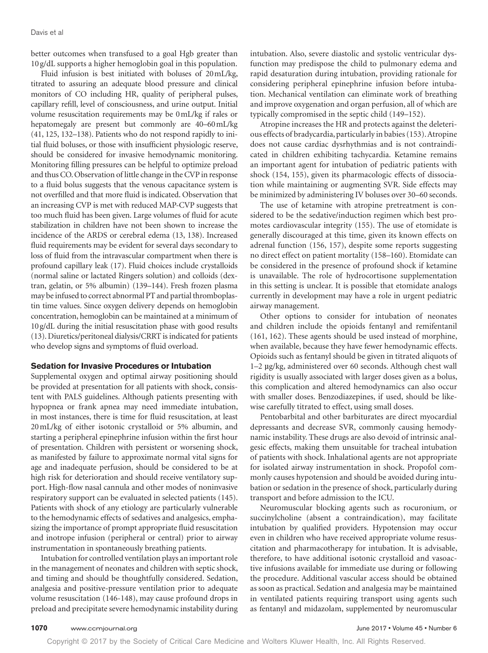better outcomes when transfused to a goal Hgb greater than 10 g/dL supports a higher hemoglobin goal in this population.

Fluid infusion is best initiated with boluses of 20mL/kg, titrated to assuring an adequate blood pressure and clinical monitors of CO including HR, quality of peripheral pulses, capillary refill, level of consciousness, and urine output. Initial volume resuscitation requirements may be 0mL/kg if rales or hepatomegaly are present but commonly are 40–60mL/kg (41, 125, 132–138). Patients who do not respond rapidly to initial fluid boluses, or those with insufficient physiologic reserve, should be considered for invasive hemodynamic monitoring. Monitoring filling pressures can be helpful to optimize preload and thus CO. Observation of little change in the CVP in response to a fluid bolus suggests that the venous capacitance system is not overfilled and that more fluid is indicated. Observation that an increasing CVP is met with reduced MAP-CVP suggests that too much fluid has been given. Large volumes of fluid for acute stabilization in children have not been shown to increase the incidence of the ARDS or cerebral edema (13, 138). Increased fluid requirements may be evident for several days secondary to loss of fluid from the intravascular compartment when there is profound capillary leak (17). Fluid choices include crystalloids (normal saline or lactated Ringers solution) and colloids (dextran, gelatin, or 5% albumin) (139–144). Fresh frozen plasma may be infused to correct abnormal PT and partial thromboplastin time values. Since oxygen delivery depends on hemoglobin concentration, hemoglobin can be maintained at a minimum of 10g/dL during the initial resuscitation phase with good results (13). Diuretics/peritoneal dialysis/CRRT is indicated for patients who develop signs and symptoms of fluid overload.

## **Sedation for Invasive Procedures or Intubation**

Supplemental oxygen and optimal airway positioning should be provided at presentation for all patients with shock, consistent with PALS guidelines. Although patients presenting with hypopnea or frank apnea may need immediate intubation, in most instances, there is time for fluid resuscitation, at least 20mL/kg of either isotonic crystalloid or 5% albumin, and starting a peripheral epinephrine infusion within the first hour of presentation. Children with persistent or worsening shock, as manifested by failure to approximate normal vital signs for age and inadequate perfusion, should be considered to be at high risk for deterioration and should receive ventilatory support. High-flow nasal cannula and other modes of noninvasive respiratory support can be evaluated in selected patients (145). Patients with shock of any etiology are particularly vulnerable to the hemodynamic effects of sedatives and analgesics, emphasizing the importance of prompt appropriate fluid resuscitation and inotrope infusion (peripheral or central) prior to airway instrumentation in spontaneously breathing patients.

Intubation for controlled ventilation plays an important role in the management of neonates and children with septic shock, and timing and should be thoughtfully considered. Sedation, analgesia and positive-pressure ventilation prior to adequate volume resuscitation (146-148), may cause profound drops in preload and precipitate severe hemodynamic instability during

intubation. Also, severe diastolic and systolic ventricular dysfunction may predispose the child to pulmonary edema and rapid desaturation during intubation, providing rationale for considering peripheral epinephrine infusion before intubation. Mechanical ventilation can eliminate work of breathing and improve oxygenation and organ perfusion, all of which are typically compromised in the septic child (149–152).

Atropine increases the HR and protects against the deleterious effects of bradycardia, particularly in babies (153). Atropine does not cause cardiac dysrhythmias and is not contraindicated in children exhibiting tachycardia. Ketamine remains an important agent for intubation of pediatric patients with shock (154, 155), given its pharmacologic effects of dissociation while maintaining or augmenting SVR. Side effects may be minimized by administering IV boluses over 30–60 seconds.

The use of ketamine with atropine pretreatment is considered to be the sedative/induction regimen which best promotes cardiovascular integrity (155). The use of etomidate is generally discouraged at this time, given its known effects on adrenal function (156, 157), despite some reports suggesting no direct effect on patient mortality (158–160). Etomidate can be considered in the presence of profound shock if ketamine is unavailable. The role of hydrocortisone supplementation in this setting is unclear. It is possible that etomidate analogs currently in development may have a role in urgent pediatric airway management.

Other options to consider for intubation of neonates and children include the opioids fentanyl and remifentanil (161, 162). These agents should be used instead of morphine, when available, because they have fewer hemodynamic effects. Opioids such as fentanyl should be given in titrated aliquots of 1–2 µg/kg, administered over 60 seconds. Although chest wall rigidity is usually associated with larger doses given as a bolus, this complication and altered hemodynamics can also occur with smaller doses. Benzodiazepines, if used, should be likewise carefully titrated to effect, using small doses.

Pentobarbital and other barbiturates are direct myocardial depressants and decrease SVR, commonly causing hemodynamic instability. These drugs are also devoid of intrinsic analgesic effects, making them unsuitable for tracheal intubation of patients with shock. Inhalational agents are not appropriate for isolated airway instrumentation in shock. Propofol commonly causes hypotension and should be avoided during intubation or sedation in the presence of shock, particularly during transport and before admission to the ICU.

Neuromuscular blocking agents such as rocuronium, or succinylcholine (absent a contraindication), may facilitate intubation by qualified providers. Hypotension may occur even in children who have received appropriate volume resuscitation and pharmacotherapy for intubation. It is advisable, therefore, to have additional isotonic crystalloid and vasoactive infusions available for immediate use during or following the procedure. Additional vascular access should be obtained as soon as practical. Sedation and analgesia may be maintained in ventilated patients requiring transport using agents such as fentanyl and midazolam, supplemented by neuromuscular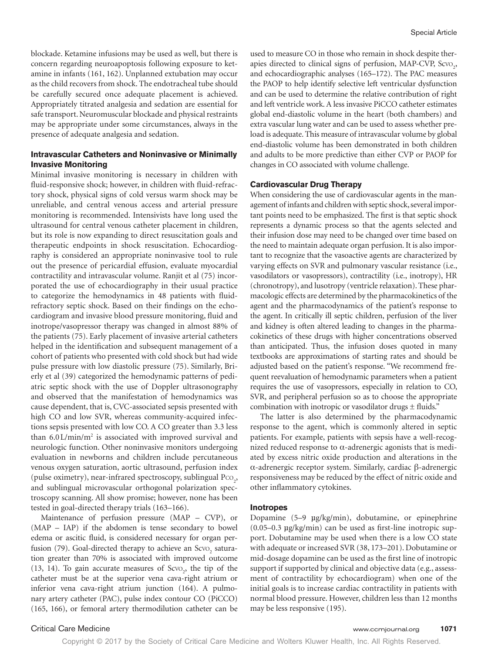blockade. Ketamine infusions may be used as well, but there is concern regarding neuroapoptosis following exposure to ketamine in infants (161, 162). Unplanned extubation may occur as the child recovers from shock. The endotracheal tube should be carefully secured once adequate placement is achieved. Appropriately titrated analgesia and sedation are essential for safe transport. Neuromuscular blockade and physical restraints may be appropriate under some circumstances, always in the presence of adequate analgesia and sedation.

## **Intravascular Catheters and Noninvasive or Minimally Invasive Monitoring**

Minimal invasive monitoring is necessary in children with fluid-responsive shock; however, in children with fluid-refractory shock, physical signs of cold versus warm shock may be unreliable, and central venous access and arterial pressure monitoring is recommended. Intensivists have long used the ultrasound for central venous catheter placement in children, but its role is now expanding to direct resuscitation goals and therapeutic endpoints in shock resuscitation. Echocardiography is considered an appropriate noninvasive tool to rule out the presence of pericardial effusion, evaluate myocardial contractility and intravascular volume. Ranjit et al (75) incorporated the use of echocardiography in their usual practice to categorize the hemodynamics in 48 patients with fluidrefractory septic shock. Based on their findings on the echocardiogram and invasive blood pressure monitoring, fluid and inotrope/vasopressor therapy was changed in almost 88% of the patients (75). Early placement of invasive arterial catheters helped in the identification and subsequent management of a cohort of patients who presented with cold shock but had wide pulse pressure with low diastolic pressure (75). Similarly, Brierly et al (39) categorized the hemodynamic patterns of pediatric septic shock with the use of Doppler ultrasonography and observed that the manifestation of hemodynamics was cause dependent, that is, CVC-associated sepsis presented with high CO and low SVR, whereas community-acquired infections sepsis presented with low CO. A CO greater than 3.3 less than 6.0 L/min/m<sup>2</sup> is associated with improved survival and neurologic function. Other noninvasive monitors undergoing evaluation in newborns and children include percutaneous venous oxygen saturation, aortic ultrasound, perfusion index (pulse oximetry), near-infrared spectroscopy, sublingual  ${\rm Pco}_2,$ and sublingual microvascular orthogonal polarization spectroscopy scanning. All show promise; however, none has been tested in goal-directed therapy trials (163–166).

Maintenance of perfusion pressure (MAP – CVP), or (MAP – IAP) if the abdomen is tense secondary to bowel edema or ascitic fluid, is considered necessary for organ perfusion (79). Goal-directed therapy to achieve an Scvo<sub>2</sub> saturation greater than 70% is associated with improved outcome (13, 14). To gain accurate measures of  $Scvo_2$ , the tip of the catheter must be at the superior vena cava-right atrium or inferior vena cava-right atrium junction (164). A pulmonary artery catheter (PAC), pulse index contour CO (PiCCO) (165, 166), or femoral artery thermodilution catheter can be

used to measure CO in those who remain in shock despite therapies directed to clinical signs of perfusion, MAP-CVP,  $Scvo<sub>2</sub>$ , and echocardiographic analyses (165–172). The PAC measures the PAOP to help identify selective left ventricular dysfunction and can be used to determine the relative contribution of right and left ventricle work. A less invasive PiCCO catheter estimates global end-diastolic volume in the heart (both chambers) and extra vascular lung water and can be used to assess whether preload is adequate. This measure of intravascular volume by global end-diastolic volume has been demonstrated in both children and adults to be more predictive than either CVP or PAOP for changes in CO associated with volume challenge.

## **Cardiovascular Drug Therapy**

When considering the use of cardiovascular agents in the management of infants and children with septic shock, several important points need to be emphasized. The first is that septic shock represents a dynamic process so that the agents selected and their infusion dose may need to be changed over time based on the need to maintain adequate organ perfusion. It is also important to recognize that the vasoactive agents are characterized by varying effects on SVR and pulmonary vascular resistance (i.e., vasodilators or vasopressors), contractility (i.e., inotropy), HR (chronotropy), and lusotropy (ventricle relaxation). These pharmacologic effects are determined by the pharmacokinetics of the agent and the pharmacodynamics of the patient's response to the agent. In critically ill septic children, perfusion of the liver and kidney is often altered leading to changes in the pharmacokinetics of these drugs with higher concentrations observed than anticipated. Thus, the infusion doses quoted in many textbooks are approximations of starting rates and should be adjusted based on the patient's response. "We recommend frequent reevaluation of hemodynamic parameters when a patient requires the use of vasopressors, especially in relation to CO, SVR, and peripheral perfusion so as to choose the appropriate combination with inotropic or vasodilator drugs  $\pm$  fluids."

The latter is also determined by the pharmacodynamic response to the agent, which is commonly altered in septic patients. For example, patients with sepsis have a well-recognized reduced response to  $α$ -adrenergic agonists that is mediated by excess nitric oxide production and alterations in the α-adrenergic receptor system. Similarly, cardiac β-adrenergic responsiveness may be reduced by the effect of nitric oxide and other inflammatory cytokines.

### **Inotropes**

Dopamine (5–9 µg/kg/min), dobutamine, or epinephrine (0.05–0.3 µg/kg/min) can be used as first-line inotropic support. Dobutamine may be used when there is a low CO state with adequate or increased SVR (38, 173–201). Dobutamine or mid-dosage dopamine can be used as the first line of inotropic support if supported by clinical and objective data (e.g., assessment of contractility by echocardiogram) when one of the initial goals is to increase cardiac contractility in patients with normal blood pressure. However, children less than 12 months may be less responsive (195).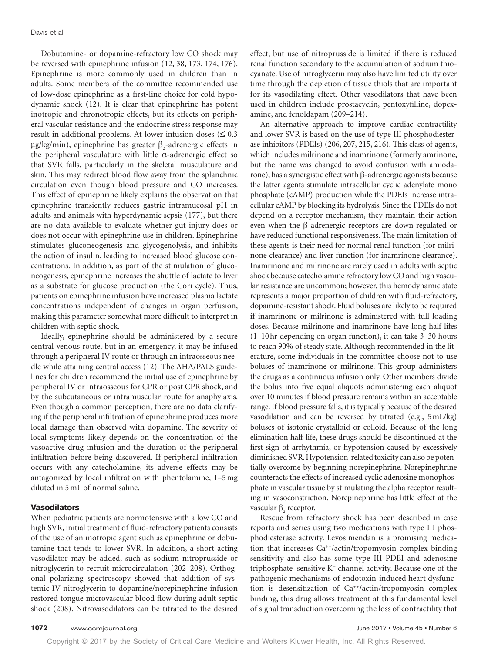Dobutamine- or dopamine-refractory low CO shock may be reversed with epinephrine infusion (12, 38, 173, 174, 176). Epinephrine is more commonly used in children than in adults. Some members of the committee recommended use of low-dose epinephrine as a first-line choice for cold hypodynamic shock (12). It is clear that epinephrine has potent inotropic and chronotropic effects, but its effects on peripheral vascular resistance and the endocrine stress response may result in additional problems. At lower infusion doses ( $\leq 0.3$ )  $\mu$ g/kg/min), epinephrine has greater  $\beta_2$ -adrenergic effects in the peripheral vasculature with little α-adrenergic effect so that SVR falls, particularly in the skeletal musculature and skin. This may redirect blood flow away from the splanchnic circulation even though blood pressure and CO increases. This effect of epinephrine likely explains the observation that epinephrine transiently reduces gastric intramucosal pH in adults and animals with hyperdynamic sepsis (177), but there are no data available to evaluate whether gut injury does or does not occur with epinephrine use in children. Epinephrine stimulates gluconeogenesis and glycogenolysis, and inhibits the action of insulin, leading to increased blood glucose concentrations. In addition, as part of the stimulation of gluconeogenesis, epinephrine increases the shuttle of lactate to liver as a substrate for glucose production (the Cori cycle). Thus, patients on epinephrine infusion have increased plasma lactate concentrations independent of changes in organ perfusion, making this parameter somewhat more difficult to interpret in children with septic shock.

Ideally, epinephrine should be administered by a secure central venous route, but in an emergency, it may be infused through a peripheral IV route or through an intraosseous needle while attaining central access (12). The AHA/PALS guidelines for children recommend the initial use of epinephrine by peripheral IV or intraosseous for CPR or post CPR shock, and by the subcutaneous or intramuscular route for anaphylaxis. Even though a common perception, there are no data clarifying if the peripheral infiltration of epinephrine produces more local damage than observed with dopamine. The severity of local symptoms likely depends on the concentration of the vasoactive drug infusion and the duration of the peripheral infiltration before being discovered. If peripheral infiltration occurs with any catecholamine, its adverse effects may be antagonized by local infiltration with phentolamine, 1–5mg diluted in 5mL of normal saline.

## **Vasodilators**

When pediatric patients are normotensive with a low CO and high SVR, initial treatment of fluid-refractory patients consists of the use of an inotropic agent such as epinephrine or dobutamine that tends to lower SVR. In addition, a short-acting vasodilator may be added, such as sodium nitroprusside or nitroglycerin to recruit microcirculation (202–208). Orthogonal polarizing spectroscopy showed that addition of systemic IV nitroglycerin to dopamine/norepinephrine infusion restored tongue microvascular blood flow during adult septic shock (208). Nitrovasodilators can be titrated to the desired

effect, but use of nitroprusside is limited if there is reduced renal function secondary to the accumulation of sodium thiocyanate. Use of nitroglycerin may also have limited utility over time through the depletion of tissue thiols that are important for its vasodilating effect. Other vasodilators that have been used in children include prostacyclin, pentoxyfilline, dopexamine, and fenoldapam (209–214).

An alternative approach to improve cardiac contractility and lower SVR is based on the use of type III phosphodiesterase inhibitors (PDEIs) (206, 207, 215, 216). This class of agents, which includes milrinone and inamrinone (formerly amrinone, but the name was changed to avoid confusion with amiodarone), has a synergistic effect with β-adrenergic agonists because the latter agents stimulate intracellular cyclic adenylate mono phosphate (cAMP) production while the PDEIs increase intracellular cAMP by blocking its hydrolysis. Since the PDEIs do not depend on a receptor mechanism, they maintain their action even when the β-adrenergic receptors are down-regulated or have reduced functional responsiveness. The main limitation of these agents is their need for normal renal function (for milrinone clearance) and liver function (for inamrinone clearance). Inamrinone and milrinone are rarely used in adults with septic shock because catecholamine refractory low CO and high vascular resistance are uncommon; however, this hemodynamic state represents a major proportion of children with fluid-refractory, dopamine-resistant shock. Fluid boluses are likely to be required if inamrinone or milrinone is administered with full loading doses. Because milrinone and inamrinone have long half-lifes (1–10hr depending on organ function), it can take 3–30 hours to reach 90% of steady state. Although recommended in the literature, some individuals in the committee choose not to use boluses of inamrinone or milrinone. This group administers the drugs as a continuous infusion only. Other members divide the bolus into five equal aliquots administering each aliquot over 10 minutes if blood pressure remains within an acceptable range. If blood pressure falls, it is typically because of the desired vasodilation and can be reversed by titrated (e.g., 5mL/kg) boluses of isotonic crystalloid or colloid. Because of the long elimination half-life, these drugs should be discontinued at the first sign of arrhythmia, or hypotension caused by excessively diminished SVR. Hypotension-related toxicity can also be potentially overcome by beginning norepinephrine. Norepinephrine counteracts the effects of increased cyclic adenosine monophosphate in vascular tissue by stimulating the alpha receptor resulting in vasoconstriction. Norepinephrine has little effect at the vascular  $\beta_2$  receptor.

Rescue from refractory shock has been described in case reports and series using two medications with type III phosphodiesterase activity. Levosimendan is a promising medication that increases Ca<sup>++</sup>/actin/tropomyosin complex binding sensitivity and also has some type III PDEI and adenosine triphosphate–sensitive  $K^+$  channel activity. Because one of the pathogenic mechanisms of endotoxin-induced heart dysfunction is desensitization of Ca++/actin/tropomyosin complex binding, this drug allows treatment at this fundamental level of signal transduction overcoming the loss of contractility that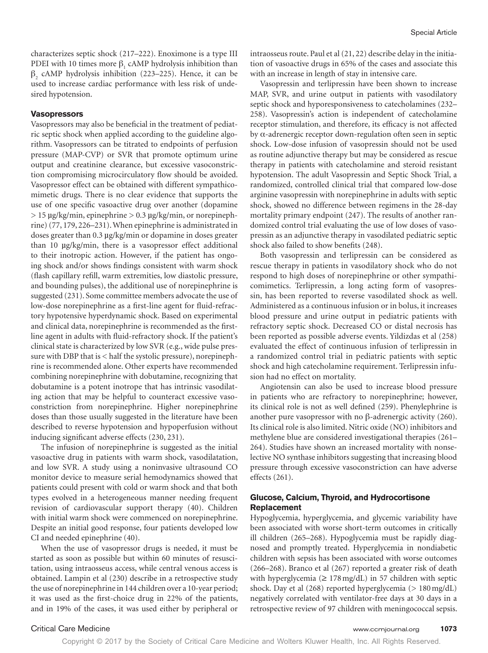characterizes septic shock (217–222). Enoximone is a type III PDEI with 10 times more  $\beta_1$  cAMP hydrolysis inhibition than  $\beta_2$  cAMP hydrolysis inhibition (223–225). Hence, it can be used to increase cardiac performance with less risk of undesired hypotension.

## **Vasopressors**

Vasopressors may also be beneficial in the treatment of pediatric septic shock when applied according to the guideline algorithm. Vasopressors can be titrated to endpoints of perfusion pressure (MAP-CVP) or SVR that promote optimum urine output and creatinine clearance, but excessive vasoconstriction compromising microcirculatory flow should be avoided. Vasopressor effect can be obtained with different sympathicomimetic drugs. There is no clear evidence that supports the use of one specific vasoactive drug over another (dopamine  $> 15 \mu g/kg/min$ , epinephrine  $> 0.3 \mu g/kg/min$ , or norepinephrine) (77, 179, 226–231). When epinephrine is administrated in doses greater than 0.3 µg/kg/min or dopamine in doses greater than 10 µg/kg/min, there is a vasopressor effect additional to their inotropic action. However, if the patient has ongoing shock and/or shows findings consistent with warm shock (flash capillary refill, warm extremities, low diastolic pressure, and bounding pulses), the additional use of norepinephrine is suggested (231). Some committee members advocate the use of low-dose norepinephrine as a first-line agent for fluid-refractory hypotensive hyperdynamic shock. Based on experimental and clinical data, norepinephrine is recommended as the firstline agent in adults with fluid-refractory shock. If the patient's clinical state is characterized by low SVR (e.g., wide pulse pressure with DBP that is < half the systolic pressure), norepinephrine is recommended alone. Other experts have recommended combining norepinephrine with dobutamine, recognizing that dobutamine is a potent inotrope that has intrinsic vasodilating action that may be helpful to counteract excessive vasoconstriction from norepinephrine. Higher norepinephrine doses than those usually suggested in the literature have been described to reverse hypotension and hypoperfusion without inducing significant adverse effects (230, 231).

The infusion of norepinephrine is suggested as the initial vasoactive drug in patients with warm shock, vasodilatation, and low SVR. A study using a noninvasive ultrasound CO monitor device to measure serial hemodynamics showed that patients could present with cold or warm shock and that both types evolved in a heterogeneous manner needing frequent revision of cardiovascular support therapy (40). Children with initial warm shock were commenced on norepinephrine. Despite an initial good response, four patients developed low CI and needed epinephrine (40).

When the use of vasopressor drugs is needed, it must be started as soon as possible but within 60 minutes of resuscitation, using intraosseus access, while central venous access is obtained. Lampin et al (230) describe in a retrospective study the use of norepinephrine in 144 children over a 10-year period; it was used as the first-choice drug in 22% of the patients, and in 19% of the cases, it was used either by peripheral or

intraosseus route. Paul et al (21, 22) describe delay in the initiation of vasoactive drugs in 65% of the cases and associate this with an increase in length of stay in intensive care.

Vasopressin and terlipressin have been shown to increase MAP, SVR, and urine output in patients with vasodilatory septic shock and hyporesponsiveness to catecholamines (232– 258). Vasopressin's action is independent of catecholamine receptor stimulation, and therefore, its efficacy is not affected by α-adrenergic receptor down-regulation often seen in septic shock. Low-dose infusion of vasopressin should not be used as routine adjunctive therapy but may be considered as rescue therapy in patients with catecholamine and steroid resistant hypotension. The adult Vasopressin and Septic Shock Trial, a randomized, controlled clinical trial that compared low-dose arginine vasopressin with norepinephrine in adults with septic shock, showed no difference between regimens in the 28-day mortality primary endpoint (247). The results of another randomized control trial evaluating the use of low doses of vasopressin as an adjunctive therapy in vasodilated pediatric septic shock also failed to show benefits (248).

Both vasopressin and terlipressin can be considered as rescue therapy in patients in vasodilatory shock who do not respond to high doses of norepinephrine or other sympathicomimetics. Terlipressin, a long acting form of vasopressin, has been reported to reverse vasodilated shock as well. Administered as a continuous infusion or in bolus, it increases blood pressure and urine output in pediatric patients with refractory septic shock. Decreased CO or distal necrosis has been reported as possible adverse events. Yildizdas et al (258) evaluated the effect of continuous infusion of terlipressin in a randomized control trial in pediatric patients with septic shock and high catecholamine requirement. Terlipressin infusion had no effect on mortality.

Angiotensin can also be used to increase blood pressure in patients who are refractory to norepinephrine; however, its clinical role is not as well defined (259). Phenylephrine is another pure vasopressor with no  $β$ -adrenergic activity  $(260)$ . Its clinical role is also limited. Nitric oxide (NO) inhibitors and methylene blue are considered investigational therapies (261– 264). Studies have shown an increased mortality with nonselective NO synthase inhibitors suggesting that increasing blood pressure through excessive vasoconstriction can have adverse effects (261).

## **Glucose, Calcium, Thyroid, and Hydrocortisone Replacement**

Hypoglycemia, hyperglycemia, and glycemic variability have been associated with worse short-term outcomes in critically ill children (265–268). Hypoglycemia must be rapidly diagnosed and promptly treated. Hyperglycemia in nondiabetic children with sepsis has been associated with worse outcomes (266–268). Branco et al (267) reported a greater risk of death with hyperglycemia ( $\geq 178 \text{ mg/dL}$ ) in 57 children with septic shock. Day et al (268) reported hyperglycemia (> 180 mg/dL) negatively correlated with ventilator-free days at 30 days in a retrospective review of 97 children with meningococcal sepsis.

### Critical Care Medicine www.ccmjournal.org **1073**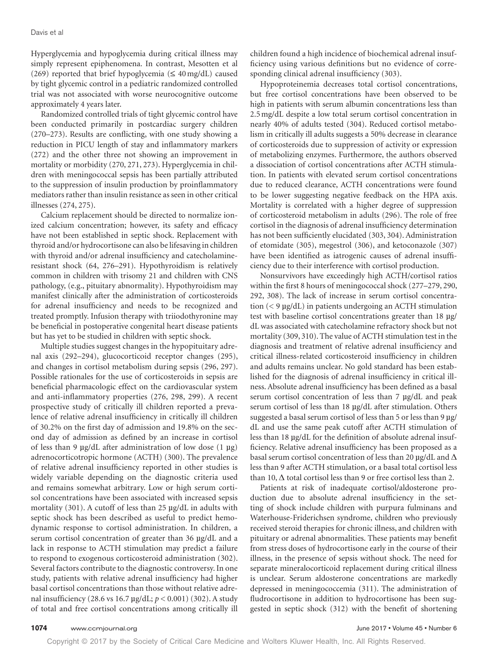Hyperglycemia and hypoglycemia during critical illness may simply represent epiphenomena. In contrast, Mesotten et al (269) reported that brief hypoglycemia ( $\leq 40$  mg/dL) caused by tight glycemic control in a pediatric randomized controlled trial was not associated with worse neurocognitive outcome approximately 4 years later.

Randomized controlled trials of tight glycemic control have been conducted primarily in postcardiac surgery children (270–273). Results are conflicting, with one study showing a reduction in PICU length of stay and inflammatory markers (272) and the other three not showing an improvement in mortality or morbidity (270, 271, 273). Hyperglycemia in children with meningococcal sepsis has been partially attributed to the suppression of insulin production by proinflammatory mediators rather than insulin resistance as seen in other critical illnesses (274, 275).

Calcium replacement should be directed to normalize ionized calcium concentration; however, its safety and efficacy have not been established in septic shock. Replacement with thyroid and/or hydrocortisone can also be lifesaving in children with thyroid and/or adrenal insufficiency and catecholamineresistant shock (64, 276–291). Hypothyroidism is relatively common in children with trisomy 21 and children with CNS pathology, (e.g., pituitary abnormality). Hypothyroidism may manifest clinically after the administration of corticosteroids for adrenal insufficiency and needs to be recognized and treated promptly. Infusion therapy with triiodothyronine may be beneficial in postoperative congenital heart disease patients but has yet to be studied in children with septic shock.

Multiple studies suggest changes in the hypopituitary adrenal axis (292–294), glucocorticoid receptor changes (295), and changes in cortisol metabolism during sepsis (296, 297). Possible rationales for the use of corticosteroids in sepsis are beneficial pharmacologic effect on the cardiovascular system and anti-inflammatory properties (276, 298, 299). A recent prospective study of critically ill children reported a prevalence of relative adrenal insufficiency in critically ill children of 30.2% on the first day of admission and 19.8% on the second day of admission as defined by an increase in cortisol of less than 9 µg/dL after administration of low dose (1 µg) adrenocorticotropic hormone (ACTH) (300). The prevalence of relative adrenal insufficiency reported in other studies is widely variable depending on the diagnostic criteria used and remains somewhat arbitrary. Low or high serum cortisol concentrations have been associated with increased sepsis mortality (301). A cutoff of less than 25 µg/dL in adults with septic shock has been described as useful to predict hemodynamic response to cortisol administration. In children, a serum cortisol concentration of greater than 36 µg/dL and a lack in response to ACTH stimulation may predict a failure to respond to exogenous corticosteroid administration (302). Several factors contribute to the diagnostic controversy. In one study, patients with relative adrenal insufficiency had higher basal cortisol concentrations than those without relative adrenal insufficiency (28.6 vs 16.7 µg/dL; *p* < 0.001) (302). A study of total and free cortisol concentrations among critically ill

children found a high incidence of biochemical adrenal insufficiency using various definitions but no evidence of corresponding clinical adrenal insufficiency (303).

Hypoproteinemia decreases total cortisol concentrations, but free cortisol concentrations have been observed to be high in patients with serum albumin concentrations less than 2.5mg/dL despite a low total serum cortisol concentration in nearly 40% of adults tested (304). Reduced cortisol metabolism in critically ill adults suggests a 50% decrease in clearance of corticosteroids due to suppression of activity or expression of metabolizing enzymes. Furthermore, the authors observed a dissociation of cortisol concentrations after ACTH stimulation. In patients with elevated serum cortisol concentrations due to reduced clearance, ACTH concentrations were found to be lower suggesting negative feedback on the HPA axis. Mortality is correlated with a higher degree of suppression of corticosteroid metabolism in adults (296). The role of free cortisol in the diagnosis of adrenal insufficiency determination has not been sufficiently elucidated (303, 304). Administration of etomidate (305), megestrol (306), and ketoconazole (307) have been identified as iatrogenic causes of adrenal insufficiency due to their interference with cortisol production.

Nonsurvivors have exceedingly high ACTH/cortisol ratios within the first 8 hours of meningococcal shock (277–279, 290, 292, 308). The lack of increase in serum cortisol concentration (< 9 µg/dL) in patients undergoing an ACTH stimulation test with baseline cortisol concentrations greater than 18 µg/ dL was associated with catecholamine refractory shock but not mortality (309, 310). The value of ACTH stimulation test in the diagnosis and treatment of relative adrenal insufficiency and critical illness-related corticosteroid insufficiency in children and adults remains unclear. No gold standard has been established for the diagnosis of adrenal insufficiency in critical illness. Absolute adrenal insufficiency has been defined as a basal serum cortisol concentration of less than 7 µg/dL and peak serum cortisol of less than 18 µg/dL after stimulation. Others suggested a basal serum cortisol of less than 5 or less than 9 µg/ dL and use the same peak cutoff after ACTH stimulation of less than 18 µg/dL for the definition of absolute adrenal insufficiency. Relative adrenal insufficiency has been proposed as a basal serum cortisol concentration of less than 20 µg/dL and  $\Delta$ less than 9 after ACTH stimulation, or a basal total cortisol less than 10,  $\Delta$  total cortisol less than 9 or free cortisol less than 2.

Patients at risk of inadequate cortisol/aldosterone production due to absolute adrenal insufficiency in the setting of shock include children with purpura fulminans and Waterhouse-Friderichsen syndrome, children who previously received steroid therapies for chronic illness, and children with pituitary or adrenal abnormalities. These patients may benefit from stress doses of hydrocortisone early in the course of their illness, in the presence of sepsis without shock. The need for separate mineralocorticoid replacement during critical illness is unclear. Serum aldosterone concentrations are markedly depressed in meningococcemia (311). The administration of fludrocortisone in addition to hydrocortisone has been suggested in septic shock (312) with the benefit of shortening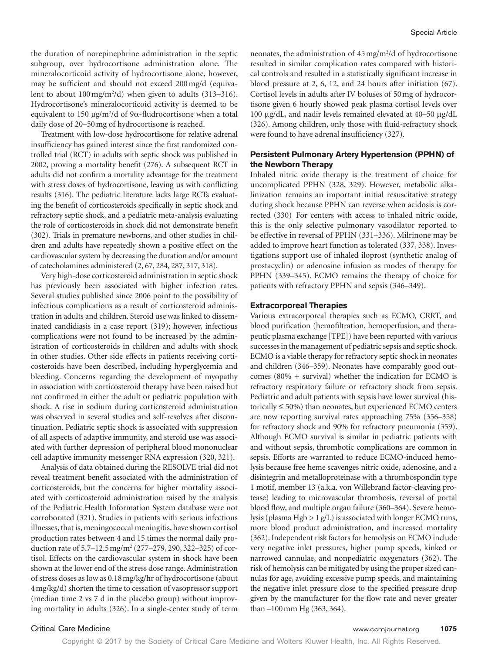the duration of norepinephrine administration in the septic subgroup, over hydrocortisone administration alone. The mineralocorticoid activity of hydrocortisone alone, however, may be sufficient and should not exceed 200mg/d (equivalent to about 100 mg/m<sup>2</sup>/d) when given to adults (313–316). Hydrocortisone's mineralocorticoid activity is deemed to be equivalent to 150  $\mu$ g/m<sup>2</sup>/d of 9 $\alpha$ -fludrocortisone when a total daily dose of 20–50mg of hydrocortisone is reached.

Treatment with low-dose hydrocortisone for relative adrenal insufficiency has gained interest since the first randomized controlled trial (RCT) in adults with septic shock was published in 2002, proving a mortality benefit (276). A subsequent RCT in adults did not confirm a mortality advantage for the treatment with stress doses of hydrocortisone, leaving us with conflicting results (316). The pediatric literature lacks large RCTs evaluating the benefit of corticosteroids specifically in septic shock and refractory septic shock, and a pediatric meta-analysis evaluating the role of corticosteroids in shock did not demonstrate benefit (302). Trials in premature newborns, and other studies in children and adults have repeatedly shown a positive effect on the cardiovascular system by decreasing the duration and/or amount of catecholamines administered (2, 67, 284, 287, 317, 318).

Very high-dose corticosteroid administration in septic shock has previously been associated with higher infection rates. Several studies published since 2006 point to the possibility of infectious complications as a result of corticosteroid administration in adults and children. Steroid use was linked to disseminated candidiasis in a case report (319); however, infectious complications were not found to be increased by the administration of corticosteroids in children and adults with shock in other studies. Other side effects in patients receiving corticosteroids have been described, including hyperglycemia and bleeding. Concerns regarding the development of myopathy in association with corticosteroid therapy have been raised but not confirmed in either the adult or pediatric population with shock. A rise in sodium during corticosteroid administration was observed in several studies and self-resolves after discontinuation. Pediatric septic shock is associated with suppression of all aspects of adaptive immunity, and steroid use was associated with further depression of peripheral blood mononuclear cell adaptive immunity messenger RNA expression (320, 321).

Analysis of data obtained during the RESOLVE trial did not reveal treatment benefit associated with the administration of corticosteroids, but the concerns for higher mortality associated with corticosteroid administration raised by the analysis of the Pediatric Health Information System database were not corroborated (321). Studies in patients with serious infectious illnesses, that is, meningococcal meningitis, have shown cortisol production rates between 4 and 15 times the normal daily production rate of 5.7–12.5 mg/m<sup>2</sup> (277–279, 290, 322–325) of cortisol. Effects on the cardiovascular system in shock have been shown at the lower end of the stress dose range. Administration of stress doses as low as 0.18mg/kg/hr of hydrocortisone (about 4mg/kg/d) shorten the time to cessation of vasopressor support (median time 2 vs 7 d in the placebo group) without improving mortality in adults (326). In a single-center study of term

neonates, the administration of 45 mg/m<sup>2</sup>/d of hydrocortisone resulted in similar complication rates compared with historical controls and resulted in a statistically significant increase in blood pressure at 2, 6, 12, and 24 hours after initiation (67). Cortisol levels in adults after IV boluses of 50mg of hydrocortisone given 6 hourly showed peak plasma cortisol levels over 100 μg/dL, and nadir levels remained elevated at 40–50 μg/dL (326). Among children, only those with fluid-refractory shock were found to have adrenal insufficiency (327).

## **Persistent Pulmonary Artery Hypertension (PPHN) of the Newborn Therapy**

Inhaled nitric oxide therapy is the treatment of choice for uncomplicated PPHN (328, 329). However, metabolic alkalinization remains an important initial resuscitative strategy during shock because PPHN can reverse when acidosis is corrected (330). For centers with access to inhaled nitric oxide, this is the only selective pulmonary vasodilator reported to be effective in reversal of PPHN (331–336). Milrinone may be added to improve heart function as tolerated (337, 338). Investigations support use of inhaled iloprost (synthetic analog of prostacyclin) or adenosine infusion as modes of therapy for PPHN (339–345). ECMO remains the therapy of choice for patients with refractory PPHN and sepsis (346–349).

### **Extracorporeal Therapies**

Various extracorporeal therapies such as ECMO, CRRT, and blood purification (hemofiltration, hemoperfusion, and therapeutic plasma exchange [TPE]) have been reported with various successes in the management of pediatric sepsis and septic shock. ECMO is a viable therapy for refractory septic shock in neonates and children (346–359). Neonates have comparably good outcomes (80% + survival) whether the indication for ECMO is refractory respiratory failure or refractory shock from sepsis. Pediatric and adult patients with sepsis have lower survival (historically ≤ 50%) than neonates, but experienced ECMO centers are now reporting survival rates approaching 75% (356–358) for refractory shock and 90% for refractory pneumonia (359). Although ECMO survival is similar in pediatric patients with and without sepsis, thrombotic complications are common in sepsis. Efforts are warranted to reduce ECMO-induced hemolysis because free heme scavenges nitric oxide, adenosine, and a disintegrin and metalloproteinase with a thrombospondin type 1 motif, member 13 (a.k.a. von Willebrand factor-cleaving protease) leading to microvascular thrombosis, reversal of portal blood flow, and multiple organ failure (360–364). Severe hemolysis (plasma Hgb > 1g/L) is associated with longer ECMO runs, more blood product administration, and increased mortality (362). Independent risk factors for hemolysis on ECMO include very negative inlet pressures, higher pump speeds, kinked or narrowed cannulae, and nonpediatric oxygenators (362). The risk of hemolysis can be mitigated by using the proper sized cannulas for age, avoiding excessive pump speeds, and maintaining the negative inlet pressure close to the specified pressure drop given by the manufacturer for the flow rate and never greater than –100mm Hg (363, 364).

### Critical Care Medicine www.ccmjournal.org **1075**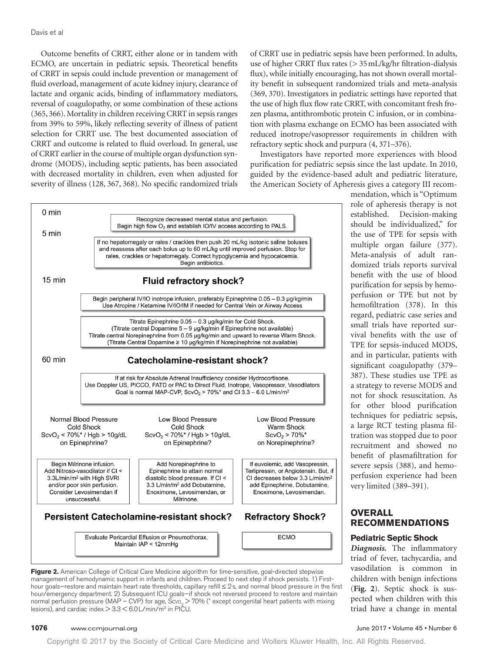Outcome benefits of CRRT, either alone or in tandem with ECMO, are uncertain in pediatric sepsis. Theoretical benefits of CRRT in sepsis could include prevention or management of fluid overload, management of acute kidney injury, clearance of lactate and organic acids, binding of inflammatory mediators, reversal of coagulopathy, or some combination of these actions (365, 366). Mortality in children receiving CRRT in sepsis ranges from 39% to 59%, likely reflecting severity of illness of patient selection for CRRT use. The best documented association of CRRT and outcome is related to fluid overload. In general, use of CRRT earlier in the course of multiple organ dysfunction syndrome (MODS), including septic patients, has been associated with decreased mortality in children, even when adjusted for severity of illness (128, 367, 368). No specific randomized trials of CRRT use in pediatric sepsis have been performed. In adults, use of higher CRRT flux rates (> 35mL/kg/hr filtration-dialysis flux), while initially encouraging, has not shown overall mortality benefit in subsequent randomized trials and meta-analysis (369, 370). Investigators in pediatric settings have reported that the use of high flux flow rate CRRT, with concomitant fresh frozen plasma, antithrombotic protein C infusion, or in combination with plasma exchange on ECMO has been associated with reduced inotrope/vasopressor requirements in children with refractory septic shock and purpura (4, 371–376).

Investigators have reported more experiences with blood purification for pediatric sepsis since the last update. In 2010, guided by the evidence-based adult and pediatric literature, the American Society of Apheresis gives a category III recom-



Figure 2. American College of Critical Care Medicine algorithm for time-sensitive, goal-directed stepwise management of hemodynamic support in infants and children. Proceed to next step if shock persists. 1) Firsthour goals—restore and maintain heart rate thresholds, capillary refill ≤ 2s, and normal blood pressure in the first hour/emergency department. 2) Subsequent ICU goals—if shock not reversed proceed to restore and maintain normal perfusion pressure (MAP – CVP) for age,  $\rm Scvo_{2}$  > 70% (\* except congenital heart patients with mixing lesions), and cardiac index  $> 3.3 < 6.0$  L/min/m<sup>2</sup> in PICU.

mendation, which is "Optimum role of apheresis therapy is not established. Decision-making should be individualized," for the use of TPE for sepsis with multiple organ failure (377). Meta-analysis of adult randomized trials reports survival benefit with the use of blood purification for sepsis by hemoperfusion or TPE but not by hemofiltration (378). In this regard, pediatric case series and small trials have reported survival benefits with the use of TPE for sepsis-induced MODS, and in particular, patients with significant coagulopathy (379– 387). These studies use TPE as a strategy to reverse MODS and not for shock resuscitation. As for other blood purification techniques for pediatric sepsis, a large RCT testing plasma filtration was stopped due to poor recruitment and showed no benefit of plasmafiltration for severe sepsis (388), and hemoperfusion experience had been very limited (389–391).

## **OVERALL RECOMMENDATIONS**

## **Pediatric Septic Shock**

*Diagnosis.* The inflammatory triad of fever, tachycardia, and vasodilation is common in children with benign infections (**Fig. 2**). Septic shock is suspected when children with this triad have a change in mental

**1076** www.ccmjournal.org **June 2017 • Volume 45 • Number 6**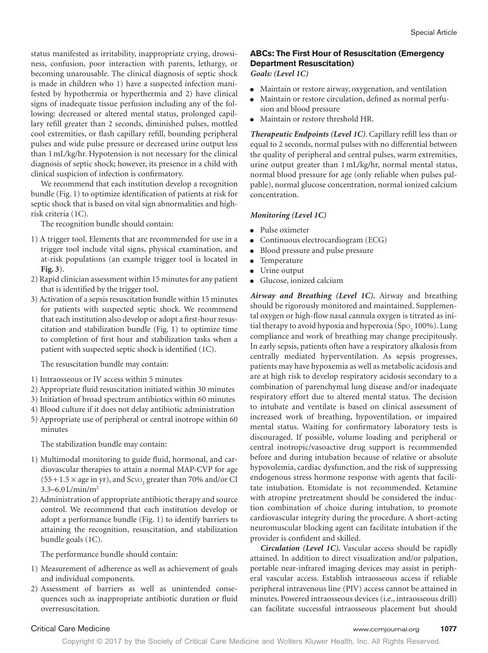status manifested as irritability, inappropriate crying, drowsiness, confusion, poor interaction with parents, lethargy, or becoming unarousable. The clinical diagnosis of septic shock is made in children who 1) have a suspected infection manifested by hypothermia or hyperthermia and 2) have clinical signs of inadequate tissue perfusion including any of the following: decreased or altered mental status, prolonged capillary refill greater than 2 seconds, diminished pulses, mottled cool extremities, or flash capillary refill, bounding peripheral pulses and wide pulse pressure or decreased urine output less than 1mL/kg/hr. Hypotension is not necessary for the clinical diagnosis of septic shock; however, its presence in a child with clinical suspicion of infection is confirmatory.

We recommend that each institution develop a recognition bundle (Fig. 1) to optimize identification of patients at risk for septic shock that is based on vital sign abnormalities and highrisk criteria (1C).

The recognition bundle should contain:

- 1) A trigger tool. Elements that are recommended for use in a trigger tool include vital signs, physical examination, and at-risk populations (an example trigger tool is located in **Fig. 3**).
- 2) Rapid clinician assessment within 15 minutes for any patient that is identified by the trigger tool.
- 3) Activation of a sepsis resuscitation bundle within 15 minutes for patients with suspected septic shock. We recommend that each institution also develop or adopt a first-hour resuscitation and stabilization bundle (Fig. 1) to optimize time to completion of first hour and stabilization tasks when a patient with suspected septic shock is identified (1C).

The resuscitation bundle may contain:

- 1) Intraosseous or IV access within 5 minutes
- 2) Appropriate fluid resuscitation initiated within 30 minutes
- 3) Initiation of broad spectrum antibiotics within 60 minutes
- 4) Blood culture if it does not delay antibiotic administration
- 5) Appropriate use of peripheral or central inotrope within 60 minutes

The stabilization bundle may contain:

- 1) Multimodal monitoring to guide fluid, hormonal, and cardiovascular therapies to attain a normal MAP-CVP for age  $(55+1.5\times$ age in yr), and  $\text{Scvo}_2$  greater than 70% and/or CI 3.3–6.0L/min/m2
- 2) Administration of appropriate antibiotic therapy and source control. We recommend that each institution develop or adopt a performance bundle (Fig. 1) to identify barriers to attaining the recognition, resuscitation, and stabilization bundle goals (1C).

The performance bundle should contain:

- 1) Measurement of adherence as well as achievement of goals and individual components.
- 2) Assessment of barriers as well as unintended consequences such as inappropriate antibiotic duration or fluid overresuscitation.

## **ABCs: The First Hour of Resuscitation (Emergency Department Resuscitation)** *Goals: (Level 1C)*

- Maintain or restore airway, oxygenation, and ventilation
- Maintain or restore circulation, defined as normal perfusion and blood pressure
- Maintain or restore threshold HR.

*Therapeutic Endpoints (Level 1C)*. Capillary refill less than or equal to 2 seconds, normal pulses with no differential between the quality of peripheral and central pulses, warm extremities, urine output greater than 1mL/kg/hr, normal mental status, normal blood pressure for age (only reliable when pulses palpable), normal glucose concentration, normal ionized calcium concentration.

## *Monitoring (Level 1C)*

- Pulse oximeter
- Continuous electrocardiogram (ECG)
- Blood pressure and pulse pressure
- Temperature
- Urine output
- Glucose, ionized calcium

*Airway and Breathing (Level 1C).* Airway and breathing should be rigorously monitored and maintained. Supplemental oxygen or high-flow nasal cannula oxygen is titrated as initial therapy to avoid hypoxia and hyperoxia (Spo $_2$  100%). Lung compliance and work of breathing may change precipitously. In early sepsis, patients often have a respiratory alkalosis from centrally mediated hyperventilation. As sepsis progresses, patients may have hypoxemia as well as metabolic acidosis and are at high risk to develop respiratory acidosis secondary to a combination of parenchymal lung disease and/or inadequate respiratory effort due to altered mental status. The decision to intubate and ventilate is based on clinical assessment of increased work of breathing, hypoventilation, or impaired mental status. Waiting for confirmatory laboratory tests is discouraged. If possible, volume loading and peripheral or central inotropic/vasoactive drug support is recommended before and during intubation because of relative or absolute hypovolemia, cardiac dysfunction, and the risk of suppressing endogenous stress hormone response with agents that facilitate intubation. Etomidate is not recommended. Ketamine with atropine pretreatment should be considered the induction combination of choice during intubation, to promote cardiovascular integrity during the procedure. A short-acting neuromuscular blocking agent can facilitate intubation if the provider is confident and skilled.

*Circulation (Level 1C).* Vascular access should be rapidly attained. In addition to direct visualization and/or palpation, portable near-infrared imaging devices may assist in peripheral vascular access. Establish intraosseous access if reliable peripheral intravenous line (PIV) access cannot be attained in minutes. Powered intraosseous devices (i.e., intraosseous drill) can facilitate successful intraosseous placement but should

## Critical Care Medicine www.ccmjournal.org **1077**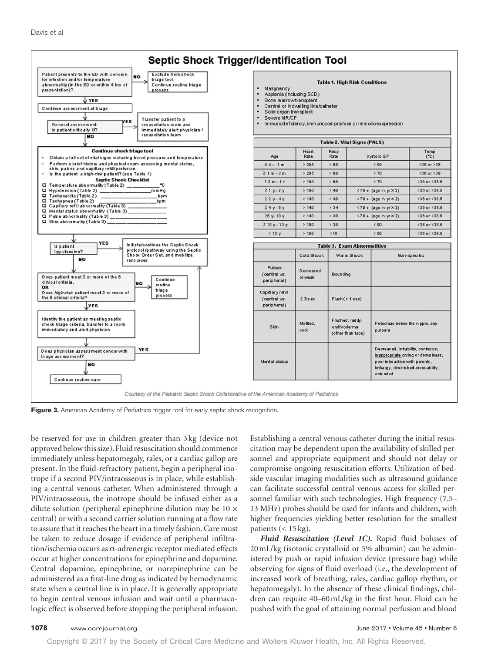

**Figure 3.** American Academy of Pediatrics trigger tool for early septic shock recognition.

be reserved for use in children greater than 3 kg (device not approved below this size). Fluid resuscitation should commence immediately unless hepatomegaly, rales, or a cardiac gallop are present. In the fluid-refractory patient, begin a peripheral inotrope if a second PIV/intraosseous is in place, while establishing a central venous catheter. When administered through a PIV/intraosseous, the inotrope should be infused either as a dilute solution (peripheral epinephrine dilution may be  $10 \times$ central) or with a second carrier solution running at a flow rate to assure that it reaches the heart in a timely fashion. Care must be taken to reduce dosage if evidence of peripheral infiltration/ischemia occurs as α-adrenergic receptor mediated effects occur at higher concentrations for epinephrine and dopamine. Central dopamine, epinephrine, or norepinephrine can be administered as a first-line drug as indicated by hemodynamic state when a central line is in place. It is generally appropriate to begin central venous infusion and wait until a pharmacologic effect is observed before stopping the peripheral infusion.

Establishing a central venous catheter during the initial resuscitation may be dependent upon the availability of skilled personnel and appropriate equipment and should not delay or compromise ongoing resuscitation efforts. Utilization of bedside vascular imaging modalities such as ultrasound guidance can facilitate successful central venous access for skilled personnel familiar with such technologies. High frequency (7.5– 13 MHz) probes should be used for infants and children, with higher frequencies yielding better resolution for the smallest patients  $(< 15 \text{ kg})$ .

*Fluid Resuscitation (Level 1C).* Rapid fluid boluses of 20mL/kg (isotonic crystalloid or 5% albumin) can be administered by push or rapid infusion device (pressure bag) while observing for signs of fluid overload (i.e., the development of increased work of breathing, rales, cardiac gallop rhythm, or hepatomegaly). In the absence of these clinical findings, children can require 40–60mL/kg in the first hour. Fluid can be pushed with the goal of attaining normal perfusion and blood

## **1078** www.ccmjournal.org **June 2017 • Volume 45 • Number 6**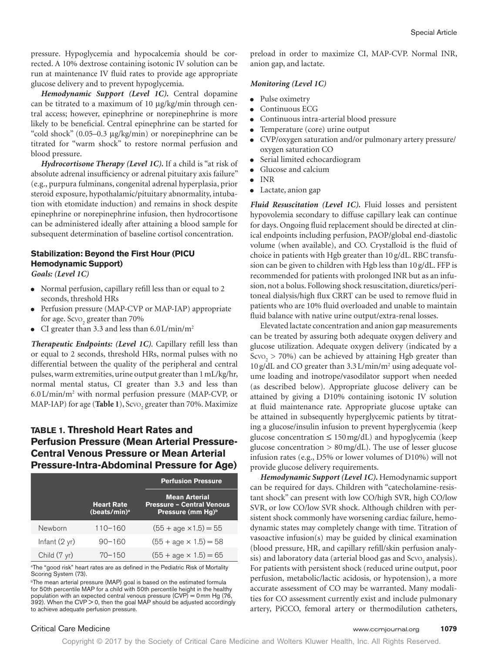pressure. Hypoglycemia and hypocalcemia should be corrected. A 10% dextrose containing isotonic IV solution can be run at maintenance IV fluid rates to provide age appropriate glucose delivery and to prevent hypoglycemia.

*Hemodynamic Support (Level 1C).* Central dopamine can be titrated to a maximum of 10 μg/kg/min through central access; however, epinephrine or norepinephrine is more likely to be beneficial. Central epinephrine can be started for "cold shock" (0.05–0.3 μg/kg/min) or norepinephrine can be titrated for "warm shock" to restore normal perfusion and blood pressure.

*Hydrocortisone Therapy (Level 1C).* If a child is "at risk of absolute adrenal insufficiency or adrenal pituitary axis failure" (e.g., purpura fulminans, congenital adrenal hyperplasia, prior steroid exposure, hypothalamic/pituitary abnormality, intubation with etomidate induction) and remains in shock despite epinephrine or norepinephrine infusion, then hydrocortisone can be administered ideally after attaining a blood sample for subsequent determination of baseline cortisol concentration.

## **Stabilization: Beyond the First Hour (PICU Hemodynamic Support)**

*Goals: (Level 1C)*

- Normal perfusion, capillary refill less than or equal to 2 seconds, threshold HRs
- Perfusion pressure (MAP-CVP or MAP-IAP) appropriate for age.  $\text{Scvo}_2$  greater than 70%
- CI greater than 3.3 and less than  $6.0 \text{ L/min/m}^2$

*Therapeutic Endpoints: (Level 1C)*. Capillary refill less than or equal to 2 seconds, threshold HRs, normal pulses with no differential between the quality of the peripheral and central pulses, warm extremities, urine output greater than 1mL/kg/hr, normal mental status, CI greater than 3.3 and less than 6.0L/min/m2 with normal perfusion pressure (MAP-CVP, or MAP-IAP) for age (**Table 1**), Scvo<sub>2</sub> greater than 70%. Maximize

## **TABLE 1. Threshold Heart Rates and Perfusion Pressure (Mean Arterial Pressure-Central Venous Pressure or Mean Arterial Pressure-Intra-Abdominal Pressure for Age)**

|                 |                                               | <b>Perfusion Pressure</b>                                                                 |
|-----------------|-----------------------------------------------|-------------------------------------------------------------------------------------------|
|                 | <b>Heart Rate</b><br>(beats/min) <sup>a</sup> | <b>Mean Arterial</b><br><b>Pressure - Central Venous</b><br>Pressure (mm Hg) <sup>b</sup> |
| Newborn         | $110 - 160$                                   | $(55 + age \times 1.5) = 55$                                                              |
| Infant $(2 yr)$ | $90 - 160$                                    | $(55 + age \times 1.5) = 58$                                                              |
| Child (7 yr)    | 70–150                                        | $(55 + age \times 1.5) = 65$                                                              |

a The "good risk" heart rates are as defined in the Pediatric Risk of Mortality Scoring System (73).

b The mean arterial pressure (MAP) goal is based on the estimated formula for 50th percentile MAP for a child with 50th percentile height in the healthy population with an expected central venous pressure  $(CVP) = 0$  mm Hg (76, 392). When the CVP > 0, then the goal MAP should be adjusted accordingly to achieve adequate perfusion pressure.

preload in order to maximize CI, MAP-CVP. Normal INR, anion gap, and lactate.

### *Monitoring (Level 1C)*

- Pulse oximetry
- Continuous ECG
- Continuous intra-arterial blood pressure
- Temperature (core) urine output
- CVP/oxygen saturation and/or pulmonary artery pressure/ oxygen saturation CO
- Serial limited echocardiogram
- Glucose and calcium
- INR
- Lactate, anion gap

*Fluid Resuscitation (Level 1C).* Fluid losses and persistent hypovolemia secondary to diffuse capillary leak can continue for days. Ongoing fluid replacement should be directed at clinical endpoints including perfusion, PAOP/global end-diastolic volume (when available), and CO. Crystalloid is the fluid of choice in patients with Hgb greater than 10 g/dL. RBC transfusion can be given to children with Hgb less than 10 g/dL. FFP is recommended for patients with prolonged INR but as an infusion, not a bolus. Following shock resuscitation, diuretics/peritoneal dialysis/high flux CRRT can be used to remove fluid in patients who are 10% fluid overloaded and unable to maintain fluid balance with native urine output/extra-renal losses.

Elevated lactate concentration and anion gap measurements can be treated by assuring both adequate oxygen delivery and glucose utilization. Adequate oxygen delivery (indicated by a  $S\text{cvo}_2 > 70\%$ ) can be achieved by attaining Hgb greater than 10 g/dL and CO greater than 3.3L/min/m2 using adequate volume loading and inotrope/vasodilator support when needed (as described below). Appropriate glucose delivery can be attained by giving a D10% containing isotonic IV solution at fluid maintenance rate. Appropriate glucose uptake can be attained in subsequently hyperglycemic patients by titrating a glucose/insulin infusion to prevent hyperglycemia (keep glucose concentration ≤ 150 mg/dL) and hypoglycemia (keep glucose concentration > 80mg/dL). The use of lesser glucose infusion rates (e.g., D5% or lower volumes of D10%) will not provide glucose delivery requirements.

*Hemodynamic Support (Level 1C).* Hemodynamic support can be required for days. Children with "catecholamine-resistant shock" can present with low CO/high SVR, high CO/low SVR, or low CO/low SVR shock. Although children with persistent shock commonly have worsening cardiac failure, hemodynamic states may completely change with time. Titration of vasoactive infusion(s) may be guided by clinical examination (blood pressure, HR, and capillary refill/skin perfusion analysis) and laboratory data (arterial blood gas and  $\rm Scvo_{2}$  analysis). For patients with persistent shock (reduced urine output, poor perfusion, metabolic/lactic acidosis, or hypotension), a more accurate assessment of CO may be warranted. Many modalities for CO assessment currently exist and include pulmonary artery, PiCCO, femoral artery or thermodilution catheters,

## Critical Care Medicine www.ccmjournal.org **1079**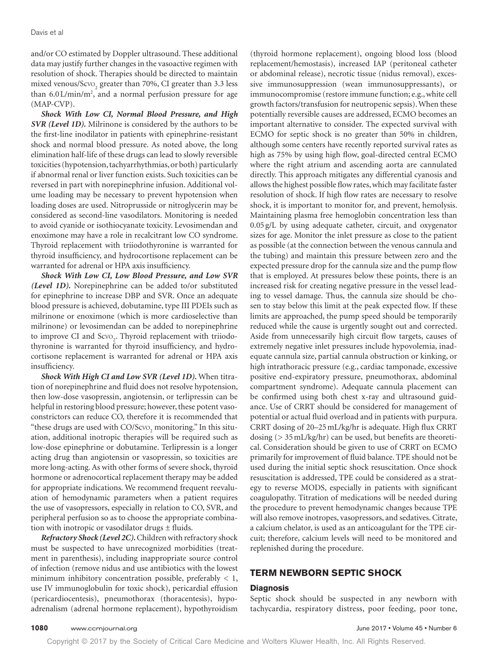and/or CO estimated by Doppler ultrasound. These additional data may justify further changes in the vasoactive regimen with resolution of shock. Therapies should be directed to maintain mixed venous/ $\rm Scvo_{2}$  greater than 70%, CI greater than 3.3 less than 6.0L/min/m<sup>2</sup>, and a normal perfusion pressure for age (MAP-CVP).

*Shock With Low CI, Normal Blood Pressure, and High SVR (Level 1D).* Milrinone is considered by the authors to be the first-line inodilator in patients with epinephrine-resistant shock and normal blood pressure. As noted above, the long elimination half-life of these drugs can lead to slowly reversible toxicities (hypotension, tachyarrhythmias, or both) particularly if abnormal renal or liver function exists. Such toxicities can be reversed in part with norepinephrine infusion. Additional volume loading may be necessary to prevent hypotension when loading doses are used. Nitroprusside or nitroglycerin may be considered as second-line vasodilators. Monitoring is needed to avoid cyanide or isothiocyanate toxicity. Levosimendan and enoximone may have a role in recalcitrant low CO syndrome. Thyroid replacement with triiodothyronine is warranted for thyroid insufficiency, and hydrocortisone replacement can be warranted for adrenal or HPA axis insufficiency.

*Shock With Low CI, Low Blood Pressure, and Low SVR (Level 1D).* Norepinephrine can be added to/or substituted for epinephrine to increase DBP and SVR. Once an adequate blood pressure is achieved, dobutamine, type III PDEIs such as milrinone or enoximone (which is more cardioselective than milrinone) or levosimendan can be added to norepinephrine to improve CI and Scvo<sub>2</sub>. Thyroid replacement with triiodothyronine is warranted for thyroid insufficiency, and hydrocortisone replacement is warranted for adrenal or HPA axis insufficiency.

*Shock With High CI and Low SVR (Level 1D).* When titration of norepinephrine and fluid does not resolve hypotension, then low-dose vasopressin, angiotensin, or terlipressin can be helpful in restoring blood pressure; however, these potent vasoconstrictors can reduce CO, therefore it is recommended that "these drugs are used with  $\mathrm{CO}/\mathrm{Scvo}_2$  monitoring." In this situation, additional inotropic therapies will be required such as low-dose epinephrine or dobutamine. Terlipressin is a longer acting drug than angiotensin or vasopressin, so toxicities are more long-acting. As with other forms of severe shock, thyroid hormone or adrenocortical replacement therapy may be added for appropriate indications. We recommend frequent reevaluation of hemodynamic parameters when a patient requires the use of vasopressors, especially in relation to CO, SVR, and peripheral perfusion so as to choose the appropriate combination with inotropic or vasodilator drugs  $\pm$  fluids.

*Refractory Shock (Level 2C).* Children with refractory shock must be suspected to have unrecognized morbidities (treatment in parenthesis), including inappropriate source control of infection (remove nidus and use antibiotics with the lowest minimum inhibitory concentration possible, preferably  $\lt 1$ , use IV immunoglobulin for toxic shock), pericardial effusion (pericardiocentesis), pneumothorax (thoracentesis), hypoadrenalism (adrenal hormone replacement), hypothyroidism

(thyroid hormone replacement), ongoing blood loss (blood replacement/hemostasis), increased IAP (peritoneal catheter or abdominal release), necrotic tissue (nidus removal), excessive immunosuppression (wean immunosuppressants), or immunocompromise (restore immune function; e.g., white cell growth factors/transfusion for neutropenic sepsis). When these potentially reversible causes are addressed, ECMO becomes an important alternative to consider. The expected survival with ECMO for septic shock is no greater than 50% in children, although some centers have recently reported survival rates as high as 75% by using high flow, goal-directed central ECMO where the right atrium and ascending aorta are cannulated directly. This approach mitigates any differential cyanosis and allows the highest possible flow rates, which may facilitate faster resolution of shock. If high flow rates are necessary to resolve shock, it is important to monitor for, and prevent, hemolysis. Maintaining plasma free hemoglobin concentration less than 0.05 g/L by using adequate catheter, circuit, and oxygenator sizes for age. Monitor the inlet pressure as close to the patient as possible (at the connection between the venous cannula and the tubing) and maintain this pressure between zero and the expected pressure drop for the cannula size and the pump flow that is employed. At pressures below these points, there is an increased risk for creating negative pressure in the vessel leading to vessel damage. Thus, the cannula size should be chosen to stay below this limit at the peak expected flow. If these limits are approached, the pump speed should be temporarily reduced while the cause is urgently sought out and corrected. Aside from unnecessarily high circuit flow targets, causes of extremely negative inlet pressures include hypovolemia, inadequate cannula size, partial cannula obstruction or kinking, or high intrathoracic pressure (e.g., cardiac tamponade, excessive positive end-expiratory pressure, pneumothorax, abdominal compartment syndrome). Adequate cannula placement can be confirmed using both chest x-ray and ultrasound guidance. Use of CRRT should be considered for management of potential or actual fluid overload and in patients with purpura. CRRT dosing of 20–25mL/kg/hr is adequate. High flux CRRT dosing (> 35mL/kg/hr) can be used, but benefits are theoretical. Consideration should be given to use of CRRT on ECMO primarily for improvement of fluid balance. TPE should not be used during the initial septic shock resuscitation. Once shock resuscitation is addressed, TPE could be considered as a strategy to reverse MODS, especially in patients with significant coagulopathy. Titration of medications will be needed during the procedure to prevent hemodynamic changes because TPE will also remove inotropes, vasopressors, and sedatives. Citrate, a calcium chelator, is used as an anticoagulant for the TPE circuit; therefore, calcium levels will need to be monitored and replenished during the procedure.

## **TERM NEWBORN SEPTIC SHOCK**

## **Diagnosis**

Septic shock should be suspected in any newborn with tachycardia, respiratory distress, poor feeding, poor tone,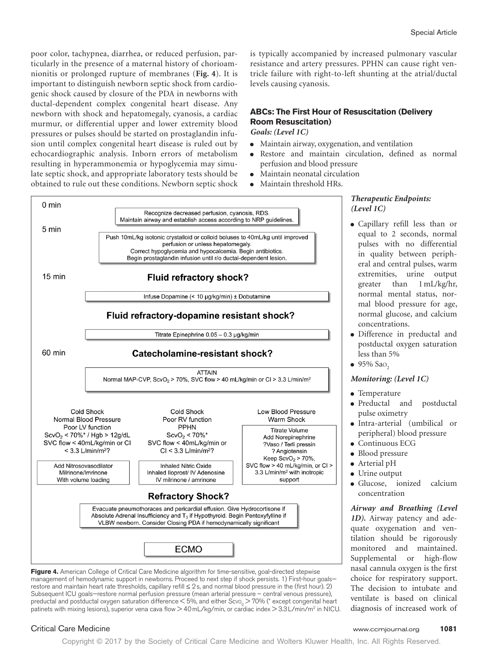poor color, tachypnea, diarrhea, or reduced perfusion, particularly in the presence of a maternal history of chorioamnionitis or prolonged rupture of membranes (**Fig. 4**). It is important to distinguish newborn septic shock from cardiogenic shock caused by closure of the PDA in newborns with ductal-dependent complex congenital heart disease. Any newborn with shock and hepatomegaly, cyanosis, a cardiac murmur, or differential upper and lower extremity blood pressures or pulses should be started on prostaglandin infusion until complex congenital heart disease is ruled out by echocardiographic analysis. Inborn errors of metabolism resulting in hyperammonemia or hypoglycemia may simulate septic shock, and appropriate laboratory tests should be obtained to rule out these conditions. Newborn septic shock is typically accompanied by increased pulmonary vascular resistance and artery pressures. PPHN can cause right ventricle failure with right-to-left shunting at the atrial/ductal levels causing cyanosis.

## **ABCs: The First Hour of Resuscitation (Delivery Room Resuscitation)** *Goals: (Level 1C)*

- 
- Maintain airway, oxygenation, and ventilation
- Restore and maintain circulation, defined as normal perfusion and blood pressure
- Maintain neonatal circulation
- Maintain threshold HRs.



Figure 4. American College of Critical Care Medicine algorithm for time-sensitive, goal-directed stepwise management of hemodynamic support in newborns. Proceed to next step if shock persists. 1) First-hour goals restore and maintain heart rate thresholds, capillary refill ≤ 2s, and normal blood pressure in the (first hour). 2) Subsequent ICU goals—restore normal perfusion pressure (mean arterial pressure – central venous pressure), preductal and postductal oxygen saturation difference  $<$  5%, and either Scvo<sub>2</sub>  $>$  70% (\* except congenital heart patinets with mixing lesions), superior vena cava flow > 40 mL/kg/min, or cardiac index > 3.3L/min/m<sup>2</sup> in NICU.

## *Therapeutic Endpoints: (Level 1C)*

- Capillary refill less than or equal to 2 seconds, normal pulses with no differential in quality between peripheral and central pulses, warm extremities, urine output greater than 1mL/kg/hr, normal mental status, normal blood pressure for age, normal glucose, and calcium concentrations.
- Difference in preductal and postductal oxygen saturation less than 5%
- $\bullet$  95% Sao<sub>2</sub>

## *Monitoring: (Level 1C)*

- Temperature
- Preductal and postductal pulse oximetry
- Intra-arterial (umbilical or peripheral) blood pressure
- Continuous ECG
- Blood pressure
- Arterial pH
- Urine output
- Glucose, ionized calcium concentration

*Airway and Breathing (Level 1D).* Airway patency and adequate oxygenation and ventilation should be rigorously monitored and maintained. Supplemental or high-flow nasal cannula oxygen is the first choice for respiratory support. The decision to intubate and ventilate is based on clinical diagnosis of increased work of

## Critical Care Medicine www.ccmjournal.org **1081**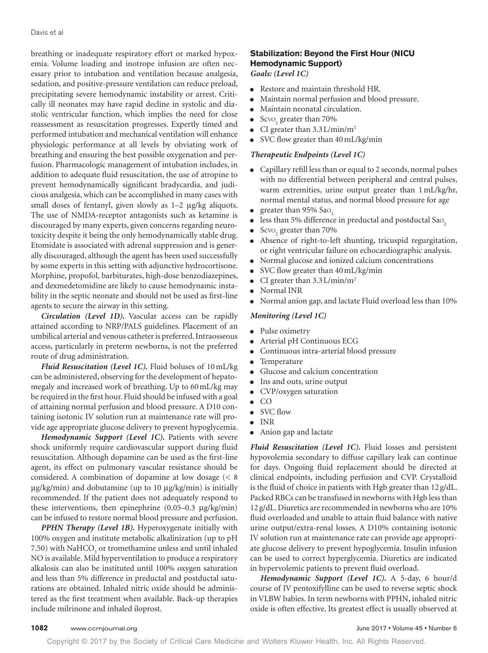breathing or inadequate respiratory effort or marked hypoxemia. Volume loading and inotrope infusion are often necessary prior to intubation and ventilation because analgesia, sedation, and positive-pressure ventilation can reduce preload, precipitating severe hemodynamic instability or arrest. Critically ill neonates may have rapid decline in systolic and diastolic ventricular function, which implies the need for close reassessment as resuscitation progresses. Expertly timed and performed intubation and mechanical ventilation will enhance physiologic performance at all levels by obviating work of breathing and ensuring the best possible oxygenation and perfusion. Pharmacologic management of intubation includes, in addition to adequate fluid resuscitation, the use of atropine to prevent hemodynamically significant bradycardia, and judicious analgesia, which can be accomplished in many cases with small doses of fentanyl, given slowly as 1–2 μg/kg aliquots. The use of NMDA-receptor antagonists such as ketamine is discouraged by many experts, given concerns regarding neurotoxicity despite it being the only hemodynamically stable drug. Etomidate is associated with adrenal suppression and is generally discouraged, although the agent has been used successfully by some experts in this setting with adjunctive hydrocortisone. Morphine, propofol, barbiturates, high-dose benzodiazepines, and dexmedetomidine are likely to cause hemodynamic instability in the septic neonate and should not be used as first-line agents to secure the airway in this setting.

*Circulation (Level 1D).* Vascular access can be rapidly attained according to NRP/PALS guidelines. Placement of an umbilical arterial and venous catheter is preferred. Intraosseous access, particularly in preterm newborns, is not the preferred route of drug administration.

*Fluid Resuscitation (Level 1C).* Fluid boluses of 10mL/kg can be administered, observing for the development of hepatomegaly and increased work of breathing. Up to 60mL/kg may be required in the first hour. Fluid should be infused with a goal of attaining normal perfusion and blood pressure. A D10 containing isotonic IV solution run at maintenance rate will provide age appropriate glucose delivery to prevent hypoglycemia.

*Hemodynamic Support (Level 1C).* Patients with severe shock uniformly require cardiovascular support during fluid resuscitation. Although dopamine can be used as the first-line agent, its effect on pulmonary vascular resistance should be considered. A combination of dopamine at low dosage (< 8 μg/kg/min) and dobutamine (up to 10 μg/kg/min) is initially recommended. If the patient does not adequately respond to these interventions, then epinephrine (0.05–0.3 μg/kg/min) can be infused to restore normal blood pressure and perfusion.

*PPHN Therapy (Level 1B).* Hyperoxygenate initially with 100% oxygen and institute metabolic alkalinization (up to pH 7.50) with  $\mathrm{NaHCO}_{_3}$  or tromethamine unless and until inhaled NO is available. Mild hyperventilation to produce a respiratory alkalosis can also be instituted until 100% oxygen saturation and less than 5% difference in preductal and postductal saturations are obtained. Inhaled nitric oxide should be administered as the first treatment when available. Back-up therapies include milrinone and inhaled iloprost.

## **Stabilization: Beyond the First Hour (NICU Hemodynamic Support)** *Goals: (Level 1C)*

- Restore and maintain threshold HR.
- Maintain normal perfusion and blood pressure.
- Maintain neonatal circulation.
- $\text{Scvo}_2$  greater than 70%
- CI greater than  $3.3 \text{ L/min/m}^2$
- SVC flow greater than 40 mL/kg/min

## *Therapeutic Endpoints (Level 1C)*

- Capillary refill less than or equal to 2 seconds, normal pulses with no differential between peripheral and central pulses, warm extremities, urine output greater than 1mL/kg/hr, normal mental status, and normal blood pressure for age
- greater than  $95\%$  Sao
- $\bullet$  less than 5% difference in preductal and postductal Sao.
- $\text{Scvo}_2$  greater than 70%
- Absence of right-to-left shunting, tricuspid regurgitation, or right ventricular failure on echocardiographic analysis.
- Normal glucose and ionized calcium concentrations
- SVC flow greater than 40 mL/kg/min
- CI greater than  $3.3 \text{ L/min/m}^2$
- Normal INR
- Normal anion gap, and lactate Fluid overload less than 10%

## *Monitoring (Level 1C)*

- Pulse oximetry
- Arterial pH Continuous ECG
- Continuous intra-arterial blood pressure
- Temperature
- Glucose and calcium concentration
- Ins and outs, urine output
- CVP/oxygen saturation
- $\bullet$  CO
- SVC flow
- INR
- Anion gap and lactate

*Fluid Resuscitation (Level 1C).* Fluid losses and persistent hypovolemia secondary to diffuse capillary leak can continue for days. Ongoing fluid replacement should be directed at clinical endpoints, including perfusion and CVP. Crystalloid is the fluid of choice in patients with Hgb greater than 12 g/dL. Packed RBCs can be transfused in newborns with Hgb less than 12 g/dL. Diuretics are recommended in newborns who are 10% fluid overloaded and unable to attain fluid balance with native urine output/extra-renal losses. A D10% containing isotonic IV solution run at maintenance rate can provide age appropriate glucose delivery to prevent hypoglycemia. Insulin infusion can be used to correct hyperglycemia. Diuretics are indicated in hypervolemic patients to prevent fluid overload.

*Hemodynamic Support (Level 1C).* A 5-day, 6 hour/d course of IV pentoxifylline can be used to reverse septic shock in VLBW babies. In term newborns with PPHN, inhaled nitric oxide is often effective. Its greatest effect is usually observed at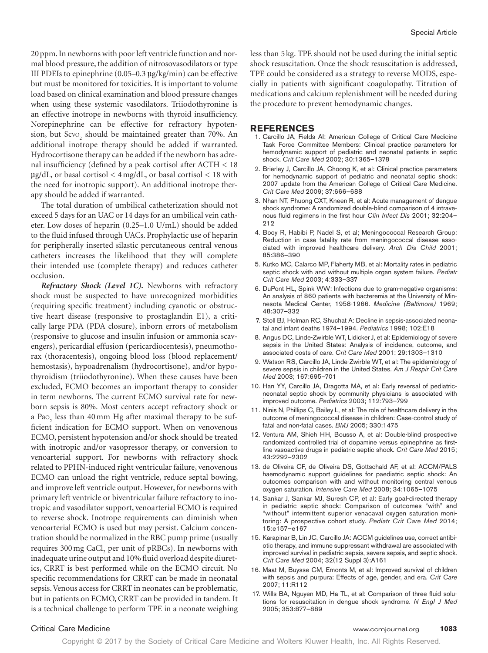20 ppm. In newborns with poor left ventricle function and normal blood pressure, the addition of nitrosovasodilators or type III PDEIs to epinephrine (0.05–0.3 µg/kg/min) can be effective but must be monitored for toxicities. It is important to volume load based on clinical examination and blood pressure changes when using these systemic vasodilators. Triiodothyronine is an effective inotrope in newborns with thyroid insufficiency. Norepinephrine can be effective for refractory hypotension, but Scvo<sub>2</sub> should be maintained greater than 70%. An additional inotrope therapy should be added if warranted. Hydrocortisone therapy can be added if the newborn has adrenal insufficiency (defined by a peak cortisol after ACTH < 18 µg/dL, or basal cortisol < 4mg/dL, or basal cortisol < 18 with the need for inotropic support). An additional inotrope therapy should be added if warranted.

The total duration of umbilical catheterization should not exceed 5 days for an UAC or 14 days for an umbilical vein catheter. Low doses of heparin (0.25–1.0 U/mL) should be added to the fluid infused through UACs. Prophylactic use of heparin for peripherally inserted silastic percutaneous central venous catheters increases the likelihood that they will complete their intended use (complete therapy) and reduces catheter occlusion.

*Refractory Shock (Level 1C).* Newborns with refractory shock must be suspected to have unrecognized morbidities (requiring specific treatment) including cyanotic or obstructive heart disease (responsive to prostaglandin E1), a critically large PDA (PDA closure), inborn errors of metabolism (responsive to glucose and insulin infusion or ammonia scavengers), pericardial effusion (pericardiocentesis), pneumothorax (thoracentesis), ongoing blood loss (blood replacement/ hemostasis), hypoadrenalism (hydrocortisone), and/or hypothyroidism (triiodothyronine). When these causes have been excluded, ECMO becomes an important therapy to consider in term newborns. The current ECMO survival rate for newborn sepsis is 80%. Most centers accept refractory shock or a Pa $\rm o_{2}$  less than 40 mm Hg after maximal therapy to be sufficient indication for ECMO support. When on venovenous ECMO, persistent hypotension and/or shock should be treated with inotropic and/or vasopressor therapy, or conversion to venoarterial support. For newborns with refractory shock related to PPHN-induced right ventricular failure, venovenous ECMO can unload the right ventricle, reduce septal bowing, and improve left ventricle output. However, for newborns with primary left ventricle or biventricular failure refractory to inotropic and vasodilator support, venoarterial ECMO is required to reverse shock. Inotrope requirements can diminish when venoarterial ECMO is used but may persist. Calcium concentration should be normalized in the RBC pump prime (usually requires 300 mg CaCl<sub>2</sub> per unit of pRBCs). In newborns with inadequate urine output and 10% fluid overload despite diuretics, CRRT is best performed while on the ECMO circuit. No specific recommendations for CRRT can be made in neonatal sepsis. Venous access for CRRT in neonates can be problematic, but in patients on ECMO, CRRT can be provided in tandem. It is a technical challenge to perform TPE in a neonate weighing

less than 5 kg. TPE should not be used during the initial septic shock resuscitation. Once the shock resuscitation is addressed, TPE could be considered as a strategy to reverse MODS, especially in patients with significant coagulopathy. Titration of medications and calcium replenishment will be needed during the procedure to prevent hemodynamic changes.

### **REFERENCES**

- 1. Carcillo JA, Fields AI; American College of Critical Care Medicine Task Force Committee Members: Clinical practice parameters for hemodynamic support of pediatric and neonatal patients in septic shock. *Crit Care Med* 2002; 30:1365–1378
- 2. Brierley J, Carcillo JA, Choong K, et al: Clinical practice parameters for hemodynamic support of pediatric and neonatal septic shock: 2007 update from the American College of Critical Care Medicine. *Crit Care Med* 2009; 37:666–688
- 3. Nhan NT, Phuong CXT, Kneen R, et al: Acute management of dengue shock syndrome: A randomized double-blind comparison of 4 intravenous fluid regimens in the first hour *Clin Infect Dis* 2001; 32:204– 212
- 4. Booy R, Habibi P, Nadel S, et al; Meningococcal Research Group: Reduction in case fatality rate from meningococcal disease associated with improved healthcare delivery. *Arch Dis Child* 2001; 85:386–390
- 5. Kutko MC, Calarco MP, Flaherty MB, et al: Mortality rates in pediatric septic shock with and without multiple organ system failure. *Pediatr Crit Care Med* 2003; 4:333–337
- 6. DuPont HL, Spink WW: Infections due to gram-negative organisms: An analysis of 860 patients with bacteremia at the University of Minnesota Medical Center, 1958-1966. *Medicine (Baltimore)* 1969; 48:307–332
- 7. Stoll BJ, Holman RC, Shuchat A: Decline in sepsis-associated neonatal and infant deaths 1974–1994. *Pediatrics* 1998; 102:E18
- 8. Angus DC, Linde-Zwirble WT, Lidicker J, et al: Epidemiology of severe sepsis in the United States: Analysis of incidence, outcome, and associated costs of care. *Crit Care Med* 2001; 29:1303–1310
- 9. Watson RS, Carcillo JA, Linde-Zwirble WT, et al: The epidemiology of severe sepsis in children in the United States. *Am J Respir Crit Care Med* 2003; 167:695–701
- 10. Han YY, Carcillo JA, Dragotta MA, et al: Early reversal of pediatricneonatal septic shock by community physicians is associated with improved outcome. *Pediatrics* 2003; 112:793–799
- 11. Ninis N, Phillips C, Bailey L, et al: The role of healthcare delivery in the outcome of meningococcal disease in children: Case-control study of fatal and non-fatal cases. *BMJ* 2005; 330:1475
- 12. Ventura AM, Shieh HH, Bousso A, et al: Double-blind prospective randomized controlled trial of dopamine versus epinephrine as firstline vasoactive drugs in pediatric septic shock. *Crit Care Med* 2015; 43:2292–2302
- 13. de Oliveira CF, de Oliveira DS, Gottschald AF, et al: ACCM/PALS haemodynamic support guidelines for paediatric septic shock: An outcomes comparison with and without monitoring central venous oxygen saturation. *Intensive Care Med* 2008; 34:1065–1075
- 14. Sankar J, Sankar MJ, Suresh CP, et al: Early goal-directed therapy in pediatric septic shock: Comparison of outcomes "with" and "without" intermittent superior venacaval oxygen saturation monitoring: A prospective cohort study. *Pediatr Crit Care Med* 2014; 15:e157–e167
- 15. Karapinar B, Lin JC, Carcillo JA: ACCM guidelines use, correct antibiotic therapy, and immune suppressant withdrawal are associated with improved survival in pediatric sepsis, severe sepsis, and septic shock. *Crit Care Med* 2004; 32(12 Suppl 3):A161
- 16. Maat M, Buysse CM, Emonts M, et al: Improved survival of children with sepsis and purpura: Effects of age, gender, and era. *Crit Care* 2007; 11:R112
- 17. Wills BA, Nguyen MD, Ha TL, et al: Comparison of three fluid solutions for resuscitation in dengue shock syndrome. *N Engl J Med* 2005; 353:877–889

### Critical Care Medicine www.ccmjournal.org **1083**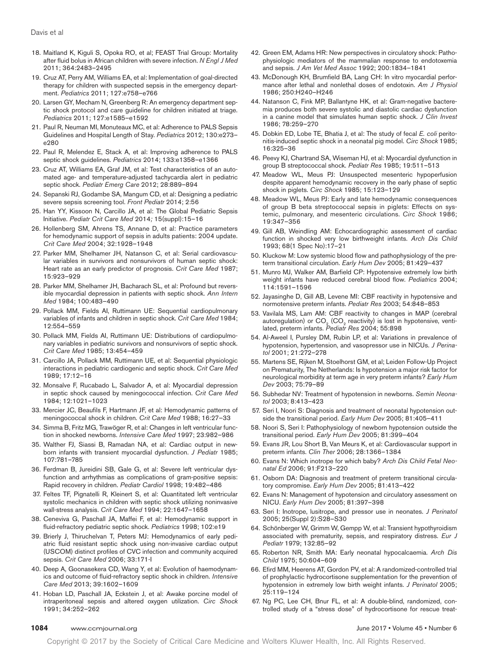- 18. Maitland K, Kiguli S, Opoka RO, et al; FEAST Trial Group: Mortality after fluid bolus in African children with severe infection. *N Engl J Med* 2011; 364:2483–2495
- 19. Cruz AT, Perry AM, Williams EA, et al: Implementation of goal-directed therapy for children with suspected sepsis in the emergency department. *Pediatrics* 2011; 127:e758–e766
- 20. Larsen GY, Mecham N, Greenberg R: An emergency department septic shock protocol and care guideline for children initiated at triage. *Pediatrics* 2011; 127:e1585–e1592
- 21. Paul R, Neuman MI, Monuteaux MC, et al: Adherence to PALS Sepsis Guidelines and Hospital Length of Stay. *Pediatrics* 2012; 130:e273– e280
- 22. Paul R, Melendez E, Stack A, et al: Improving adherence to PALS septic shock guidelines. *Pediatrics* 2014; 133:e1358–e1366
- 23. Cruz AT, Williams EA, Graf JM, et al: Test characteristics of an automated age- and temperature-adjusted tachycardia alert in pediatric septic shock. *Pediatr Emerg Care* 2012; 28:889–894
- 24. Sepanski RJ, Godambe SA, Mangum CD, et al: Designing a pediatric severe sepsis screening tool. *Front Pediatr* 2014; 2:56
- 25. Han YY, Kissoon N, Carcillo JA, et al: The Global Pediatric Sepsis Initiative. *Pediatr Crit Care Med* 2014*;* 15(suppl):15–16
- 26. Hollenberg SM, Ahrens TS, Annane D, et al: Practice parameters for hemodynamic support of sepsis in adults patients: 2004 update. *Crit Care Med* 2004; 32:1928–1948
- 27. Parker MM, Shelhamer JH, Natanson C, et al: Serial cardiovascular variables in survivors and nonsurvivors of human septic shock: Heart rate as an early predictor of prognosis. *Crit Care Med* 1987; 15:923–929
- 28. Parker MM, Shelhamer JH, Bacharach SL, et al: Profound but reversible myocardial depression in patients with septic shock. *Ann Intern Med* 1984; 100:483–490
- 29. Pollack MM, Fields AI, Ruttimann UE: Sequential cardiopulmonary variables of infants and children in septic shock. *Crit Care Med* 1984; 12:554–559
- 30. Pollack MM, Fields AI, Ruttimann UE: Distributions of cardiopulmonary variables in pediatric survivors and nonsurvivors of septic shock. *Crit Care Med* 1985; 13:454–459
- 31. Carcillo JA, Pollack MM, Ruttimann UE, et al: Sequential physiologic interactions in pediatric cardiogenic and septic shock. *Crit Care Med* 1989; 17:12–16
- 32. Monsalve F, Rucabado L, Salvador A, et al: Myocardial depression in septic shock caused by meningococcal infection. *Crit Care Med* 1984; 12:1021–1023
- 33. Mercier JC, Beaufils F, Hartmann JF, et al: Hemodynamic patterns of meningococcal shock in children. *Crit Care Med* 1988; 16:27–33
- 34. Simma B, Fritz MG, Trawöger R, et al: Changes in left ventricular function in shocked newborns. *Intensive Care Med* 1997; 23:982–986
- 35. Walther FJ, Siassi B, Ramadan NA, et al: Cardiac output in newborn infants with transient myocardial dysfunction. *J Pediatr* 1985; 107:781–785
- 36. Ferdman B, Jureidini SB, Gale G, et al: Severe left ventricular dysfunction and arrhythmias as complications of gram-positive sepsis: Rapid recovery in children. *Pediatr Cardiol* 1998; 19:482–486
- 37. Feltes TF, Pignatelli R, Kleinert S, et al: Quantitated left ventricular systolic mechanics in children with septic shock utilizing noninvasive wall-stress analysis. *Crit Care Med* 1994; 22:1647–1658
- 38. Ceneviva G, Paschall JA, Maffei F, et al: Hemodynamic support in fluid-refractory pediatric septic shock. *Pediatrics* 1998; 102:e19
- 39. Brierly J, Thiruchelvan T, Peters MJ: Hemodynamics of early pediatric fluid resistant septic shock using non-invasive cardiac output (USCOM) distinct profiles of CVC infection and community acquired sepsis. *Crit Care Med* 2006; 33:171-I
- 40. Deep A, Goonasekera CD, Wang Y, et al: Evolution of haemodynamics and outcome of fluid-refractory septic shock in children. *Intensive Care Med* 2013; 39:1602–1609
- 41. Hoban LD, Paschall JA, Eckstein J, et al: Awake porcine model of intraperitoneal sepsis and altered oxygen utilization. *Circ Shock* 1991; 34:252–262
- 42. Green EM, Adams HR: New perspectives in circulatory shock: Pathophysiologic mediators of the mammalian response to endotoxemia and sepsis. *J Am Vet Med Assoc* 1992; 200:1834–1841
- 43. McDonough KH, Brumfield BA, Lang CH: In vitro myocardial performance after lethal and nonlethal doses of endotoxin. *Am J Physiol* 1986; 250:H240–H246
- 44. Natanson C, Fink MP, Ballantyne HK, et al: Gram-negative bacteremia produces both severe systolic and diastolic cardiac dysfunction in a canine model that simulates human septic shock. *J Clin Invest* 1986; 78:259–270
- 45. Dobkin ED, Lobe TE, Bhatia J, et al: The study of fecal *E. coli* peritonitis-induced septic shock in a neonatal pig model. *Circ Shock* 1985; 16:325–36
- 46. Peevy KJ, Chartrand SA, Wiseman HJ, et al: Myocardial dysfunction in group B streptococcal shock. *Pediatr Res* 1985; 19:511–513
- 47. Meadow WL, Meus PJ: Unsuspected mesenteric hypoperfusion despite apparent hemodynamic recovery in the early phase of septic shock in piglets. *Circ Shock* 1985; 15:123–129
- 48. Meadow WL, Meus PJ: Early and late hemodynamic consequences of group B beta streptococcal sepsis in piglets: Effects on systemic, pulmonary, and mesenteric circulations. *Circ Shock* 1986; 19:347–356
- 49. Gill AB, Weindling AM: Echocardiographic assessment of cardiac function in shocked very low birthweight infants. *Arch Dis Child* 1993; 68(1 Spec No):17–21
- 50. Kluckow M: Low systemic blood flow and pathophysiology of the preterm transitional circulation. *Early Hum Dev* 2005; 81:429–437
- 51. Munro MJ, Walker AM, Barfield CP: Hypotensive extremely low birth weight infants have reduced cerebral blood flow. *Pediatrics* 2004; 114:1591–1596
- 52. Jayasinghe D, Gill AB, Levene MI: CBF reactivity in hypotensive and normotensive preterm infants. *Pediatr Res* 2003; 54:848–853
- 53. Vavilala MS, Lam AM: CBF reactivity to changes in MAP (cerebral autoregulation) or  $CO<sub>2</sub>$  (CO<sub>2</sub> reactivity) is lost in hypotensive, ventilated, preterm infants. *Pediatr Res* 2004; 55:898
- 54. Al-Aweel I, Pursley DM, Rubin LP, et al: Variations in prevalence of hypotension, hypertension, and vasopressor use in NICUs. *J Perinatol* 2001; 21:272–278
- 55. Martens SE, Rijken M, Stoelhorst GM, et al; Leiden Follow-Up Project on Prematurity, The Netherlands: Is hypotension a major risk factor for neurological morbidity at term age in very preterm infants? *Early Hum Dev* 2003; 75:79–89
- 56. Subhedar NV: Treatment of hypotension in newborns. *Semin Neonatol* 2003; 8:413–423
- 57. Seri I, Noori S: Diagnosis and treatment of neonatal hypotension outside the transitional period. *Early Hum Dev* 2005; 81:405–411
- 58. Noori S, Seri I: Pathophysiology of newborn hypotension outside the transitional period. *Early Hum Dev* 2005; 81:399–404
- 59. Evans JR, Lou Short B, Van Meurs K, et al: Cardiovascular support in preterm infants. *Clin Ther* 2006; 28:1366–1384
- 60. Evans N: Which inotrope for which baby? *Arch Dis Child Fetal Neonatal Ed* 2006; 91:F213–220
- 61. Osborn DA: Diagnosis and treatment of preterm transitional circulatory compromise. *Early Hum Dev* 2005; 81:413–422
- 62. Evans N: Management of hypotension and circulatory assessment on NICU. *Early Hum Dev* 2005; 81:397–398
- 63. Seri I: Inotrope, lusitrope, and pressor use in neonates. *J Perinatol* 2005; 25(Suppl 2):S28–S30
- 64. Schönberger W, Grimm W, Gempp W, et al: Transient hypothyroidism associated with prematurity, sepsis, and respiratory distress. *Eur J Pediatr* 1979; 132:85–92
- 65. Roberton NR, Smith MA: Early neonatal hypocalcaemia. *Arch Dis Child* 1975; 50:604–609
- 66. Efird MM, Heerens AT, Gordon PV, et al: A randomized-controlled trial of prophylactic hydrocortisone supplementation for the prevention of hypotension in extremely low birth weight infants. *J Perinatol* 2005; 25:119–124
- 67. Ng PC, Lee CH, Bnur FL, et al: A double-blind, randomized, controlled study of a "stress dose" of hydrocortisone for rescue treat-

### **1084** www.ccmjournal.org **June 2017 • Volume 45 • Number 6**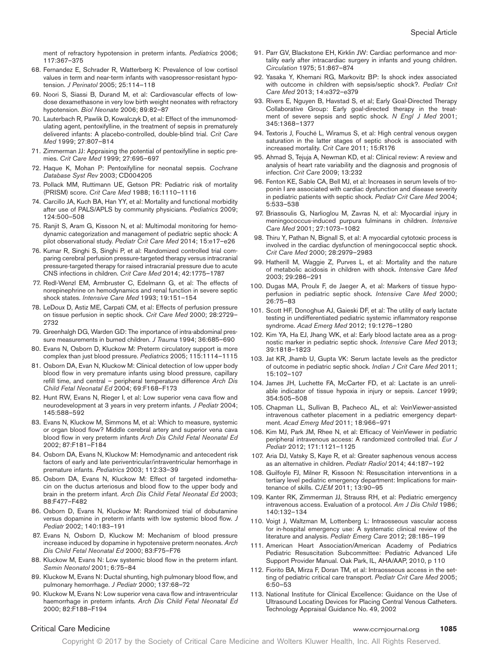ment of refractory hypotension in preterm infants. *Pediatrics* 2006; 117:367–375

- 68. Fernandez E, Schrader R, Watterberg K: Prevalence of low cortisol values in term and near-term infants with vasopressor-resistant hypotension. *J Perinatol* 2005; 25:114–118
- 69. Noori S, Siassi B, Durand M, et al: Cardiovascular effects of lowdose dexamethasone in very low birth weight neonates with refractory hypotension. *Biol Neonate* 2006; 89:82–87
- 70. Lauterbach R, Pawlik D, Kowalczyk D, et al: Effect of the immunomodulating agent, pentoxifylline, in the treatment of sepsis in prematurely delivered infants: A placebo-controlled, double-blind trial. *Crit Care Med* 1999; 27:807–814
- 71. Zimmerman JJ: Appraising the potential of pentoxifylline in septic premies. *Crit Care Med* 1999; 27:695–697
- 72. Haque K, Mohan P: Pentoxifylline for neonatal sepsis. *Cochrane Database Syst Rev* 2003; CD004205
- 73. Pollack MM, Ruttimann UE, Getson PR: Pediatric risk of mortality (PRISM) score. *Crit Care Med* 1988; 16:1110–1116
- 74. Carcillo JA, Kuch BA, Han YY, et al: Mortality and functional morbidity after use of PALS/APLS by community physicians. *Pediatrics* 2009; 124:500–508
- 75. Ranjit S, Aram G, Kissoon N, et al: Multimodal monitoring for hemodynamic categorization and management of pediatric septic shock: A pilot observational study. *Pediatr Crit Care Med* 2014; 15:e17–e26
- 76. Kumar R, Singhi S, Singhi P, et al: Randomized controlled trial comparing cerebral perfusion pressure-targeted therapy versus intracranial pressure-targeted therapy for raised intracranial pressure due to acute CNS infections in children. *Crit Care Med* 2014; 42:1775–1787
- 77. Redl-Wenzl EM, Armbruster C, Edelmann G, et al: The effects of norepinephrine on hemodynamics and renal function in severe septic shock states. *Intensive Care Med* 1993; 19:151–154
- 78. LeDoux D, Astiz ME, Carpati CM, et al: Effects of perfusion pressure on tissue perfusion in septic shock. *Crit Care Med* 2000; 28:2729– 2732
- 79. Greenhalgh DG, Warden GD: The importance of intra-abdominal pressure measurements in burned children. *J Trauma* 1994; 36:685–690
- 80. Evans N, Osborn D, Kluckow M: Preterm circulatory support is more complex than just blood pressure. *Pediatrics* 2005; 115:1114–1115
- 81. Osborn DA, Evan N, Kluckow M: Clinical detection of low upper body blood flow in very premature infants using blood pressure, capillary refill time, and central – peripheral temperature difference *Arch Dis Child Fetal Neonatal Ed* 2004; 69:F168–F173
- 82. Hunt RW, Evans N, Rieger I, et al: Low superior vena cava flow and neurodevelopment at 3 years in very preterm infants. *J Pediatr* 2004; 145:588–592
- 83. Evans N, Kluckow M, Simmons M, et al: Which to measure, systemic or organ blood flow? Middle cerebral artery and superior vena cava blood flow in very preterm infants *Arch Dis Child Fetal Neonatal Ed* 2002; 87:F181–F184
- 84. Osborn DA, Evans N, Kluckow M: Hemodynamic and antecedent risk factors of early and late periventricular/intraventricular hemorrhage in premature infants. *Pediatrics* 2003; 112:33–39
- 85. Osborn DA, Evans N, Kluckow M: Effect of targeted indomethacin on the ductus arteriosus and blood flow to the upper body and brain in the preterm infant. *Arch Dis Child Fetal Neonatal Ed* 2003; 88:F477–F482
- 86. Osborn D, Evans N, Kluckow M: Randomized trial of dobutamine versus dopamine in preterm infants with low systemic blood flow. *J Pediatr* 2002; 140:183–191
- 87. Evans N, Osborn D, Kluckow M: Mechanism of blood pressure increase induced by dopamine in hypotensive preterm neonates. *Arch Dis Child Fetal Neonatal Ed* 2000; 83:F75–F76
- 88. Kluckow M, Evans N: Low systemic blood flow in the preterm infant. *Semin Neonatol* 2001; 6:75–84
- 89. Kluckow M, Evans N: Ductal shunting, high pulmonary blood flow, and pulmonary hemorrhage. *J Pediatr* 2000; 137:68–72
- 90. Kluckow M, Evans N: Low superior vena cava flow and intraventricular haemorrhage in preterm infants. *Arch Dis Child Fetal Neonatal Ed* 2000; 82:F188–F194
- 91. Parr GV, Blackstone EH, Kirklin JW: Cardiac performance and mortality early after intracardiac surgery in infants and young children. *Circulation* 1975; 51:867–874
- 92. Yasaka Y, Khemani RG, Markovitz BP: Is shock index associated with outcome in children with sepsis/septic shock?. *Pediatr Crit Care Med* 2013; 14:e372–e379
- 93. Rivers E, Nguyen B, Havstad S, et al; Early Goal-Directed Therapy Collaborative Group: Early goal-directed therapy in the treatment of severe sepsis and septic shock. *N Engl J Med* 2001; 345:1368–1377
- 94. Textoris J, Fouché L, Wiramus S, et al: High central venous oxygen saturation in the latter stages of septic shock is associated with increased mortality. *Crit Care* 2011; 15:R176
- 95. Ahmad S, Tejuja A, Newman KD, et al: Clinical review: A review and analysis of heart rate variability and the diagnosis and prognosis of infection. *Crit Care* 2009; 13:232
- 96. Fenton KE, Sable CA, Bell MJ, et al: Increases in serum levels of troponin I are associated with cardiac dysfunction and disease severity in pediatric patients with septic shock. *Pediatr Crit Care Med* 2004; 5:533–538
- 97. Briassoulis G, Narlioglou M, Zavras N, et al: Myocardial injury in meningococcus-induced purpura fulminans in children. *Intensive Care Med* 2001; 27:1073–1082
- 98. Thiru Y, Pathan N, Bignall S, et al: A myocardial cytotoxic process is involved in the cardiac dysfunction of meningococcal septic shock. *Crit Care Med* 2000; 28:2979–2983
- 99. Hatherill M, Waggie Z, Purves L, et al: Mortality and the nature of metabolic acidosis in children with shock. *Intensive Care Med* 2003; 29:286–291
- 100. Dugas MA, Proulx F, de Jaeger A, et al: Markers of tissue hypoperfusion in pediatric septic shock. *Intensive Care Med* 2000; 26:75–83
- 101. Scott HF, Donoghue AJ, Gaieski DF, et al: The utility of early lactate testing in undifferentiated pediatric systemic inflammatory response syndrome. *Acad Emerg Med* 2012; 19:1276–1280
- 102. Kim YA, Ha EJ, Jhang WK, et al: Early blood lactate area as a prognostic marker in pediatric septic shock. *Intensive Care Med* 2013; 39:1818–1823
- 103. Jat KR, Jhamb U, Gupta VK: Serum lactate levels as the predictor of outcome in pediatric septic shock. *Indian J Crit Care Med* 2011; 15:102–107
- 104. James JH, Luchette FA, McCarter FD, et al: Lactate is an unreliable indicator of tissue hypoxia in injury or sepsis. *Lancet* 1999; 354:505–508
- 105. Chapman LL, Sullivan B, Pacheco AL, et al: VeinViewer-assisted intravenous catheter placement in a pediatric emergency department. *Acad Emerg Med* 2011; 18:966–971
- 106. Kim MJ, Park JM, Rhee N, et al: Efficacy of VeinViewer in pediatric peripheral intravenous access: A randomized controlled trial. *Eur J Pediatr* 2012; 171:1121–1125
- 107. Aria DJ, Vatsky S, Kaye R, et al: Greater saphenous venous access as an alternative in children. *Pediatr Radiol* 2014; 44:187–192
- 108. Guilfoyle FJ, Milner R, Kissoon N: Resuscitation interventions in a tertiary level pediatric emergency department: Implications for maintenance of skills. *CJEM* 2011; 13:90–95
- 109. Kanter RK, Zimmerman JJ, Strauss RH, et al: Pediatric emergency intravenous access. Evaluation of a protocol. *Am J Dis Child* 1986; 140:132–134
- 110. Voigt J, Waltzman M, Lottenberg L: Intraosseous vascular access for in-hospital emergency use: A systematic clinical review of the literature and analysis. *Pediatr Emerg Care* 2012; 28:185–199
- 111. American Heart Association/American Academy of Pediatrics Pediatric Resuscitation Subcommittee: Pediatric Advanced Life Support Provider Manual*.* Oak Park, IL, AHA/AAP, 2010, p 110
- 112. Fiorito BA, Mirza F, Doran TM, et al: Intraosseous access in the setting of pediatric critical care transport. *Pediatr Crit Care Med* 2005; 6:50–53
- 113. National Institute for Clinical Excellence: Guidance on the Use of Ultrasound Locating Devices for Placing Central Venous Catheters*.* Technology Appraisal Guidance No. 49, 2002

### Critical Care Medicine www.ccmjournal.org **1085**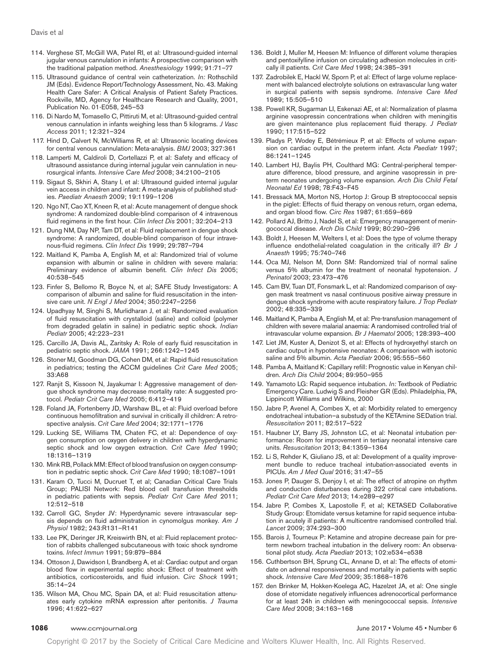- 114. Verghese ST, McGill WA, Patel RI, et al: Ultrasound-guided internal jugular venous cannulation in infants: A prospective comparison with the traditional palpation method. *Anesthesiology* 1999; 91:71–77
- 115. Ultrasound guidance of central vein catheterization. *In:* Rothschild JM (Eds). Evidence Report/Technology Assessment, No. 43. Making Health Care Safer: A Critical Analysis of Patient Safety Practices. Rockville, MD, Agency for Healthcare Research and Quality, 2001, Publication No. 01-E058, 245–53
- 116. Di Nardo M, Tomasello C, Pittiruti M, et al: Ultrasound-guided central venous cannulation in infants weighing less than 5 kilograms. *J Vasc Access* 2011; 12:321–324
- 117. Hind D, Calvert N, McWilliams R, et al: Ultrasonic locating devices for central venous cannulation: Meta-analysis. *BMJ* 2003; 327:361
- 118. Lamperti M, Caldiroli D, Cortellazzi P, et al: Safety and efficacy of ultrasound assistance during internal jugular vein cannulation in neurosurgical infants. *Intensive Care Med* 2008; 34:2100–2105
- 119. Sigaut S, Skhiri A, Stany I, et al: Ultrasound guided internal jugular vein access in children and infant: A meta-analysis of published studies. *Paediatr Anaesth* 2009; 19:1199–1206
- 120. Ngo NT, Cao XT, Kneen R, et al: Acute management of dengue shock syndrome: A randomized double-blind comparison of 4 intravenous fluid regimens in the first hour. *Clin Infect Dis* 2001; 32:204–213
- 121. Dung NM, Day NP, Tam DT, et al: Fluid replacement in dengue shock syndrome: A randomized, double-blind comparison of four intravenous-fluid regimens. *Clin Infect Dis* 1999; 29:787–794
- 122. Maitland K, Pamba A, English M, et al: Randomized trial of volume expansion with albumin or saline in children with severe malaria: Preliminary evidence of albumin benefit. *Clin Infect Dis* 2005; 40:538–545
- 123. Finfer S, Bellomo R, Boyce N, et al; SAFE Study Investigators: A comparison of albumin and saline for fluid resuscitation in the intensive care unit. *N Engl J Med* 2004; 350:2247–2256
- 124. Upadhyay M, Singhi S, Murlidharan J, et al: Randomized evaluation of fluid resuscitation with crystalloid (saline) and colloid (polymer from degraded gelatin in saline) in pediatric septic shock. *Indian Pediatr* 2005; 42:223–231
- 125. Carcillo JA, Davis AL, Zaritsky A: Role of early fluid resuscitation in pediatric septic shock. *JAMA* 1991; 266:1242–1245
- 126. Stoner MJ, Goodman DG, Cohen DM, et al: Rapid fluid resuscitation in pediatrics; testing the ACCM guidelines *Crit Care Med* 2005; 33:A68
- 127. Ranjit S, Kissoon N, Jayakumar I: Aggressive management of dengue shock syndrome may decrease mortality rate: A suggested protocol. *Pediatr Crit Care Med* 2005; 6:412–419
- 128. Foland JA, Fortenberry JD, Warshaw BL, et al: Fluid overload before continuous hemofiltration and survival in critically ill children: A retrospective analysis. *Crit Care Med* 2004; 32:1771–1776
- 129. Lucking SE, Williams TM, Chaten FC, et al: Dependence of oxygen consumption on oxygen delivery in children with hyperdynamic septic shock and low oxygen extraction. *Crit Care Med* 1990; 18:1316–1319
- 130. Mink RB, Pollack MM: Effect of blood transfusion on oxygen consumption in pediatric septic shock. *Crit Care Med* 1990; 18:1087–1091
- 131. Karam O, Tucci M, Ducruet T, et al; Canadian Critical Care Trials Group; PALISI Network: Red blood cell transfusion thresholds in pediatric patients with sepsis. *Pediatr Crit Care Med* 2011; 12:512–518
- 132. Carroll GC, Snyder JV: Hyperdynamic severe intravascular sepsis depends on fluid administration in cynomolgus monkey. *Am J Physiol* 1982; 243:R131–R141
- 133. Lee PK, Deringer JR, Kreiswirth BN, et al: Fluid replacement protection of rabbits challenged subcutaneous with toxic shock syndrome toxins. *Infect Immun* 1991; 59:879–884
- 134. Ottoson J, Dawidson I, Brandberg A, et al: Cardiac output and organ blood flow in experimental septic shock: Effect of treatment with antibiotics, corticosteroids, and fluid infusion. *Circ Shock* 1991; 35:14–24
- 135. Wilson MA, Chou MC, Spain DA, et al: Fluid resuscitation attenuates early cytokine mRNA expression after peritonitis. *J Trauma* 1996; 41:622–627
- 136. Boldt J, Muller M, Heesen M: Influence of different volume therapies and pentoxifylline infusion on circulating adhesion molecules in critically ill patients. *Crit Care Med* 1998; 24:385–391
- 137. Zadrobilek E, Hackl W, Sporn P, et al: Effect of large volume replacement with balanced electrolyte solutions on extravascular lung water in surgical patients with sepsis syndrome. *Intensive Care Med* 1989; 15:505–510
- 138. Powell KR, Sugarman LI, Eskenazi AE, et al: Normalization of plasma arginine vasopressin concentrations when children with meningitis are given maintenance plus replacement fluid therapy. *J Pediatr* 1990; 117:515–522
- 139. Pladys P, Wodey E, Bétrémieux P, et al: Effects of volume expansion on cardiac output in the preterm infant. *Acta Paediatr* 1997; 86:1241–1245
- 140. Lambert HJ, Baylis PH, Coulthard MG: Central-peripheral temperature difference, blood pressure, and arginine vasopressin in preterm neonates undergoing volume expansion. *Arch Dis Child Fetal Neonatal Ed* 1998; 78:F43–F45
- 141. Bressack MA, Morton NS, Hortop J: Group B streptococcal sepsis in the piglet: Effects of fluid therapy on venous return, organ edema, and organ blood flow. *Circ Res* 1987; 61:659–669
- 142. Pollard AJ, Britto J, Nadel S, et al: Emergency management of meningococcal disease. *Arch Dis Child* 1999; 80:290–296
- 143. Boldt J, Heesen M, Welters I, et al: Does the type of volume therapy influence endothelial-related coagulation in the critically ill? *Br J Anaesth* 1995; 75:740–746
- 144. Oca MJ, Nelson M, Donn SM: Randomized trial of normal saline versus 5% albumin for the treatment of neonatal hypotension. *J Perinatol* 2003; 23:473–476
- 145. Cam BV, Tuan DT, Fonsmark L, et al: Randomized comparison of oxygen mask treatment vs nasal continuous positive airway pressure in dengue shock syndrome with acute respiratory failure. *J Trop Pediatr* 2002; 48:335–339
- 146. Maitland K, Pamba A, English M, et al: Pre-transfusion management of children with severe malarial anaemia: A randomised controlled trial of intravascular volume expansion. *Br J Haematol* 2005; 128:393–400
- 147. Liet JM, Kuster A, Denizot S, et al: Effects of hydroxyethyl starch on cardiac output in hypotensive neonates: A comparison with isotonic saline and 5% albumin. *Acta Paediatr* 2006; 95:555–560
- 148. Pamba A, Maitland K: Capillary refill: Prognostic value in Kenyan children. *Arch Dis Child* 2004; 89:950–955
- 149. Yamamoto LG: Rapid sequence intubation. *In:* Textbook of Pediatric Emergency Care. Ludwig S and Fleisher GR (Eds). Philadelphia, PA, Lippincott Williams and Wilkins, 2000
- 150. Jabre P, Avenel A, Combes X, et al: Morbidity related to emergency endotracheal intubation–a substudy of the KETAmine SEDation trial. *Resuscitation* 2011; 82:517–522
- 151. Haubner LY, Barry JS, Johnston LC, et al: Neonatal intubation performance: Room for improvement in tertiary neonatal intensive care units. *Resuscitation* 2013; 84:1359–1364
- 152. Li S, Rehder K, Giuliano JS, et al: Development of a quality improvement bundle to reduce tracheal intubation-associated events in PICUs. *Am J Med Qual* 2016; 31:47–55
- 153. Jones P, Dauger S, Denjoy I, et al: The effect of atropine on rhythm and conduction disturbances during 322 critical care intubations. *Pediatr Crit Care Med* 2013; 14:e289–e297
- 154. Jabre P, Combes X, Lapostolle F, et al; KETASED Collaborative Study Group: Etomidate versus ketamine for rapid sequence intubation in acutely ill patients: A multicentre randomised controlled trial. *Lancet* 2009; 374:293–300
- 155. Barois J, Tourneux P: Ketamine and atropine decrease pain for preterm newborn tracheal intubation in the delivery room: An observational pilot study. *Acta Paediatr* 2013; 102:e534–e538
- 156. Cuthbertson BH, Sprung CL, Annane D, et al: The effects of etomidate on adrenal responsiveness and mortality in patients with septic shock. *Intensive Care Med* 2009; 35:1868–1876
- 157. den Brinker M, Hokken-Koelega AC, Hazelzet JA, et al: One single dose of etomidate negatively influences adrenocortical performance for at least 24h in children with meningococcal sepsis. *Intensive Care Med* 2008; 34:163–168

### **1086** www.ccmjournal.org **June 2017 • Volume 45 • Number 6**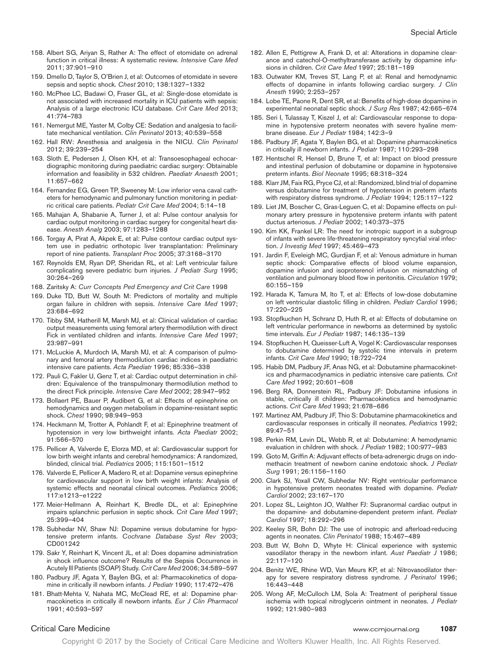- 158. Albert SG, Ariyan S, Rather A: The effect of etomidate on adrenal function in critical illness: A systematic review. *Intensive Care Med* 2011; 37:901–910
- 159. Dmello D, Taylor S, O'Brien J, et al: Outcomes of etomidate in severe sepsis and septic shock. *Chest* 2010; 138:1327–1332
- 160. McPhee LC, Badawi O, Fraser GL, et al: Single-dose etomidate is not associated with increased mortality in ICU patients with sepsis: Analysis of a large electronic ICU database. *Crit Care Med* 2013; 41:774–783
- 161. Nemergut ME, Yaster M, Colby CE: Sedation and analgesia to facilitate mechanical ventilation. *Clin Perinatol* 2013; 40:539–558
- 162. Hall RW: Anesthesia and analgesia in the NICU. *Clin Perinatol* 2012; 39:239–254
- 163. Sloth E, Pedersen J, Olsen KH, et al: Transoesophageal echocardiographic monitoring during paediatric cardiac surgery: Obtainable information and feasibility in 532 children. *Paediatr Anaesth* 2001; 11:657–662
- 164. Fernandez EG, Green TP, Sweeney M: Low inferior vena caval catheters for hemodynamic and pulmonary function monitoring in pediatric critical care patients. *Pediatr Crit Care Med* 2004; 5:14–18
- 165. Mahajan A, Shabanie A, Turner J, et al: Pulse contour analysis for cardiac output monitoring in cardiac surgery for congenital heart disease. *Anesth Analg* 2003; 97:1283–1288
- 166. Torgay A, Pirat A, Akpek E, et al: Pulse contour cardiac output system use in pediatric orthotopic liver transplantation: Preliminary report of nine patients. *Transplant Proc* 2005; 37:3168–3170
- 167. Reynolds EM, Ryan DP, Sheridan RL, et al: Left ventricular failure complicating severe pediatric burn injuries. *J Pediatr Surg* 1995; 30:264–269
- 168. Zaritsky A: *Curr Concepts Ped Emergency and Crit Care* 1998
- 169. Duke TD, Butt W, South M: Predictors of mortality and multiple organ failure in children with sepsis. *Intensive Care Med* 1997; 23:684–692
- 170. Tibby SM, Hatherill M, Marsh MJ, et al: Clinical validation of cardiac output measurements using femoral artery thermodilution with direct Fick in ventilated children and infants. *Intensive Care Med* 1997; 23:987–991
- 171. McLuckie A, Murdoch IA, Marsh MJ, et al: A comparison of pulmonary and femoral artery thermodilution cardiac indices in paediatric intensive care patients. *Acta Paediatr* 1996; 85:336–338
- 172. Pauli C, Fakler U, Genz T, et al: Cardiac output determination in children: Equivalence of the transpulmonary thermodilution method to the direct Fick principle. *Intensive Care Med* 2002; 28:947–952
- 173. Bollaert PE, Bauer P, Audibert G, et al: Effects of epinephrine on hemodynamics and oxygen metabolism in dopamine-resistant septic shock. *Chest* 1990; 98:949–953
- 174. Heckmann M, Trotter A, Pohlandt F, et al: Epinephrine treatment of hypotension in very low birthweight infants. *Acta Paediatr* 2002; 91:566–570
- 175. Pellicer A, Valverde E, Elorza MD, et al: Cardiovascular support for low birth weight infants and cerebral hemodynamics: A randomized, blinded, clinical trial. *Pediatrics* 2005; 115:1501–1512
- 176. Valverde E, Pellicer A, Madero R, et al: Dopamine versus epinephrine for cardiovascular support in low birth weight infants: Analysis of systemic effects and neonatal clinical outcomes. *Pediatrics* 2006; 117:e1213–e1222
- 177. Meier-Hellmann A, Reinhart K, Bredle DL, et al: Epinephrine impairs splanchnic perfusion in septic shock. *Crit Care Med* 1997; 25:399–404
- 178. Subhedar NV, Shaw NJ: Dopamine versus dobutamine for hypotensive preterm infants. *Cochrane Database Syst Rev* 2003; CD001242
- 179. Sakr Y, Reinhart K, Vincent JL, et al: Does dopamine administration in shock influence outcome? Results of the Sepsis Occurrence in Acutely Ill Patients (SOAP) Study. *Crit Care Med* 2006; 34:589–597
- 180. Padbury JF, Agata Y, Baylen BG, et al: Pharmacokinetics of dopamine in critically ill newborn infants. *J Pediatr* 1990; 117:472–476
- 181. Bhatt-Mehta V, Nahata MC, McClead RE, et al: Dopamine pharmacokinetics in critically ill newborn infants. *Eur J Clin Pharmacol* 1991; 40:593–597
- 182. Allen E, Pettigrew A, Frank D, et al: Alterations in dopamine clearance and catechol-O-methyltransferase activity by dopamine infusions in children. *Crit Care Med* 1997; 25:181–189
- 183. Outwater KM, Treves ST, Lang P, et al: Renal and hemodynamic effects of dopamine in infants following cardiac surgery. *J Clin Anesth* 1990; 2:253–257
- 184. Lobe TE, Paone R, Dent SR, et al: Benefits of high-dose dopamine in experimental neonatal septic shock. *J Surg Res* 1987; 42:665–674
- 185. Seri I, Tulassay T, Kiszel J, et al: Cardiovascular response to dopamine in hypotensive preterm neonates with severe hyaline membrane disease. *Eur J Pediatr* 1984; 142:3–9
- 186. Padbury JF, Agata Y, Baylen BG, et al: Dopamine pharmacokinetics in critically ill newborn infants. *J Pediatr* 1987; 110:293–298
- 187. Hentschel R, Hensel D, Brune T, et al: Impact on blood pressure and intestinal perfusion of dobutamine or dopamine in hypotensive preterm infants. *Biol Neonate* 1995; 68:318–324
- 188. Klarr JM, Faix RG, Pryce CJ, et al: Randomized, blind trial of dopamine versus dobutamine for treatment of hypotension in preterm infants with respiratory distress syndrome. *J Pediatr* 1994; 125:117–122
- 189. Liet JM, Boscher C, Gras-Leguen C, et al: Dopamine effects on pulmonary artery pressure in hypotensive preterm infants with patent ductus arteriosus. *J Pediatr* 2002; 140:373–375
- 190. Kim KK, Frankel LR: The need for inotropic support in a subgroup of infants with severe life-threatening respiratory syncytial viral infection. *J Investig Med* 1997; 45:469–473
- 191. Jardin F, Eveleigh MC, Gurdjian F, et al: Venous admixture in human septic shock: Comparative effects of blood volume expansion, dopamine infusion and isoproterenol infusion on mismatching of ventilation and pulmonary blood flow in peritonitis. *Circulation* 1979; 60:155–159
- 192. Harada K, Tamura M, Ito T, et al: Effects of low-dose dobutamine on left ventricular diastolic filling in children. *Pediatr Cardiol* 1996; 17:220–225
- 193. Stopfkuchen H, Schranz D, Huth R, et al: Effects of dobutamine on left ventricular performance in newborns as determined by systolic time intervals. *Eur J Pediatr* 1987; 146:135–139
- 194. Stopfkuchen H, Queisser-Luft A, Vogel K: Cardiovascular responses to dobutamine determined by systolic time intervals in preterm infants. *Crit Care Med* 1990; 18:722–724
- 195. Habib DM, Padbury JF, Anas NG, et al: Dobutamine pharmacokinetics and pharmacodynamics in pediatric intensive care patients. *Crit Care Med* 1992; 20:601–608
- 196. Berg RA, Donnerstein RL, Padbury JF: Dobutamine infusions in stable, critically ill children: Pharmacokinetics and hemodynamic actions. *Crit Care Med* 1993; 21:678–686
- 197. Martinez AM, Padbury JF, Thio S: Dobutamine pharmacokinetics and cardiovascular responses in critically ill neonates. *Pediatrics* 1992; 89:47–51
- 198. Perkin RM, Levin DL, Webb R, et al: Dobutamine: A hemodynamic evaluation in children with shock. *J Pediatr* 1982; 100:977–983
- 199. Goto M, Griffin A: Adjuvant effects of beta-adrenergic drugs on indomethacin treatment of newborn canine endotoxic shock. *J Pediatr Surg* 1991; 26:1156–1160
- 200. Clark SJ, Yoxall CW, Subhedar NV: Right ventricular performance in hypotensive preterm neonates treated with dopamine. *Pediatr Cardiol* 2002; 23:167–170
- 201. Lopez SL, Leighton JO, Walther FJ: Supranormal cardiac output in the dopamine- and dobutamine-dependent preterm infant. *Pediatr Cardiol* 1997; 18:292–296
- 202. Keeley SR, Bohn DJ: The use of inotropic and afterload-reducing agents in neonates. *Clin Perinatol* 1988; 15:467–489
- 203. Butt W, Bohn D, Whyte H: Clinical experience with systemic vasodilator therapy in the newborn infant. *Aust Paediatr J* 1986; 22:117–120
- 204. Benitz WE, Rhine WD, Van Meurs KP, et al: Nitrovasodilator therapy for severe respiratory distress syndrome. *J Perinatol* 1996; 16:443–448
- 205. Wong AF, McCulloch LM, Sola A: Treatment of peripheral tissue ischemia with topical nitroglycerin ointment in neonates. *J Pediatr* 1992; 121:980–983

### Critical Care Medicine www.ccmjournal.org **1087**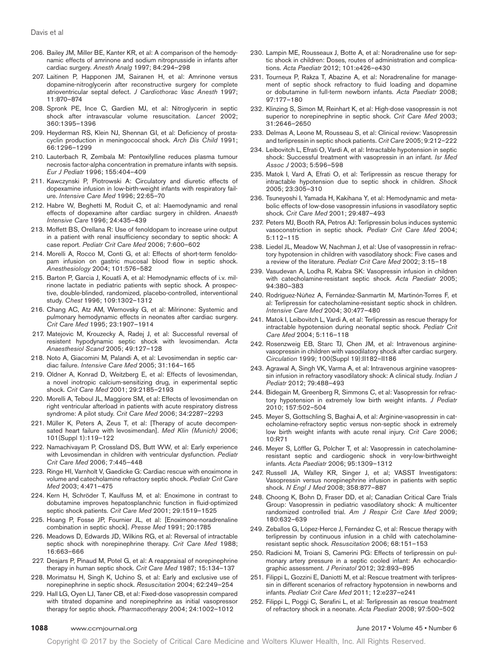- 206. Bailey JM, Miller BE, Kanter KR, et al: A comparison of the hemodynamic effects of amrinone and sodium nitroprusside in infants after cardiac surgery. *Anesth Analg* 1997; 84:294–298
- 207. Laitinen P, Happonen JM, Sairanen H, et al: Amrinone versus dopamine-nitroglycerin after reconstructive surgery for complete atrioventricular septal defect. *J Cardiothorac Vasc Anesth* 1997; 11:870–874
- 208. Spronk PE, Ince C, Gardien MJ, et al: Nitroglycerin in septic shock after intravascular volume resuscitation. *Lancet* 2002; 360:1395–1396
- 209. Heyderman RS, Klein NJ, Shennan GI, et al: Deficiency of prostacyclin production in meningococcal shock. *Arch Dis Child* 1991; 66:1296–1299
- 210. Lauterbach R, Zembala M: Pentoxifylline reduces plasma tumour necrosis factor-alpha concentration in premature infants with sepsis. *Eur J Pediatr* 1996; 155:404–409
- 211. Kawczynski P, Piotrowski A: Circulatory and diuretic effects of dopexamine infusion in low-birth-weight infants with respiratory failure. *Intensive Care Med* 1996; 22:65–70
- 212. Habre W, Beghetti M, Roduit C, et al: Haemodynamic and renal effects of dopexamine after cardiac surgery in children. *Anaesth Intensive Care* 1996; 24:435–439
- 213. Moffett BS, Orellana R: Use of fenoldopam to increase urine output in a patient with renal insufficiency secondary to septic shock: A case report. *Pediatr Crit Care Med* 2006; 7:600–602
- 214. Morelli A, Rocco M, Conti G, et al: Effects of short-term fenoldopam infusion on gastric mucosal blood flow in septic shock. *Anesthesiology* 2004; 101:576–582
- 215. Barton P, Garcia J, Kouatli A, et al: Hemodynamic effects of i.v. milrinone lactate in pediatric patients with septic shock. A prospective, double-blinded, randomized, placebo-controlled, interventional study. *Chest* 1996; 109:1302–1312
- 216. Chang AC, Atz AM, Wernovsky G, et al: Milrinone: Systemic and pulmonary hemodynamic effects in neonates after cardiac surgery. *Crit Care Med* 1995; 23:1907–1914
- 217. Matejovic M, Krouzecky A, Radej J, et al: Successful reversal of resistent hypodynamic septic shock with levosimendan. *Acta Anaesthesiol Scand* 2005; 49:127–128
- 218. Noto A, Giacomini M, Palandi A, et al: Levosimendan in septic cardiac failure. *Intensive Care Med* 2005; 31:164–165
- 219. Oldner A, Konrad D, Weitzberg E, et al: Effects of levosimendan, a novel inotropic calcium-sensitizing drug, in experimental septic shock. *Crit Care Med* 2001; 29:2185–2193
- 220. Morelli A, Teboul JL, Maggiore SM, et al: Effects of levosimendan on right ventricular afterload in patients with acute respiratory distress syndrome: A pilot study. *Crit Care Med* 2006; 34:2287–2293
- 221. Müller K, Peters A, Zeus T, et al: [Therapy of acute decompensated heart failure with levosimendan]. *Med Klin (Munich)* 2006; 101(Suppl 1):119–122
- 222. Namachivayam P, Crossland DS, Butt WW, et al: Early experience with Levosimendan in children with ventricular dysfunction. *Pediatr Crit Care Med* 2006; 7:445–448
- 223. Ringe HI, Varnholt V, Gaedicke G: Cardiac rescue with enoximone in volume and catecholamine refractory septic shock. *Pediatr Crit Care Med* 2003; 4:471–475
- 224. Kern H, Schröder T, Kaulfuss M, et al: Enoximone in contrast to dobutamine improves hepatosplanchnic function in fluid-optimized septic shock patients. *Crit Care Med* 2001; 29:1519–1525
- 225. Hoang P, Fosse JP, Fournier JL, et al: [Enoximone-noradrenaline combination in septic shock]. *Presse Med* 1991; 20:1785
- 226. Meadows D, Edwards JD, Wilkins RG, et al: Reversal of intractable septic shock with norepinephrine therapy. *Crit Care Med* 1988; 16:663–666
- 227. Desjars P, Pinaud M, Potel G, et al: A reappraisal of norepinephrine therapy in human septic shock. *Crit Care Med* 1987; 15:134–137
- 228. Morimatsu H, Singh K, Uchino S, et al: Early and exclusive use of norepinephrine in septic shock. *Resuscitation* 2004; 62:249–254
- 229. Hall LG, Oyen LJ, Taner CB, et al: Fixed-dose vasopressin compared with titrated dopamine and norepinephrine as initial vasopressor therapy for septic shock. *Pharmacotherapy* 2004; 24:1002–1012
- 230. Lampin ME, Rousseaux J, Botte A, et al: Noradrenaline use for septic shock in children: Doses, routes of administration and complications. *Acta Paediatr* 2012; 101:e426–e430
- 231. Tourneux P, Rakza T, Abazine A, et al: Noradrenaline for management of septic shock refractory to fluid loading and dopamine or dobutamine in full-term newborn infants. *Acta Paediatr* 2008; 97:177–180
- 232. Klinzing S, Simon M, Reinhart K, et al: High-dose vasopressin is not superior to norepinephrine in septic shock. *Crit Care Med* 2003; 31:2646–2650
- 233. Delmas A, Leone M, Rousseau S, et al: Clinical review: Vasopressin and terlipressin in septic shock patients. *Crit Care* 2005; 9:212–222
- 234. Leibovitch L, Efrati O, Vardi A, et al: Intractable hypotension in septic shock: Successful treatment with vasopressin in an infant. *Isr Med Assoc J* 2003; 5:596–598
- 235. Matok I, Vard A, Efrati O, et al: Terlipressin as rescue therapy for intractable hypotension due to septic shock in children. *Shock* 2005; 23:305–310
- 236. Tsuneyoshi I, Yamada H, Kakihana Y, et al: Hemodynamic and metabolic effects of low-dose vasopressin infusions in vasodilatory septic shock. *Crit Care Med* 2001; 29:487–493
- 237. Peters MJ, Booth RA, Petros AJ: Terlipressin bolus induces systemic vasoconstriction in septic shock. *Pediatr Crit Care Med* 2004; 5:112–115
- 238. Liedel JL, Meadow W, Nachman J, et al: Use of vasopressin in refractory hypotension in children with vasodilatory shock: Five cases and a review of the literature. *Pediatr Crit Care Med* 2002; 3:15–18
- 239. Vasudevan A, Lodha R, Kabra SK: Vasopressin infusion in children with catecholamine-resistant septic shock. *Acta Paediatr* 2005; 94:380–383
- 240. Rodríguez-Núñez A, Fernández-Sanmartín M, Martinón-Torres F, et al: Terlipressin for catecholamine-resistant septic shock in children. *Intensive Care Med* 2004; 30:477–480
- 241. Matok I, Leibovitch L, Vardi A, et al: Terlipressin as rescue therapy for intractable hypotension during neonatal septic shock. *Pediatr Crit Care Med* 2004; 5:116–118
- 242. Rosenzweig EB, Starc TJ, Chen JM, et al: Intravenous argininevasopressin in children with vasodilatory shock after cardiac surgery. *Circulation* 1999; 100(Suppl 19):II182–II186
- 243. Agrawal A, Singh VK, Varma A, et al: Intravenous arginine vasopressin infusion in refractory vasodilatory shock: A clinical study. *Indian J Pediatr* 2012; 79:488–493
- 244. Bidegain M, Greenberg R, Simmons C, et al: Vasopressin for refractory hypotension in extremely low birth weight infants. *J Pediatr* 2010; 157:502–504
- 245. Meyer S, Gottschling S, Baghai A, et al: Arginine-vasopressin in catecholamine-refractory septic versus non-septic shock in extremely low birth weight infants with acute renal injury. *Crit Care* 2006; 10:R71
- 246. Meyer S, Löffler G, Polcher T, et al: Vasopressin in catecholamineresistant septic and cardiogenic shock in very-low-birthweight infants. *Acta Paediatr* 2006; 95:1309–1312
- 247. Russell JA, Walley KR, Singer J, et al; VASST Investigators: Vasopressin versus norepinephrine infusion in patients with septic shock. *N Engl J Med* 2008; 358:877–887
- 248. Choong K, Bohn D, Fraser DD, et al; Canadian Critical Care Trials Group: Vasopressin in pediatric vasodilatory shock: A multicenter randomized controlled trial. *Am J Respir Crit Care Med* 2009; 180:632–639
- 249. Zeballos G, López-Herce J, Fernández C, et al: Rescue therapy with terlipressin by continuous infusion in a child with catecholamineresistant septic shock. *Resuscitation* 2006; 68:151–153
- 250. Radicioni M, Troiani S, Camerini PG: Effects of terlipressin on pulmonary artery pressure in a septic cooled infant: An echocardiographic assessment. *J Perinatol* 2012; 32:893–895
- 251. Filippi L, Gozzini E, Daniotti M, et al: Rescue treatment with terlipressin in different scenarios of refractory hypotension in newborns and infants. *Pediatr Crit Care Med* 2011; 12:e237–e241
- 252. Filippi L, Poggi C, Serafini L, et al: Terlipressin as rescue treatment of refractory shock in a neonate. *Acta Paediatr* 2008; 97:500–502

### **1088** www.ccmjournal.org **June 2017 • Volume 45 • Number 6**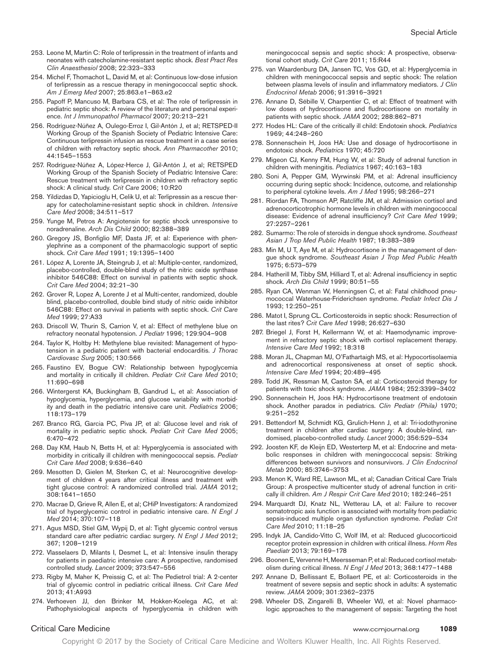- 253. Leone M, Martin C: Role of terlipressin in the treatment of infants and neonates with catecholamine-resistant septic shock. *Best Pract Res Clin Anaesthesiol* 2008; 22:323–333
- 254. Michel F, Thomachot L, David M, et al: Continuous low-dose infusion of terlipressin as a rescue therapy in meningococcal septic shock. *Am J Emerg Med* 2007; 25:863.e1–863.e2
- 255. Papoff P, Mancuso M, Barbara CS, et al: The role of terlipressin in pediatric septic shock: A review of the literature and personal experience. *Int J Immunopathol Pharmacol* 2007; 20:213–221
- 256. Rodríguez-Núñez A, Oulego-Erroz I, Gil-Antón J, et al; RETSPED-II Working Group of the Spanish Society of Pediatric Intensive Care: Continuous terlipressin infusion as rescue treatment in a case series of children with refractory septic shock. *Ann Pharmacother* 2010; 44:1545–1553
- 257. Rodríguez-Núñez A, López-Herce J, Gil-Antón J, et al; RETSPED Working Group of the Spanish Society of Pediatric Intensive Care: Rescue treatment with terlipressin in children with refractory septic shock: A clinical study. *Crit Care* 2006; 10:R20
- 258. Yildizdas D, Yapicioglu H, Celik U, et al: Terlipressin as a rescue therapy for catecholamine-resistant septic shock in children. *Intensive Care Med* 2008; 34:511–517
- 259. Yunge M, Petros A: Angiotensin for septic shock unresponsive to noradrenaline. *Arch Dis Child* 2000; 82:388–389
- 260. Gregory JS, Bonfiglio MF, Dasta JF, et al: Experience with phenylephrine as a component of the pharmacologic support of septic shock. *Crit Care Med* 1991; 19:1395–1400
- 261. López A, Lorente JA, Steingrub J, et al: Multiple-center, randomized, placebo-controlled, double-blind study of the nitric oxide synthase inhibitor 546C88: Effect on survival in patients with septic shock. *Crit Care Med* 2004; 32:21–30
- 262. Grover R, Lopez A, Lorente J et al Multi-center, randomized, double blind, placebo-controlled, double bind study of nitric oxide inhibitor 546C88: Effect on survival in patients with septic shock. *Crit Care Med* 1999; 27:A33
- 263. Driscoll W, Thurin S, Carrion V, et al: Effect of methylene blue on refractory neonatal hypotension. *J Pediatr* 1996; 129:904–908
- 264. Taylor K, Holtby H: Methylene blue revisited: Management of hypotension in a pediatric patient with bacterial endocarditis. *J Thorac Cardiovasc Surg* 2005; 130:566
- 265. Faustino EV, Bogue CW: Relationship between hypoglycemia and mortality in critically ill children. *Pediatr Crit Care Med* 2010; 11:690–698
- 266. Wintergerst KA, Buckingham B, Gandrud L, et al: Association of hypoglycemia, hyperglycemia, and glucose variability with morbidity and death in the pediatric intensive care unit. *Pediatrics* 2006; 118:173–179
- 267. Branco RG, Garcia PC, Piva JP, et al: Glucose level and risk of mortality in pediatric septic shock. *Pediatr Crit Care Med* 2005; 6:470–472
- 268. Day KM, Haub N, Betts H, et al: Hyperglycemia is associated with morbidity in critically ill children with meningococcal sepsis. *Pediatr Crit Care Med* 2008; 9:636–640
- 269. Mesotten D, Gielen M, Sterken C, et al: Neurocognitive development of children 4 years after critical illness and treatment with tight glucose control: A randomized controlled trial. *JAMA* 2012; 308:1641–1650
- 270. Macrae D, Grieve R, Allen E, et al; CHiP Investigators: A randomized trial of hyperglycemic control in pediatric intensive care. *N Engl J Med* 2014; 370:107–118
- 271. Agus MSD, Stiel GM, Wypij D, et al: Tight glycemic control versus standard care after pediatric cardiac surgery. *N Engl J Med* 2012; 367; 1208–1219
- 272. Vlasselaers D, Milants I, Desmet L, et al: Intensive insulin therapy for patients in paediatric intensive care: A prospective, randomised controlled study. *Lancet* 2009; 373:547–556
- 273. Rigby M, Maher K, Preissig C, et al: The Pedietrol trial: A 2-center trial of glycemic control in pediatric critical illness. *Crit Care Med* 2013; 41:A993
- 274. Verhoeven JJ, den Brinker M, Hokken-Koelega AC, et al: Pathophysiological aspects of hyperglycemia in children with

meningococcal sepsis and septic shock: A prospective, observational cohort study. *Crit Care* 2011; 15:R44

- 275. van Waardenburg DA, Jansen TC, Vos GD, et al: Hyperglycemia in children with meningococcal sepsis and septic shock: The relation between plasma levels of insulin and inflammatory mediators. *J Clin Endocrinol Metab* 2006; 91:3916–3921
- 276. Annane D, Sébille V, Charpentier C, et al: Effect of treatment with low doses of hydrocortisone and fludrocortisone on mortality in patients with septic shock. *JAMA* 2002; 288:862–871
- 277. Hodes HL: Care of the critically ill child: Endotoxin shock. *Pediatrics* 1969; 44:248–260
- 278. Sonnenschein H, Joos HA: Use and dosage of hydrocortisone in endotoxic shock. *Pediatrics* 1970; 45:720
- 279. Migeon CJ, Kenny FM, Hung W, et al: Study of adrenal function in children with meningitis. *Pediatrics* 1967; 40:163–183
- 280. Soni A, Pepper GM, Wyrwinski PM, et al: Adrenal insufficiency occurring during septic shock: Incidence, outcome, and relationship to peripheral cytokine levels. *Am J Med* 1995; 98:266–271
- 281. Riordan FA, Thomson AP, Ratcliffe JM, et al: Admission cortisol and adrenocorticotrophic hormone levels in children with meningococcal disease: Evidence of adrenal insufficiency? *Crit Care Med* 1999; 27:2257–2261
- 282. Sumarmo: The role of steroids in dengue shock syndrome. *Southeast Asian J Trop Med Public Health* 1987; 18:383–389
- 283. Min M, U T, Aye M, et al: Hydrocortisone in the management of dengue shock syndrome. *Southeast Asian J Trop Med Public Health* 1975; 6:573–579
- 284. Hatherill M, Tibby SM, Hilliard T, et al: Adrenal insufficiency in septic shock. *Arch Dis Child* 1999; 80:51–55
- 285. Ryan CA, Wenman W, Henningsen C, et al: Fatal childhood pneumococcal Waterhouse-Friderichsen syndrome. *Pediatr Infect Dis J* 1993; 12:250–251
- 286. Matot I, Sprung CL. Corticosteroids in septic shock: Resurrection of the last rites? *Crit Care Med* 1998; 26:627–630
- 287. Briegel J, Forst H, Kellermann W, et al: Haemodynamic improvement in refractory septic shock with cortisol replacement therapy. *Intensive Care Med* 1992; 18:318
- 288. Moran JL, Chapman MJ, O'Fathartaigh MS, et al: Hypocortisolaemia and adrenocortical responsiveness at onset of septic shock. *Intensive Care Med* 1994; 20:489–495
- 289. Todd JK, Ressman M, Caston SA, et al: Corticosteroid therapy for patients with toxic shock syndrome. *JAMA* 1984; 252:3399–3402
- 290. Sonnenschein H, Joos HA: Hydrocortisone treatment of endotoxin shock. Another paradox in pediatrics. *Clin Pediatr (Phila)* 1970; 9:251–252
- 291. Bettendorf M, Schmidt KG, Grulich-Henn J, et al: Tri-iodothyronine treatment in children after cardiac surgery: A double-blind, randomised, placebo-controlled study. *Lancet* 2000; 356:529–534
- 292. Joosten KF, de Kleijn ED, Westerterp M, et al: Endocrine and metabolic responses in children with meningoccocal sepsis: Striking differences between survivors and nonsurvivors. *J Clin Endocrinol Metab* 2000; 85:3746–3753
- 293. Menon K, Ward RE, Lawson ML, et al; Canadian Critical Care Trials Group: A prospective multicenter study of adrenal function in critically ill children. *Am J Respir Crit Care Med* 2010; 182:246–251
- 294. Marquardt DJ, Knatz NL, Wetterau LA, et al: Failure to recover somatotropic axis function is associated with mortality from pediatric sepsis-induced multiple organ dysfunction syndrome. *Pediatr Crit Care Med* 2010; 11:18–25
- 295. Indyk JA, Candido-Vitto C, Wolf IM, et al: Reduced glucocorticoid receptor protein expression in children with critical illness. *Horm Res Paediatr* 2013; 79:169–178
- 296. Boonen E, Vervenne H, Meersseman P, et al: Reduced cortisol metabolism during critical illness. *N Engl J Med* 2013; 368:1477–1488
- 297. Annane D, Bellissant E, Bollaert PE, et al: Corticosteroids in the treatment of severe sepsis and septic shock in adults: A systematic review. *JAMA* 2009; 301:2362–2375
- 298. Wheeler DS, Zingarelli B, Wheeler WJ, et al: Novel pharmacologic approaches to the management of sepsis: Targeting the host

### Critical Care Medicine www.ccmjournal.org **1089**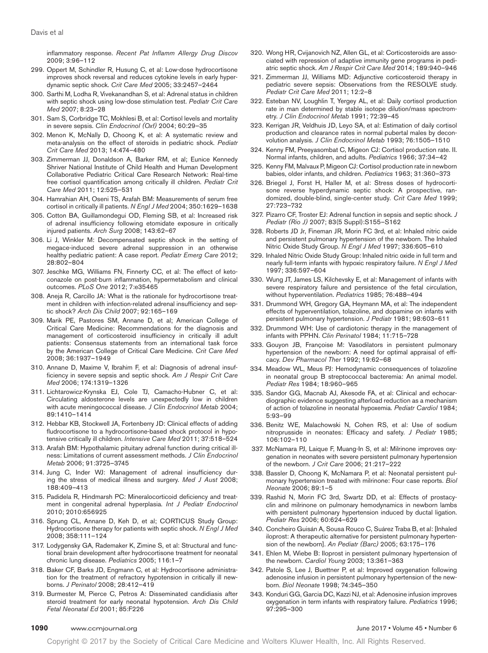inflammatory response. *Recent Pat Inflamm Allergy Drug Discov* 2009; 3:96–112

- 299. Oppert M, Schindler R, Husung C, et al: Low-dose hydrocortisone improves shock reversal and reduces cytokine levels in early hyperdynamic septic shock. *Crit Care Med* 2005; 33:2457–2464
- 300. Sarthi M, Lodha R, Vivekanandhan S, et al: Adrenal status in children with septic shock using low-dose stimulation test. *Pediatr Crit Care Med* 2007; 8:23–28
- 301. Sam S, Corbridge TC, Mokhlesi B, et al: Cortisol levels and mortality in severe sepsis. *Clin Endocrinol (Oxf)* 2004; 60:29–35
- 302. Menon K, McNally D, Choong K, et al: A systematic review and meta-analysis on the effect of steroids in pediatric shock. *Pediatr Crit Care Med* 2013; 14:474–480
- 303. Zimmerman JJ, Donaldson A, Barker RM, et al; Eunice Kennedy Shriver National Institute of Child Health and Human Development Collaborative Pediatric Critical Care Research Network: Real-time free cortisol quantification among critically ill children. *Pediatr Crit Care Med* 2011; 12:525–531
- 304. Hamrahian AH, Oseni TS, Arafah BM: Measurements of serum free cortisol in critically ill patients. *N Engl J Med* 2004; 350:1629–1638
- 305. Cotton BA, Guillamondegui OD, Fleming SB, et al: Increased risk of adrenal insufficiency following etomidate exposure in critically injured patients. *Arch Surg* 2008; 143:62–67
- 306. Li J, Winkler M: Decompensated septic shock in the setting of megace-induced severe adrenal suppression in an otherwise healthy pediatric patient: A case report. *Pediatr Emerg Care* 2012; 28:802–804
- 307. Jeschke MG, Williams FN, Finnerty CC, et al: The effect of ketoconazole on post-burn inflammation, hypermetabolism and clinical outcomes. *PLoS One* 2012; 7:e35465
- 308. Aneja R, Carcillo JA: What is the rationale for hydrocortisone treatment in children with infection-related adrenal insufficiency and septic shock? *Arch Dis Child* 2007; 92:165–169
- 309. Marik PE, Pastores SM, Annane D, et al; American College of Critical Care Medicine: Recommendations for the diagnosis and management of corticosteroid insufficiency in critically ill adult patients: Consensus statements from an international task force by the American College of Critical Care Medicine. *Crit Care Med* 2008; 36:1937–1949
- 310. Annane D, Maxime V, Ibrahim F, et al: Diagnosis of adrenal insufficiency in severe sepsis and septic shock. *Am J Respir Crit Care Med* 2006; 174:1319–1326
- 311. Lichtarowicz-Krynska EJ, Cole TJ, Camacho-Hubner C, et al: Circulating aldosterone levels are unexpectedly low in children with acute meningococcal disease. *J Clin Endocrinol Metab* 2004; 89:1410–1414
- 312. Hebbar KB, Stockwell JA, Fortenberry JD: Clinical effects of adding fludrocortisone to a hydrocortisone-based shock protocol in hypotensive critically ill children. *Intensive Care Med* 2011; 37:518–524
- 313. Arafah BM: Hypothalamic pituitary adrenal function during critical illness: Limitations of current assessment methods. *J Clin Endocrinol Metab* 2006; 91:3725–3745
- 314. Jung C, Inder WJ: Management of adrenal insufficiency during the stress of medical illness and surgery. *Med J Aust* 2008; 188:409–413
- 315. Padidela R, Hindmarsh PC: Mineralocorticoid deficiency and treatment in congenital adrenal hyperplasia. *Int J Pediatr Endocrinol* 2010; 2010:656925
- 316. Sprung CL, Annane D, Keh D, et al; CORTICUS Study Group: Hydrocortisone therapy for patients with septic shock. *N Engl J Med* 2008; 358:111–124
- 317. Lodygensky GA, Rademaker K, Zimine S, et al: Structural and functional brain development after hydrocortisone treatment for neonatal chronic lung disease. *Pediatrics* 2005; 116:1–7
- 318. Baker CF, Barks JD, Engmann C, et al: Hydrocortisone administration for the treatment of refractory hypotension in critically ill newborns. *J Perinatol* 2008; 28:412–419
- 319. Burmester M, Pierce C, Petros A: Disseminated candidiasis after steroid treatment for early neonatal hypotension. *Arch Dis Child Fetal Neonatal Ed* 2001; 85:F226
- 320. Wong HR, Cvijanovich NZ, Allen GL, et al: Corticosteroids are associated with repression of adaptive immunity gene programs in pediatric septic shock. *Am J Respir Crit Care Med* 2014; 189:940–946
- 321. Zimmerman JJ, Williams MD: Adjunctive corticosteroid therapy in pediatric severe sepsis: Observations from the RESOLVE study. *Pediatr Crit Care Med* 2011; 12:2–8
- 322. Esteban NV, Loughlin T, Yergey AL, et al: Daily cortisol production rate in man determined by stable isotope dilution/mass spectrometry. *J Clin Endocrinol Metab* 1991; 72:39–45
- 323. Kerrigan JR, Veldhuis JD, Leyo SA, et al: Estimation of daily cortisol production and clearance rates in normal pubertal males by deconvolution analysis. *J Clin Endocrinol Metab* 1993; 76:1505–1510
- 324. Kenny FM, Preeyasombat C, Migeon CJ: Cortisol production rate. II. Normal infants, children, and adults. *Pediatrics* 1966; 37:34–42
- 325. Kenny FM, Malvaux P, Migeon CJ: Cortisol production rate in newborn babies, older infants, and children. *Pediatrics* 1963; 31:360–373
- 326. Briegel J, Forst H, Haller M, et al: Stress doses of hydrocortisone reverse hyperdynamic septic shock: A prospective, randomized, double-blind, single-center study. *Crit Care Med* 1999; 27:723–732
- 327. Pizarro CF, Troster EJ: Adrenal function in sepsis and septic shock. *J Pediatr (Rio J)* 2007; 83(5 Suppl):S155–S162
- 328. Roberts JD Jr, Fineman JR, Morin FC 3rd, et al: Inhaled nitric oxide and persistent pulmonary hypertension of the newborn. The Inhaled Nitric Oxide Study Group. *N Engl J Med* 1997; 336:605–610
- 329. Inhaled Nitric Oxide Study Group: Inhaled nitric oxide in full term and nearly full-term infants with hypoxic respiratory failure. *N Engl J Med* 1997; 336:597–604
- 330. Wung JT, James LS, Kilchevsky E, et al: Management of infants with severe respiratory failure and persistence of the fetal circulation, without hyperventilation. *Pediatrics* 1985; 76:488–494
- 331. Drummond WH, Gregory GA, Heymann MA, et al: The independent effects of hyperventilation, tolazoline, and dopamine on infants with persistent pulmonary hypertension. *J Pediatr* 1981; 98:603–611
- 332. Drummond WH: Use of cardiotonic therapy in the management of infants with PPHN. *Clin Perinatol* 1984; 11:715–728
- 333. Gouyon JB, Françoise M: Vasodilators in persistent pulmonary hypertension of the newborn: A need for optimal appraisal of efficacy. *Dev Pharmacol Ther* 1992; 19:62–68
- 334. Meadow WL, Meus PJ: Hemodynamic consequences of tolazoline in neonatal group B streptococcal bacteremia: An animal model. *Pediatr Res* 1984; 18:960–965
- 335. Sandor GG, Macnab AJ, Akesode FA, et al: Clinical and echocardiographic evidence suggesting afterload reduction as a mechanism of action of tolazoline in neonatal hypoxemia. *Pediatr Cardiol* 1984; 5:93–99
- 336. Benitz WE, Malachowski N, Cohen RS, et al: Use of sodium nitroprusside in neonates: Efficacy and safety. *J Pediatr* 1985; 106:102–110
- 337. McNamara PJ, Laique F, Muang-In S, et al: Milrinone improves oxygenation in neonates with severe persistent pulmonary hypertension of the newborn. *J Crit Care* 2006; 21:217–222
- 338. Bassler D, Choong K, McNamara P, et al: Neonatal persistent pulmonary hypertension treated with milrinone: Four case reports. *Biol Neonate* 2006; 89:1–5
- 339. Rashid N, Morin FC 3rd, Swartz DD, et al: Effects of prostacyclin and milrinone on pulmonary hemodynamics in newborn lambs with persistent pulmonary hypertension induced by ductal ligation. *Pediatr Res* 2006; 60:624–629
- 340. Concheiro Guisán A, Sousa Rouco C, Suárez Traba B, et al: [Inhaled iloprost: A therapeutic alternative for persistent pulmonary hypertension of the newborn]. *An Pediatr (Barc)* 2005; 63:175–176
- 341. Ehlen M, Wiebe B: Iloprost in persistent pulmonary hypertension of the newborn. *Cardiol Young* 2003; 13:361–363
- 342. Patole S, Lee J, Buettner P, et al: Improved oxygenation following adenosine infusion in persistent pulmonary hypertension of the newborn. *Biol Neonate* 1998; 74:345–350
- 343. Konduri GG, Garcia DC, Kazzi NJ, et al: Adenosine infusion improves oxygenation in term infants with respiratory failure. *Pediatrics* 1996; 97:295–300

### **1090** www.ccmjournal.org **June 2017 • Volume 45 • Number 6**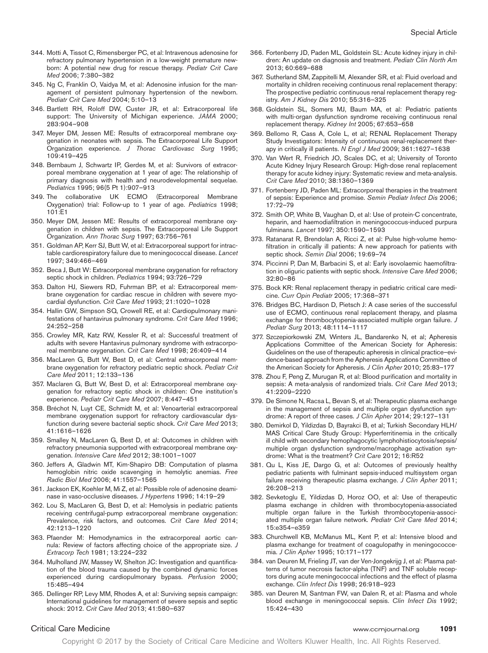- 344. Motti A, Tissot C, Rimensberger PC, et al: Intravenous adenosine for refractory pulmonary hypertension in a low-weight premature newborn: A potential new drug for rescue therapy. *Pediatr Crit Care Med* 2006; 7:380–382
- 345. Ng C, Franklin O, Vaidya M, et al: Adenosine infusion for the management of persistent pulmonary hypertension of the newborn. *Pediatr Crit Care Med* 2004; 5:10–13
- 346. Bartlett RH, Roloff DW, Custer JR, et al: Extracorporeal life support: The University of Michigan experience. *JAMA* 2000; 283:904–908
- 347. Meyer DM, Jessen ME: Results of extracorporeal membrane oxygenation in neonates with sepsis. The Extracorporeal Life Support Organization experience. *J Thorac Cardiovasc Surg* 1995; 109:419–425
- 348. Bernbaum J, Schwartz IP, Gerdes M, et al: Survivors of extracorporeal membrane oxygenation at 1 year of age: The relationship of primary diagnosis with health and neurodevelopmental sequelae. *Pediatrics* 1995; 96(5 Pt 1):907–913
- 349. The collaborative UK ECMO (Extracorporeal Membrane Oxygenation) trial: Follow-up to 1 year of age. *Pediatrics* 1998; 101:E1
- 350. Meyer DM, Jessen ME: Results of extracorporeal membrane oxygenation in children with sepsis. The Extracorporeal Life Support Organization. *Ann Thorac Surg* 1997; 63:756–761
- 351. Goldman AP, Kerr SJ, Butt W, et al: Extracorporeal support for intractable cardiorespiratory failure due to meningococcal disease. *Lancet* 1997; 349:466–469
- 352. Beca J, Butt W: Extracorporeal membrane oxygenation for refractory septic shock in children. *Pediatrics* 1994; 93:726–729
- 353. Dalton HJ, Siewers RD, Fuhrman BP, et al: Extracorporeal membrane oxygenation for cardiac rescue in children with severe myocardial dysfunction. *Crit Care Med* 1993; 21:1020–1028
- 354. Hallin GW, Simpson SQ, Crowell RE, et al: Cardiopulmonary manifestations of hantavirus pulmonary syndrome. *Crit Care Med* 1996; 24:252–258
- 355. Crowley MR, Katz RW, Kessler R, et al: Successful treatment of adults with severe Hantavirus pulmonary syndrome with extracorporeal membrane oxygenation. *Crit Care Med* 1998; 26:409–414
- 356. MacLaren G, Butt W, Best D, et al: Central extracorporeal membrane oxygenation for refractory pediatric septic shock. *Pediatr Crit Care Med* 2011; 12:133–136
- 357. Maclaren G, Butt W, Best D, et al: Extracorporeal membrane oxygenation for refractory septic shock in children: One institution's experience. *Pediatr Crit Care Med* 2007; 8:447–451
- 358. Bréchot N, Luyt CE, Schmidt M, et al: Venoarterial extracorporeal membrane oxygenation support for refractory cardiovascular dysfunction during severe bacterial septic shock. *Crit Care Med* 2013; 41:1616–1626
- 359. Smalley N, MacLaren G, Best D, et al: Outcomes in children with refractory pneumonia supported with extracorporeal membrane oxygenation. *Intensive Care Med* 2012; 38:1001–1007
- 360. Jeffers A, Gladwin MT, Kim-Shapiro DB: Computation of plasma hemoglobin nitric oxide scavenging in hemolytic anemias. *Free Radic Biol Med* 2006; 41:1557–1565
- 361. Jackson EK, Koehler M, Mi Z, et al: Possible role of adenosine deaminase in vaso-occlusive diseases. *J Hypertens* 1996; 14:19–29
- 362. Lou S, MacLaren G, Best D, et al: Hemolysis in pediatric patients receiving centrifugal-pump extracorporeal membrane oxygenation: Prevalence, risk factors, and outcomes. *Crit Care Med* 2014; 42:1213–1220
- 363. Pfaender M: Hemodynamics in the extracorporeal aortic cannula: Review of factors affecting choice of the appropriate size. *J Extracorp Tech* 1981; 13:224–232
- 364. Mulholland JW, Massey W, Shelton JC: Investigation and quantification of the blood trauma caused by the combined dynamic forces experienced during cardiopulmonary bypass. *Perfusion* 2000; 15:485–494
- 365. Dellinger RP, Levy MM, Rhodes A, et al: Surviving sepsis campaign: International guidelines for management of severe sepsis and septic shock: 2012. *Crit Care Med* 2013; 41:580–637
- 366. Fortenberry JD, Paden ML, Goldstein SL: Acute kidney injury in children: An update on diagnosis and treatment. *Pediatr Clin North Am* 2013; 60:669–688
- 367. Sutherland SM, Zappitelli M, Alexander SR, et al: Fluid overload and mortality in children receiving continuous renal replacement therapy: The prospective pediatric continuous renal replacement therapy registry. *Am J Kidney Dis* 2010; 55:316–325
- 368. Goldstein SL, Somers MJ, Baum MA, et al: Pediatric patients with multi-organ dysfunction syndrome receiving continuous renal replacement therapy. *Kidney Int* 2005; 67:653–658
- 369. Bellomo R, Cass A, Cole L, et al; RENAL Replacement Therapy Study Investigators: Intensity of continuous renal-replacement therapy in critically ill patients. *N Engl J Med* 2009; 361:1627–1638
- 370. Van Wert R, Friedrich JO, Scales DC, et al; University of Toronto Acute Kidney Injury Research Group: High-dose renal replacement therapy for acute kidney injury: Systematic review and meta-analysis. *Crit Care Med* 2010; 38:1360–1369
- 371. Fortenberry JD, Paden ML: Extracorporeal therapies in the treatment of sepsis: Experience and promise. *Semin Pediatr Infect Dis* 2006; 17:72–79
- 372. Smith OP, White B, Vaughan D, et al: Use of protein-C concentrate, heparin, and haemodiafiltration in meningococcus-induced purpura fulminans. *Lancet* 1997; 350:1590–1593
- 373. Ratanarat R, Brendolan A, Ricci Z, et al: Pulse high-volume hemofiltration in critically ill patients: A new approach for patients with septic shock. *Semin Dial* 2006; 19:69–74
- 374. Piccinni P, Dan M, Barbacini S, et al: Early isovolaemic haemofiltration in oliguric patients with septic shock. *Intensive Care Med* 2006; 32:80–86
- 375. Bock KR: Renal replacement therapy in pediatric critical care medicine. *Curr Opin Pediatr* 2005; 17:368–371
- 376. Bridges BC, Hardison D, Pietsch J: A case series of the successful use of ECMO, continuous renal replacement therapy, and plasma exchange for thrombocytopenia-associated multiple organ failure. *J Pediatr Surg* 2013; 48:1114–1117
- 377. Szczepiorkowski ZM, Winters JL, Bandarenko N, et al; Apheresis Applications Committee of the American Society for Apheresis: Guidelines on the use of therapeutic apheresis in clinical practice–evidence-based approach from the Apheresis Applications Committee of the American Society for Apheresis. *J Clin Apher* 2010; 25:83–177
- 378. Zhou F, Peng Z, Murugan R, et al: Blood purification and mortality in sepsis: A meta-analysis of randomized trials. *Crit Care Med* 2013; 41:2209–2220
- 379. De Simone N, Racsa L, Bevan S, et al: Therapeutic plasma exchange in the management of sepsis and multiple organ dysfunction syndrome: A report of three cases. *J Clin Apher* 2014; 29:127–131
- 380. Demirkol D, Yildizdas D, Bayrakci B, et al; Turkish Secondary HLH/ MAS Critical Care Study Group: Hyperferritinemia in the critically ill child with secondary hemophagocytic lymphohistiocytosis/sepsis/ multiple organ dysfunction syndrome/macrophage activation syndrome: What is the treatment? *Crit Care* 2012; 16:R52
- 381. Qu L, Kiss JE, Dargo G, et al: Outcomes of previously healthy pediatric patients with fulminant sepsis-induced multisystem organ failure receiving therapeutic plasma exchange. *J Clin Apher* 2011; 26:208–213
- 382. Sevketoglu E, Yildizdas D, Horoz OO, et al: Use of therapeutic plasma exchange in children with thrombocytopenia-associated multiple organ failure in the Turkish thrombocytopenia-associated multiple organ failure network. *Pediatr Crit Care Med* 2014; 15:e354–e359
- 383. Churchwell KB, McManus ML, Kent P, et al: Intensive blood and plasma exchange for treatment of coagulopathy in meningococcemia. *J Clin Apher* 1995; 10:171–177
- 384. van Deuren M, Frieling JT, van der Ven-Jongekrijg J, et al: Plasma patterns of tumor necrosis factor-alpha (TNF) and TNF soluble receptors during acute meningococcal infections and the effect of plasma exchange. *Clin Infect Dis* 1998; 26:918–923
- 385. van Deuren M, Santman FW, van Dalen R, et al: Plasma and whole blood exchange in meningococcal sepsis. *Clin Infect Dis* 1992; 15:424–430

### Critical Care Medicine www.ccmjournal.org **1091**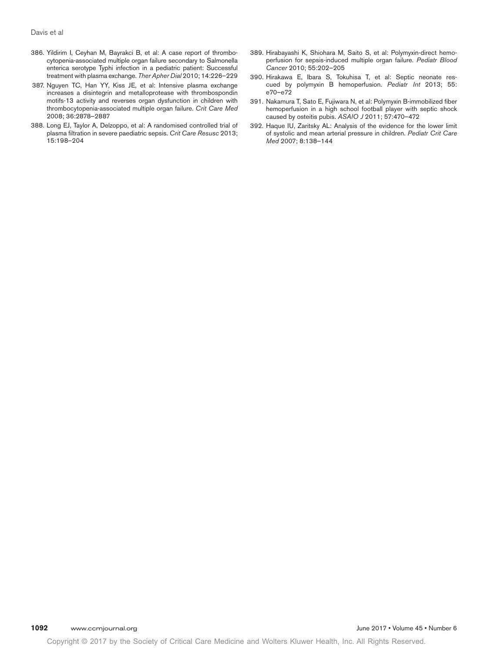- 386. Yildirim I, Ceyhan M, Bayrakci B, et al: A case report of thrombocytopenia-associated multiple organ failure secondary to Salmonella enterica serotype Typhi infection in a pediatric patient: Successful treatment with plasma exchange. *Ther Apher Dial* 2010; 14:226–229
- 387. Nguyen TC, Han YY, Kiss JE, et al: Intensive plasma exchange increases a disintegrin and metalloprotease with thrombospondin motifs-13 activity and reverses organ dysfunction in children with thrombocytopenia-associated multiple organ failure. *Crit Care Med* 2008; 36:2878–2887
- 388. Long EJ, Taylor A, Delzoppo, et al: A randomised controlled trial of plasma filtration in severe paediatric sepsis. *Crit Care Resusc* 2013; 15:198–204
- 389. Hirabayashi K, Shiohara M, Saito S, et al: Polymyxin-direct hemoperfusion for sepsis-induced multiple organ failure. *Pediatr Blood Cancer* 2010; 55:202–205
- 390. Hirakawa E, Ibara S, Tokuhisa T, et al: Septic neonate rescued by polymyxin B hemoperfusion. *Pediatr Int* 2013; 55: e70–e72
- 391. Nakamura T, Sato E, Fujiwara N, et al: Polymyxin B-immobilized fiber hemoperfusion in a high school football player with septic shock caused by osteitis pubis. *ASAIO J* 2011; 57:470–472
- 392. Haque IU, Zaritsky AL: Analysis of the evidence for the lower limit of systolic and mean arterial pressure in children. *Pediatr Crit Care Med* 2007; 8:138–144